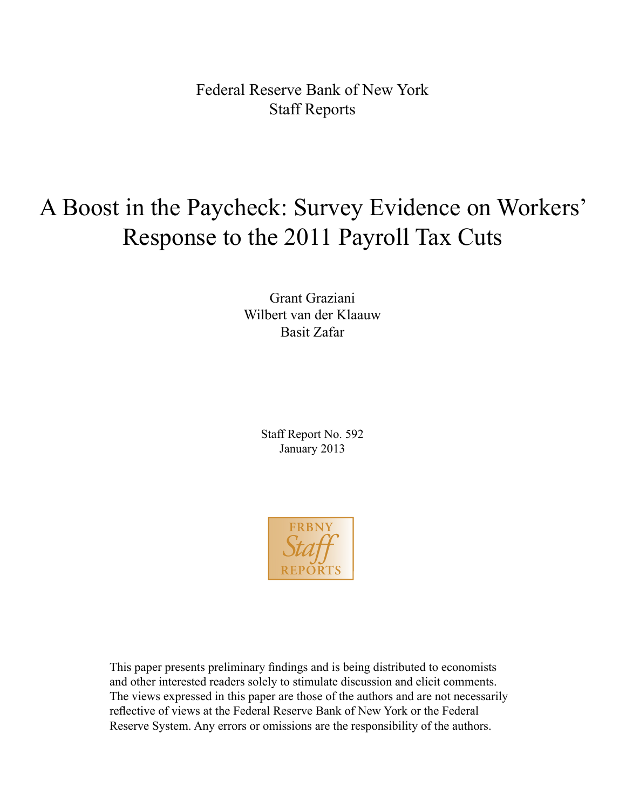Federal Reserve Bank of New York Staff Reports

# A Boost in the Paycheck: Survey Evidence on Workers' Response to the 2011 Payroll Tax Cuts

Grant Graziani Wilbert van der Klaauw Basit Zafar

> Staff Report No. 592 January 2013



This paper presents preliminary findings and is being distributed to economists and other interested readers solely to stimulate discussion and elicit comments. The views expressed in this paper are those of the authors and are not necessarily reflective of views at the Federal Reserve Bank of New York or the Federal Reserve System. Any errors or omissions are the responsibility of the authors.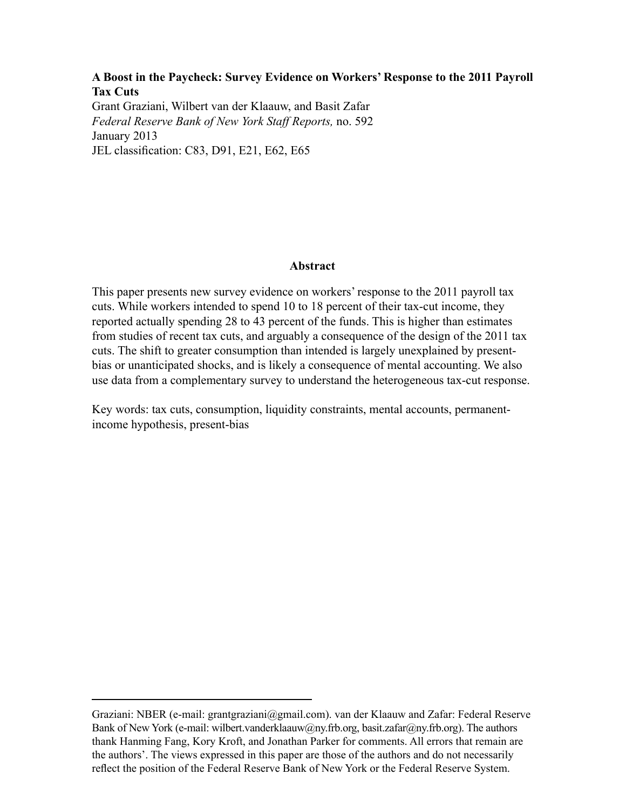# **A Boost in the Paycheck: Survey Evidence on Workers' Response to the 2011 Payroll Tax Cuts**

Grant Graziani, Wilbert van der Klaauw, and Basit Zafar *Federal Reserve Bank of New York Staff Reports,* no. 592 January 2013 JEL classification: C83, D91, E21, E62, E65

### **Abstract**

This paper presents new survey evidence on workers' response to the 2011 payroll tax cuts. While workers intended to spend 10 to 18 percent of their tax-cut income, they reported actually spending 28 to 43 percent of the funds. This is higher than estimates from studies of recent tax cuts, and arguably a consequence of the design of the 2011 tax cuts. The shift to greater consumption than intended is largely unexplained by presentbias or unanticipated shocks, and is likely a consequence of mental accounting. We also use data from a complementary survey to understand the heterogeneous tax-cut response.

Key words: tax cuts, consumption, liquidity constraints, mental accounts, permanentincome hypothesis, present-bias

Graziani: NBER (e-mail: grantgraziani@gmail.com). van der Klaauw and Zafar: Federal Reserve Bank of New York (e-mail: wilbert.vanderklaauw@ny.frb.org, basit.zafar@ny.frb.org). The authors thank Hanming Fang, Kory Kroft, and Jonathan Parker for comments. All errors that remain are the authors'. The views expressed in this paper are those of the authors and do not necessarily reflect the position of the Federal Reserve Bank of New York or the Federal Reserve System.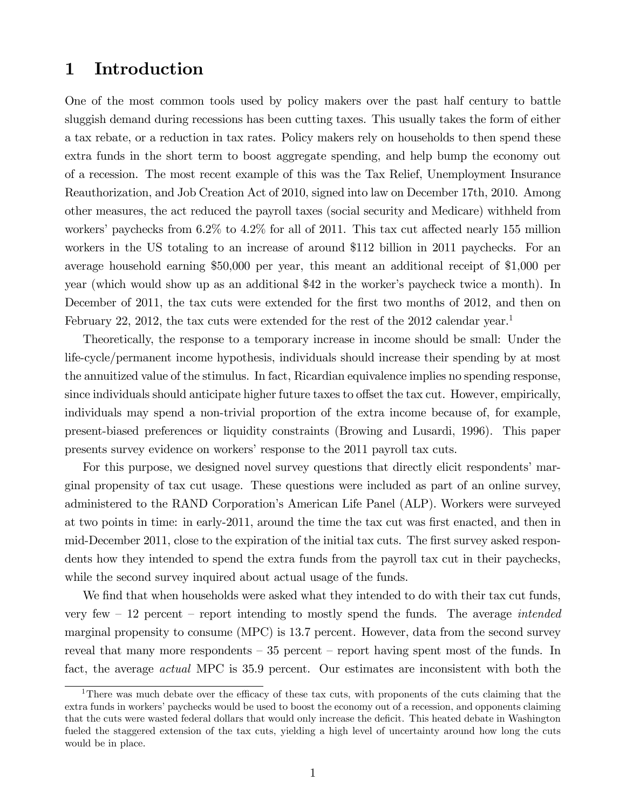# 1 Introduction

One of the most common tools used by policy makers over the past half century to battle sluggish demand during recessions has been cutting taxes. This usually takes the form of either a tax rebate, or a reduction in tax rates. Policy makers rely on households to then spend these extra funds in the short term to boost aggregate spending, and help bump the economy out of a recession. The most recent example of this was the Tax Relief, Unemployment Insurance Reauthorization, and Job Creation Act of 2010, signed into law on December 17th, 2010. Among other measures, the act reduced the payroll taxes (social security and Medicare) withheld from workers' paychecks from  $6.2\%$  to  $4.2\%$  for all of 2011. This tax cut affected nearly 155 million workers in the US totaling to an increase of around \$112 billion in 2011 paychecks. For an average household earning \$50,000 per year, this meant an additional receipt of \$1,000 per year (which would show up as an additional \$42 in the worker's paycheck twice a month). In December of 2011, the tax cuts were extended for the first two months of 2012, and then on February 22, 2012, the tax cuts were extended for the rest of the 2012 calendar year.<sup>1</sup>

Theoretically, the response to a temporary increase in income should be small: Under the life-cycle/permanent income hypothesis, individuals should increase their spending by at most the annuitized value of the stimulus. In fact, Ricardian equivalence implies no spending response, since individuals should anticipate higher future taxes to offset the tax cut. However, empirically, individuals may spend a non-trivial proportion of the extra income because of, for example, present-biased preferences or liquidity constraints (Browing and Lusardi, 1996). This paper presents survey evidence on workers' response to the 2011 payroll tax cuts.

For this purpose, we designed novel survey questions that directly elicit respondents' marginal propensity of tax cut usage. These questions were included as part of an online survey, administered to the RAND Corporationís American Life Panel (ALP). Workers were surveyed at two points in time: in early-2011, around the time the tax cut was first enacted, and then in mid-December 2011, close to the expiration of the initial tax cuts. The first survey asked respondents how they intended to spend the extra funds from the payroll tax cut in their paychecks, while the second survey inquired about actual usage of the funds.

We find that when households were asked what they intended to do with their tax cut funds, very few  $-12$  percent  $-$  report intending to mostly spend the funds. The average *intended* marginal propensity to consume (MPC) is 13.7 percent. However, data from the second survey reveal that many more respondents  $-35$  percent  $-$  report having spent most of the funds. In fact, the average actual MPC is 35.9 percent. Our estimates are inconsistent with both the

<sup>&</sup>lt;sup>1</sup>There was much debate over the efficacy of these tax cuts, with proponents of the cuts claiming that the extra funds in workers' paychecks would be used to boost the economy out of a recession, and opponents claiming that the cuts were wasted federal dollars that would only increase the deficit. This heated debate in Washington fueled the staggered extension of the tax cuts, yielding a high level of uncertainty around how long the cuts would be in place.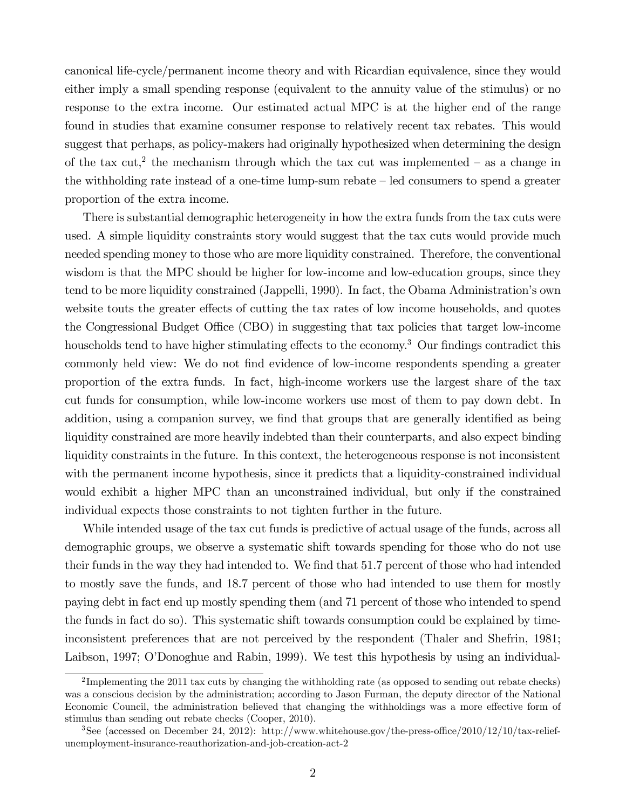canonical life-cycle/permanent income theory and with Ricardian equivalence, since they would either imply a small spending response (equivalent to the annuity value of the stimulus) or no response to the extra income. Our estimated actual MPC is at the higher end of the range found in studies that examine consumer response to relatively recent tax rebates. This would suggest that perhaps, as policy-makers had originally hypothesized when determining the design of the tax cut,<sup>2</sup> the mechanism through which the tax cut was implemented  $-$  as a change in the withholding rate instead of a one-time lump-sum rebate  $\overline{\phantom{a}}$  = led consumers to spend a greater proportion of the extra income.

There is substantial demographic heterogeneity in how the extra funds from the tax cuts were used. A simple liquidity constraints story would suggest that the tax cuts would provide much needed spending money to those who are more liquidity constrained. Therefore, the conventional wisdom is that the MPC should be higher for low-income and low-education groups, since they tend to be more liquidity constrained (Jappelli, 1990). In fact, the Obama Administrationís own website touts the greater effects of cutting the tax rates of low income households, and quotes the Congressional Budget Office (CBO) in suggesting that tax policies that target low-income households tend to have higher stimulating effects to the economy.<sup>3</sup> Our findings contradict this commonly held view: We do not find evidence of low-income respondents spending a greater proportion of the extra funds. In fact, high-income workers use the largest share of the tax cut funds for consumption, while low-income workers use most of them to pay down debt. In addition, using a companion survey, we find that groups that are generally identified as being liquidity constrained are more heavily indebted than their counterparts, and also expect binding liquidity constraints in the future. In this context, the heterogeneous response is not inconsistent with the permanent income hypothesis, since it predicts that a liquidity-constrained individual would exhibit a higher MPC than an unconstrained individual, but only if the constrained individual expects those constraints to not tighten further in the future.

While intended usage of the tax cut funds is predictive of actual usage of the funds, across all demographic groups, we observe a systematic shift towards spending for those who do not use their funds in the way they had intended to. We find that 51.7 percent of those who had intended to mostly save the funds, and 18.7 percent of those who had intended to use them for mostly paying debt in fact end up mostly spending them (and 71 percent of those who intended to spend the funds in fact do so). This systematic shift towards consumption could be explained by timeinconsistent preferences that are not perceived by the respondent (Thaler and Shefrin, 1981; Laibson, 1997; O'Donoghue and Rabin, 1999). We test this hypothesis by using an individual-

<sup>&</sup>lt;sup>2</sup>Implementing the 2011 tax cuts by changing the withholding rate (as opposed to sending out rebate checks) was a conscious decision by the administration; according to Jason Furman, the deputy director of the National Economic Council, the administration believed that changing the withholdings was a more effective form of stimulus than sending out rebate checks (Cooper, 2010).

<sup>&</sup>lt;sup>3</sup>See (accessed on December 24, 2012): http://www.whitehouse.gov/the-press-office/2010/12/10/tax-reliefunemployment-insurance-reauthorization-and-job-creation-act-2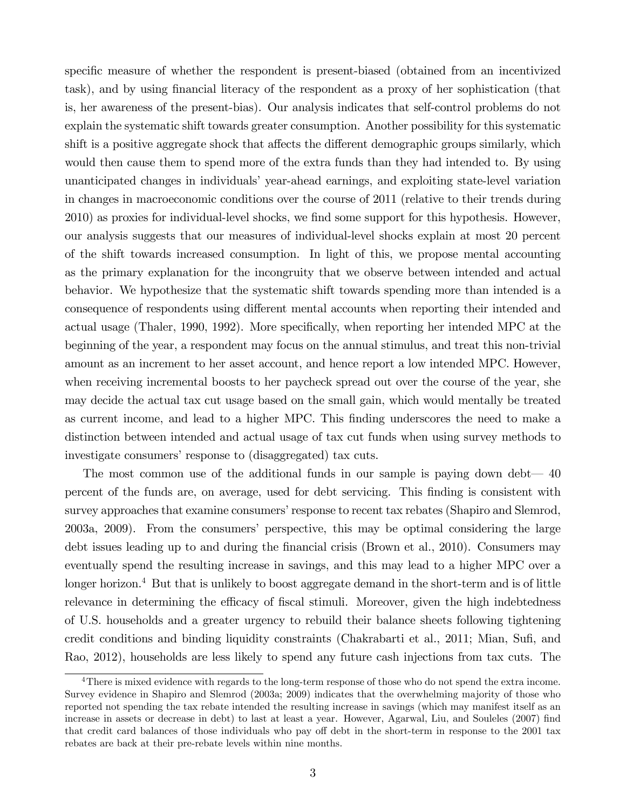specific measure of whether the respondent is present-biased (obtained from an incentivized task), and by using Önancial literacy of the respondent as a proxy of her sophistication (that is, her awareness of the present-bias). Our analysis indicates that self-control problems do not explain the systematic shift towards greater consumption. Another possibility for this systematic shift is a positive aggregate shock that affects the different demographic groups similarly, which would then cause them to spend more of the extra funds than they had intended to. By using unanticipated changes in individuals' year-ahead earnings, and exploiting state-level variation in changes in macroeconomic conditions over the course of 2011 (relative to their trends during 2010) as proxies for individual-level shocks, we find some support for this hypothesis. However, our analysis suggests that our measures of individual-level shocks explain at most 20 percent of the shift towards increased consumption. In light of this, we propose mental accounting as the primary explanation for the incongruity that we observe between intended and actual behavior. We hypothesize that the systematic shift towards spending more than intended is a consequence of respondents using different mental accounts when reporting their intended and actual usage (Thaler, 1990, 1992). More specifically, when reporting her intended MPC at the beginning of the year, a respondent may focus on the annual stimulus, and treat this non-trivial amount as an increment to her asset account, and hence report a low intended MPC. However, when receiving incremental boosts to her paycheck spread out over the course of the year, she may decide the actual tax cut usage based on the small gain, which would mentally be treated as current income, and lead to a higher MPC. This finding underscores the need to make a distinction between intended and actual usage of tax cut funds when using survey methods to investigate consumers' response to (disaggregated) tax cuts.

The most common use of the additional funds in our sample is paying down debt— $40$ percent of the funds are, on average, used for debt servicing. This Önding is consistent with survey approaches that examine consumers' response to recent tax rebates (Shapiro and Slemrod, 2003a, 2009). From the consumersí perspective, this may be optimal considering the large debt issues leading up to and during the Önancial crisis (Brown et al., 2010). Consumers may eventually spend the resulting increase in savings, and this may lead to a higher MPC over a longer horizon.<sup>4</sup> But that is unlikely to boost aggregate demand in the short-term and is of little relevance in determining the efficacy of fiscal stimuli. Moreover, given the high indebtedness of U.S. households and a greater urgency to rebuild their balance sheets following tightening credit conditions and binding liquidity constraints (Chakrabarti et al., 2011; Mian, Sufi, and Rao, 2012), households are less likely to spend any future cash injections from tax cuts. The

<sup>&</sup>lt;sup>4</sup>There is mixed evidence with regards to the long-term response of those who do not spend the extra income. Survey evidence in Shapiro and Slemrod (2003a; 2009) indicates that the overwhelming majority of those who reported not spending the tax rebate intended the resulting increase in savings (which may manifest itself as an increase in assets or decrease in debt) to last at least a year. However, Agarwal, Liu, and Souleles (2007) find that credit card balances of those individuals who pay off debt in the short-term in response to the 2001 tax rebates are back at their pre-rebate levels within nine months.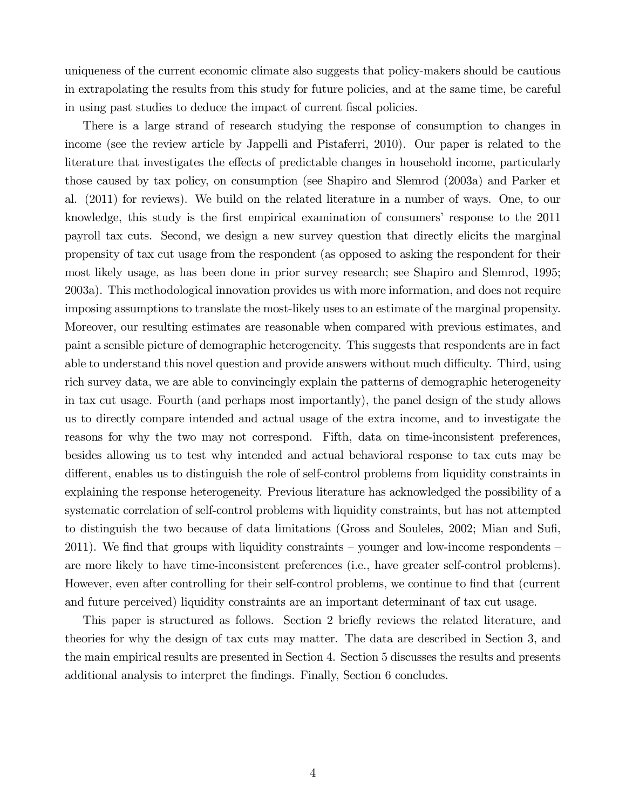uniqueness of the current economic climate also suggests that policy-makers should be cautious in extrapolating the results from this study for future policies, and at the same time, be careful in using past studies to deduce the impact of current fiscal policies.

There is a large strand of research studying the response of consumption to changes in income (see the review article by Jappelli and Pistaferri, 2010). Our paper is related to the literature that investigates the effects of predictable changes in household income, particularly those caused by tax policy, on consumption (see Shapiro and Slemrod (2003a) and Parker et al. (2011) for reviews). We build on the related literature in a number of ways. One, to our knowledge, this study is the first empirical examination of consumers' response to the 2011 payroll tax cuts. Second, we design a new survey question that directly elicits the marginal propensity of tax cut usage from the respondent (as opposed to asking the respondent for their most likely usage, as has been done in prior survey research; see Shapiro and Slemrod, 1995; 2003a). This methodological innovation provides us with more information, and does not require imposing assumptions to translate the most-likely uses to an estimate of the marginal propensity. Moreover, our resulting estimates are reasonable when compared with previous estimates, and paint a sensible picture of demographic heterogeneity. This suggests that respondents are in fact able to understand this novel question and provide answers without much difficulty. Third, using rich survey data, we are able to convincingly explain the patterns of demographic heterogeneity in tax cut usage. Fourth (and perhaps most importantly), the panel design of the study allows us to directly compare intended and actual usage of the extra income, and to investigate the reasons for why the two may not correspond. Fifth, data on time-inconsistent preferences, besides allowing us to test why intended and actual behavioral response to tax cuts may be different, enables us to distinguish the role of self-control problems from liquidity constraints in explaining the response heterogeneity. Previous literature has acknowledged the possibility of a systematic correlation of self-control problems with liquidity constraints, but has not attempted to distinguish the two because of data limitations (Gross and Souleles, 2002; Mian and Sufi, 2011). We find that groups with liquidity constraints – younger and low-income respondents – are more likely to have time-inconsistent preferences (i.e., have greater self-control problems). However, even after controlling for their self-control problems, we continue to find that (current and future perceived) liquidity constraints are an important determinant of tax cut usage.

This paper is structured as follows. Section 2 briefly reviews the related literature, and theories for why the design of tax cuts may matter. The data are described in Section 3, and the main empirical results are presented in Section 4. Section 5 discusses the results and presents additional analysis to interpret the findings. Finally, Section 6 concludes.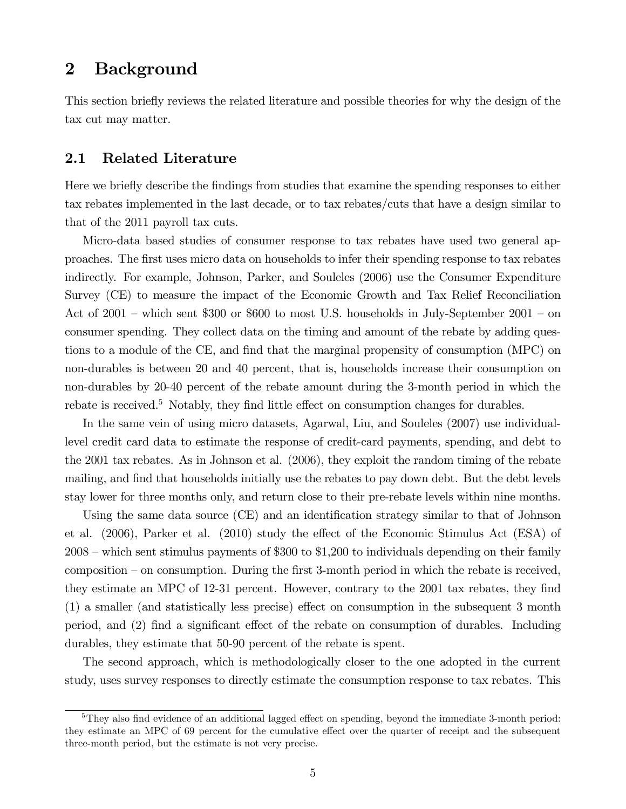# 2 Background

This section briefly reviews the related literature and possible theories for why the design of the tax cut may matter.

## 2.1 Related Literature

Here we briefly describe the findings from studies that examine the spending responses to either tax rebates implemented in the last decade, or to tax rebates/cuts that have a design similar to that of the 2011 payroll tax cuts.

Micro-data based studies of consumer response to tax rebates have used two general approaches. The Örst uses micro data on households to infer their spending response to tax rebates indirectly. For example, Johnson, Parker, and Souleles (2006) use the Consumer Expenditure Survey (CE) to measure the impact of the Economic Growth and Tax Relief Reconciliation Act of  $2001$  – which sent \$300 or \$600 to most U.S. households in July-September  $2001$  – on consumer spending. They collect data on the timing and amount of the rebate by adding questions to a module of the CE, and find that the marginal propensity of consumption (MPC) on non-durables is between 20 and 40 percent, that is, households increase their consumption on non-durables by 20-40 percent of the rebate amount during the 3-month period in which the rebate is received.<sup>5</sup> Notably, they find little effect on consumption changes for durables.

In the same vein of using micro datasets, Agarwal, Liu, and Souleles (2007) use individuallevel credit card data to estimate the response of credit-card payments, spending, and debt to the 2001 tax rebates. As in Johnson et al. (2006), they exploit the random timing of the rebate mailing, and find that households initially use the rebates to pay down debt. But the debt levels stay lower for three months only, and return close to their pre-rebate levels within nine months.

Using the same data source (CE) and an identification strategy similar to that of Johnson et al. (2006), Parker et al. (2010) study the effect of the Economic Stimulus Act (ESA) of  $2008$  – which sent stimulus payments of \$300 to \$1,200 to individuals depending on their family composition  $-$  on consumption. During the first 3-month period in which the rebate is received, they estimate an MPC of 12-31 percent. However, contrary to the 2001 tax rebates, they find  $(1)$  a smaller (and statistically less precise) effect on consumption in the subsequent 3 month period, and (2) find a significant effect of the rebate on consumption of durables. Including durables, they estimate that 50-90 percent of the rebate is spent.

The second approach, which is methodologically closer to the one adopted in the current study, uses survey responses to directly estimate the consumption response to tax rebates. This

 $5$ They also find evidence of an additional lagged effect on spending, beyond the immediate 3-month period: they estimate an MPC of 69 percent for the cumulative effect over the quarter of receipt and the subsequent three-month period, but the estimate is not very precise.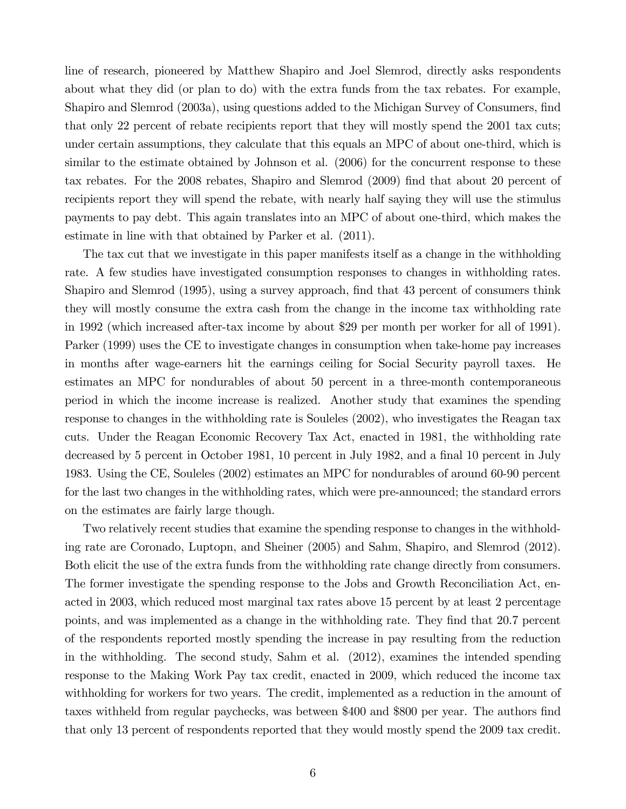line of research, pioneered by Matthew Shapiro and Joel Slemrod, directly asks respondents about what they did (or plan to do) with the extra funds from the tax rebates. For example, Shapiro and Slemrod (2003a), using questions added to the Michigan Survey of Consumers, find that only 22 percent of rebate recipients report that they will mostly spend the 2001 tax cuts; under certain assumptions, they calculate that this equals an MPC of about one-third, which is similar to the estimate obtained by Johnson et al.  $(2006)$  for the concurrent response to these tax rebates. For the 2008 rebates, Shapiro and Slemrod (2009) Önd that about 20 percent of recipients report they will spend the rebate, with nearly half saying they will use the stimulus payments to pay debt. This again translates into an MPC of about one-third, which makes the estimate in line with that obtained by Parker et al. (2011).

The tax cut that we investigate in this paper manifests itself as a change in the withholding rate. A few studies have investigated consumption responses to changes in withholding rates. Shapiro and Slemrod (1995), using a survey approach, find that 43 percent of consumers think they will mostly consume the extra cash from the change in the income tax withholding rate in 1992 (which increased after-tax income by about \$29 per month per worker for all of 1991). Parker (1999) uses the CE to investigate changes in consumption when take-home pay increases in months after wage-earners hit the earnings ceiling for Social Security payroll taxes. He estimates an MPC for nondurables of about 50 percent in a three-month contemporaneous period in which the income increase is realized. Another study that examines the spending response to changes in the withholding rate is Souleles (2002), who investigates the Reagan tax cuts. Under the Reagan Economic Recovery Tax Act, enacted in 1981, the withholding rate decreased by 5 percent in October 1981, 10 percent in July 1982, and a final 10 percent in July 1983. Using the CE, Souleles (2002) estimates an MPC for nondurables of around 60-90 percent for the last two changes in the withholding rates, which were pre-announced; the standard errors on the estimates are fairly large though.

Two relatively recent studies that examine the spending response to changes in the withholding rate are Coronado, Luptopn, and Sheiner (2005) and Sahm, Shapiro, and Slemrod (2012). Both elicit the use of the extra funds from the withholding rate change directly from consumers. The former investigate the spending response to the Jobs and Growth Reconciliation Act, enacted in 2003, which reduced most marginal tax rates above 15 percent by at least 2 percentage points, and was implemented as a change in the withholding rate. They Önd that 20.7 percent of the respondents reported mostly spending the increase in pay resulting from the reduction in the withholding. The second study, Sahm et al. (2012), examines the intended spending response to the Making Work Pay tax credit, enacted in 2009, which reduced the income tax withholding for workers for two years. The credit, implemented as a reduction in the amount of taxes withheld from regular paychecks, was between \$400 and \$800 per year. The authors find that only 13 percent of respondents reported that they would mostly spend the 2009 tax credit.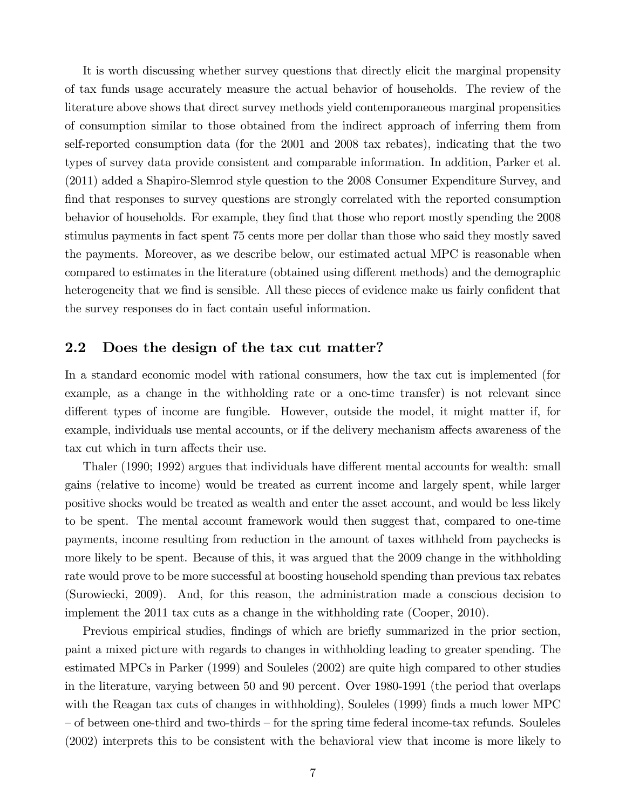It is worth discussing whether survey questions that directly elicit the marginal propensity of tax funds usage accurately measure the actual behavior of households. The review of the literature above shows that direct survey methods yield contemporaneous marginal propensities of consumption similar to those obtained from the indirect approach of inferring them from self-reported consumption data (for the 2001 and 2008 tax rebates), indicating that the two types of survey data provide consistent and comparable information. In addition, Parker et al. (2011) added a Shapiro-Slemrod style question to the 2008 Consumer Expenditure Survey, and find that responses to survey questions are strongly correlated with the reported consumption behavior of households. For example, they Önd that those who report mostly spending the 2008 stimulus payments in fact spent 75 cents more per dollar than those who said they mostly saved the payments. Moreover, as we describe below, our estimated actual MPC is reasonable when compared to estimates in the literature (obtained using different methods) and the demographic heterogeneity that we find is sensible. All these pieces of evidence make us fairly confident that the survey responses do in fact contain useful information.

## 2.2 Does the design of the tax cut matter?

In a standard economic model with rational consumers, how the tax cut is implemented (for example, as a change in the withholding rate or a one-time transfer) is not relevant since different types of income are fungible. However, outside the model, it might matter if, for example, individuals use mental accounts, or if the delivery mechanism affects awareness of the tax cut which in turn affects their use.

Thaler (1990; 1992) argues that individuals have different mental accounts for wealth: small gains (relative to income) would be treated as current income and largely spent, while larger positive shocks would be treated as wealth and enter the asset account, and would be less likely to be spent. The mental account framework would then suggest that, compared to one-time payments, income resulting from reduction in the amount of taxes withheld from paychecks is more likely to be spent. Because of this, it was argued that the 2009 change in the withholding rate would prove to be more successful at boosting household spending than previous tax rebates (Surowiecki, 2009). And, for this reason, the administration made a conscious decision to implement the 2011 tax cuts as a change in the withholding rate (Cooper, 2010).

Previous empirical studies, findings of which are briefly summarized in the prior section, paint a mixed picture with regards to changes in withholding leading to greater spending. The estimated MPCs in Parker (1999) and Souleles (2002) are quite high compared to other studies in the literature, varying between 50 and 90 percent. Over 1980-1991 (the period that overlaps with the Reagan tax cuts of changes in withholding), Souleles (1999) finds a much lower MPC – of between one-third and two-thirds – for the spring time federal income-tax refunds. Souleles (2002) interprets this to be consistent with the behavioral view that income is more likely to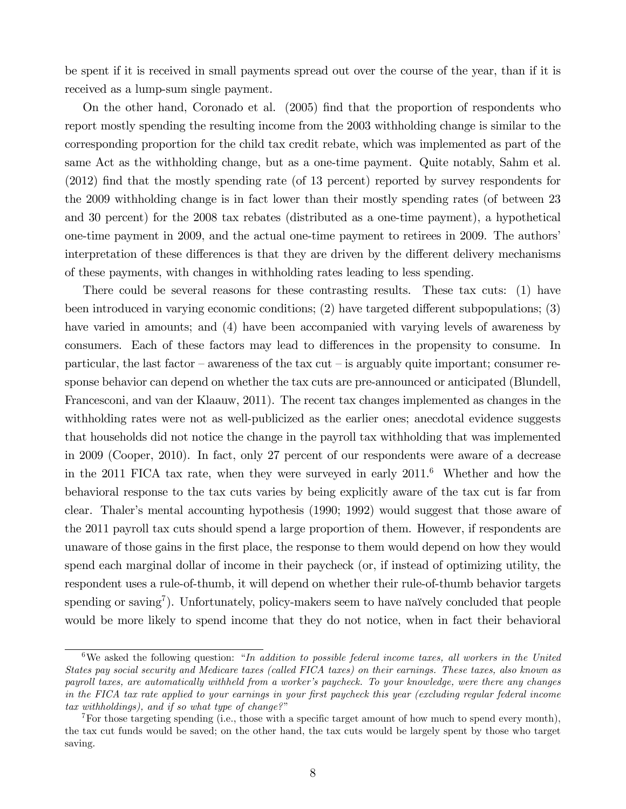be spent if it is received in small payments spread out over the course of the year, than if it is received as a lump-sum single payment.

On the other hand, Coronado et al.  $(2005)$  find that the proportion of respondents who report mostly spending the resulting income from the 2003 withholding change is similar to the corresponding proportion for the child tax credit rebate, which was implemented as part of the same Act as the withholding change, but as a one-time payment. Quite notably, Sahm et al. (2012) find that the mostly spending rate (of 13 percent) reported by survey respondents for the 2009 withholding change is in fact lower than their mostly spending rates (of between 23 and 30 percent) for the 2008 tax rebates (distributed as a one-time payment), a hypothetical one-time payment in 2009, and the actual one-time payment to retirees in 2009. The authors' interpretation of these differences is that they are driven by the different delivery mechanisms of these payments, with changes in withholding rates leading to less spending.

There could be several reasons for these contrasting results. These tax cuts: (1) have been introduced in varying economic conditions;  $(2)$  have targeted different subpopulations;  $(3)$ have varied in amounts; and (4) have been accompanied with varying levels of awareness by consumers. Each of these factors may lead to differences in the propensity to consume. In particular, the last factor  $-\alpha$  awareness of the tax cut  $-\alpha$  is arguably quite important; consumer response behavior can depend on whether the tax cuts are pre-announced or anticipated (Blundell, Francesconi, and van der Klaauw, 2011). The recent tax changes implemented as changes in the withholding rates were not as well-publicized as the earlier ones; anecdotal evidence suggests that households did not notice the change in the payroll tax withholding that was implemented in 2009 (Cooper, 2010). In fact, only 27 percent of our respondents were aware of a decrease in the 2011 FICA tax rate, when they were surveyed in early  $2011<sup>6</sup>$  Whether and how the behavioral response to the tax cuts varies by being explicitly aware of the tax cut is far from clear. Thalerís mental accounting hypothesis (1990; 1992) would suggest that those aware of the 2011 payroll tax cuts should spend a large proportion of them. However, if respondents are unaware of those gains in the Örst place, the response to them would depend on how they would spend each marginal dollar of income in their paycheck (or, if instead of optimizing utility, the respondent uses a rule-of-thumb, it will depend on whether their rule-of-thumb behavior targets spending or saving<sup>7</sup>). Unfortunately, policy-makers seem to have naïvely concluded that people would be more likely to spend income that they do not notice, when in fact their behavioral

 $6$ We asked the following question: "In addition to possible federal income taxes, all workers in the United States pay social security and Medicare taxes (called FICA taxes) on their earnings. These taxes, also known as payroll taxes, are automatically withheld from a worker's paycheck. To your knowledge, were there any changes in the FICA tax rate applied to your earnings in your first paycheck this year (excluding regular federal income tax withholdings), and if so what type of change?"

<sup>&</sup>lt;sup>7</sup>For those targeting spending (i.e., those with a specific target amount of how much to spend every month), the tax cut funds would be saved; on the other hand, the tax cuts would be largely spent by those who target saving.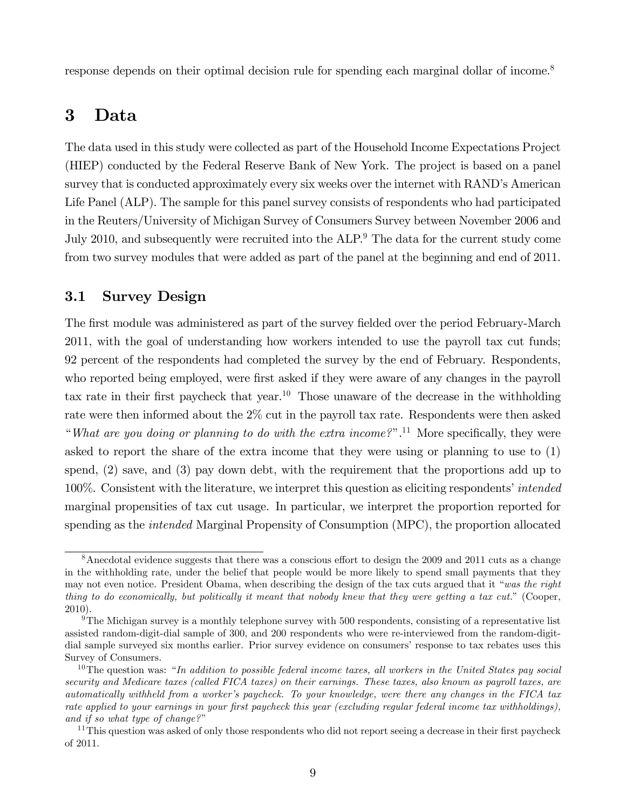response depends on their optimal decision rule for spending each marginal dollar of income.<sup>8</sup>

# 3 Data

The data used in this study were collected as part of the Household Income Expectations Project (HIEP) conducted by the Federal Reserve Bank of New York. The project is based on a panel survey that is conducted approximately every six weeks over the internet with RAND's American Life Panel (ALP). The sample for this panel survey consists of respondents who had participated in the Reuters/University of Michigan Survey of Consumers Survey between November 2006 and July 2010, and subsequently were recruited into the ALP.<sup>9</sup> The data for the current study come from two survey modules that were added as part of the panel at the beginning and end of 2011.

## 3.1 Survey Design

The first module was administered as part of the survey fielded over the period February-March 2011, with the goal of understanding how workers intended to use the payroll tax cut funds; 92 percent of the respondents had completed the survey by the end of February. Respondents, who reported being employed, were first asked if they were aware of any changes in the payroll tax rate in their first paycheck that year.<sup>10</sup> Those unaware of the decrease in the withholding rate were then informed about the 2% cut in the payroll tax rate. Respondents were then asked "What are you doing or planning to do with the extra income?".<sup>11</sup> More specifically, they were asked to report the share of the extra income that they were using or planning to use to (1) spend, (2) save, and (3) pay down debt, with the requirement that the proportions add up to 100%. Consistent with the literature, we interpret this question as eliciting respondents' *intended* marginal propensities of tax cut usage. In particular, we interpret the proportion reported for spending as the *intended* Marginal Propensity of Consumption (MPC), the proportion allocated

 $8$ Anecdotal evidence suggests that there was a conscious effort to design the 2009 and 2011 cuts as a change in the withholding rate, under the belief that people would be more likely to spend small payments that they may not even notice. President Obama, when describing the design of the tax cuts argued that it "was the right thing to do economically, but politically it meant that nobody knew that they were getting a tax cut." (Cooper, 2010).

<sup>&</sup>lt;sup>9</sup>The Michigan survey is a monthly telephone survey with  $500$  respondents, consisting of a representative list assisted random-digit-dial sample of 300, and 200 respondents who were re-interviewed from the random-digitdial sample surveyed six months earlier. Prior survey evidence on consumers' response to tax rebates uses this Survey of Consumers.

 $10$ The question was: "In addition to possible federal income taxes, all workers in the United States pay social security and Medicare taxes (called FICA taxes) on their earnings. These taxes, also known as payroll taxes, are automatically withheld from a worker's paycheck. To your knowledge, were there any changes in the FICA tax rate applied to your earnings in your first paycheck this year (excluding regular federal income tax withholdings), and if so what type of change?"

<sup>&</sup>lt;sup>11</sup>This question was asked of only those respondents who did not report seeing a decrease in their first paycheck of 2011.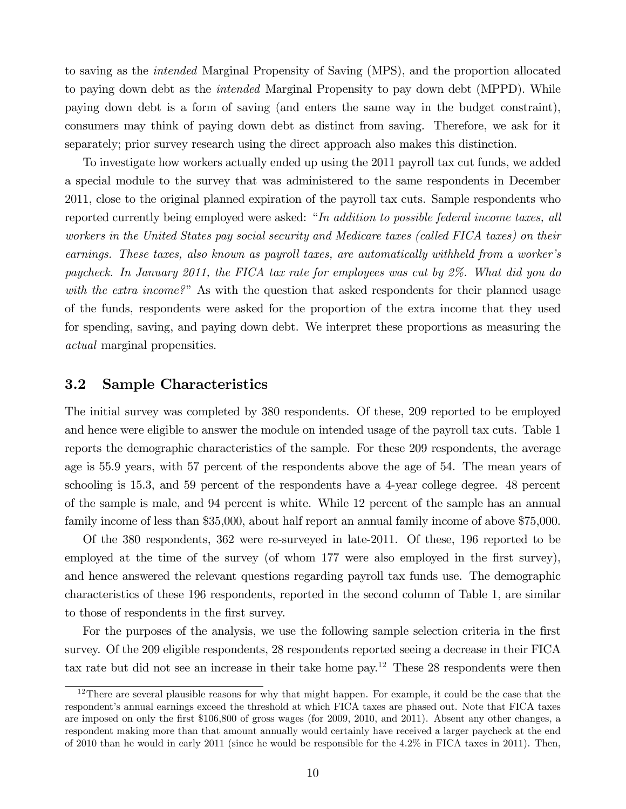to saving as the intended Marginal Propensity of Saving (MPS), and the proportion allocated to paying down debt as the *intended* Marginal Propensity to pay down debt (MPPD). While paying down debt is a form of saving (and enters the same way in the budget constraint), consumers may think of paying down debt as distinct from saving. Therefore, we ask for it separately; prior survey research using the direct approach also makes this distinction.

To investigate how workers actually ended up using the 2011 payroll tax cut funds, we added a special module to the survey that was administered to the same respondents in December 2011, close to the original planned expiration of the payroll tax cuts. Sample respondents who reported currently being employed were asked: "In addition to possible federal income taxes, all workers in the United States pay social security and Medicare taxes (called FICA taxes) on their earnings. These taxes, also known as payroll taxes, are automatically withheld from a worker's paycheck. In January 2011, the FICA tax rate for employees was cut by 2%. What did you do with the extra income?" As with the question that asked respondents for their planned usage of the funds, respondents were asked for the proportion of the extra income that they used for spending, saving, and paying down debt. We interpret these proportions as measuring the actual marginal propensities.

## 3.2 Sample Characteristics

The initial survey was completed by 380 respondents. Of these, 209 reported to be employed and hence were eligible to answer the module on intended usage of the payroll tax cuts. Table 1 reports the demographic characteristics of the sample. For these 209 respondents, the average age is 55.9 years, with 57 percent of the respondents above the age of 54. The mean years of schooling is 15.3, and 59 percent of the respondents have a 4-year college degree. 48 percent of the sample is male, and 94 percent is white. While 12 percent of the sample has an annual family income of less than \$35,000, about half report an annual family income of above \$75,000.

Of the 380 respondents, 362 were re-surveyed in late-2011. Of these, 196 reported to be employed at the time of the survey (of whom 177 were also employed in the first survey), and hence answered the relevant questions regarding payroll tax funds use. The demographic characteristics of these 196 respondents, reported in the second column of Table 1, are similar to those of respondents in the Örst survey.

For the purposes of the analysis, we use the following sample selection criteria in the first survey. Of the 209 eligible respondents, 28 respondents reported seeing a decrease in their FICA tax rate but did not see an increase in their take home pay.<sup>12</sup> These 28 respondents were then

<sup>&</sup>lt;sup>12</sup>There are several plausible reasons for why that might happen. For example, it could be the case that the respondentís annual earnings exceed the threshold at which FICA taxes are phased out. Note that FICA taxes are imposed on only the first \$106,800 of gross wages (for 2009, 2010, and 2011). Absent any other changes, a respondent making more than that amount annually would certainly have received a larger paycheck at the end of 2010 than he would in early 2011 (since he would be responsible for the 4.2% in FICA taxes in 2011). Then,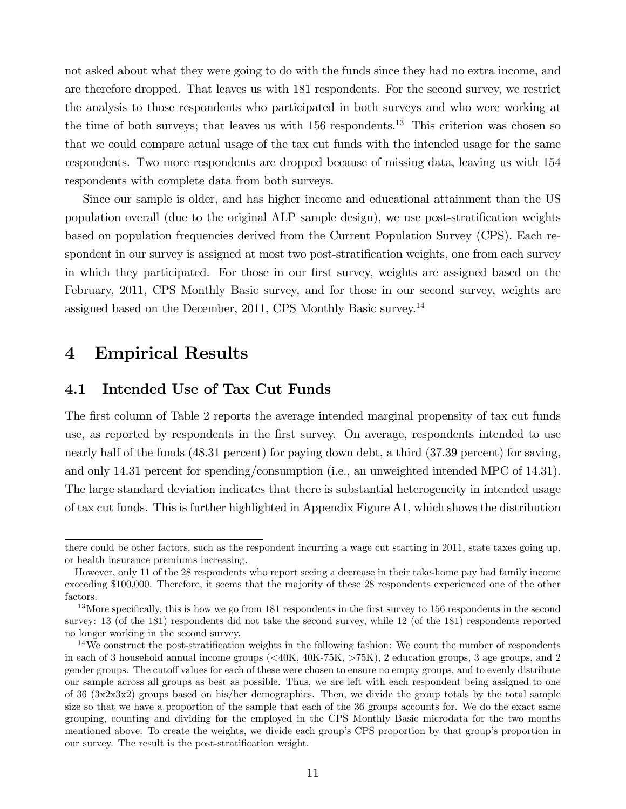not asked about what they were going to do with the funds since they had no extra income, and are therefore dropped. That leaves us with 181 respondents. For the second survey, we restrict the analysis to those respondents who participated in both surveys and who were working at the time of both surveys; that leaves us with  $156$  respondents.<sup>13</sup> This criterion was chosen so that we could compare actual usage of the tax cut funds with the intended usage for the same respondents. Two more respondents are dropped because of missing data, leaving us with 154 respondents with complete data from both surveys.

Since our sample is older, and has higher income and educational attainment than the US population overall (due to the original ALP sample design), we use post-stratification weights based on population frequencies derived from the Current Population Survey (CPS). Each respondent in our survey is assigned at most two post-stratification weights, one from each survey in which they participated. For those in our first survey, weights are assigned based on the February, 2011, CPS Monthly Basic survey, and for those in our second survey, weights are assigned based on the December, 2011, CPS Monthly Basic survey.<sup>14</sup>

# 4 Empirical Results

## 4.1 Intended Use of Tax Cut Funds

The first column of Table 2 reports the average intended marginal propensity of tax cut funds use, as reported by respondents in the first survey. On average, respondents intended to use nearly half of the funds (48.31 percent) for paying down debt, a third (37.39 percent) for saving, and only 14.31 percent for spending/consumption (i.e., an unweighted intended MPC of 14.31). The large standard deviation indicates that there is substantial heterogeneity in intended usage of tax cut funds. This is further highlighted in Appendix Figure A1, which shows the distribution

there could be other factors, such as the respondent incurring a wage cut starting in 2011, state taxes going up, or health insurance premiums increasing.

However, only 11 of the 28 respondents who report seeing a decrease in their take-home pay had family income exceeding \$100,000. Therefore, it seems that the majority of these 28 respondents experienced one of the other factors.

 $13$ More specifically, this is how we go from 181 respondents in the first survey to 156 respondents in the second survey: 13 (of the 181) respondents did not take the second survey, while 12 (of the 181) respondents reported no longer working in the second survey.

 $14$ We construct the post-stratification weights in the following fashion: We count the number of respondents in each of 3 household annual income groups  $(\langle 40K, 40K, 75K, \rangle 75K)$ , 2 education groups, 3 age groups, and 2 gender groups. The cutoff values for each of these were chosen to ensure no empty groups, and to evenly distribute our sample across all groups as best as possible. Thus, we are left with each respondent being assigned to one of 36 (3x2x3x2) groups based on his/her demographics. Then, we divide the group totals by the total sample size so that we have a proportion of the sample that each of the 36 groups accounts for. We do the exact same grouping, counting and dividing for the employed in the CPS Monthly Basic microdata for the two months mentioned above. To create the weights, we divide each group's CPS proportion by that group's proportion in our survey. The result is the post-stratification weight.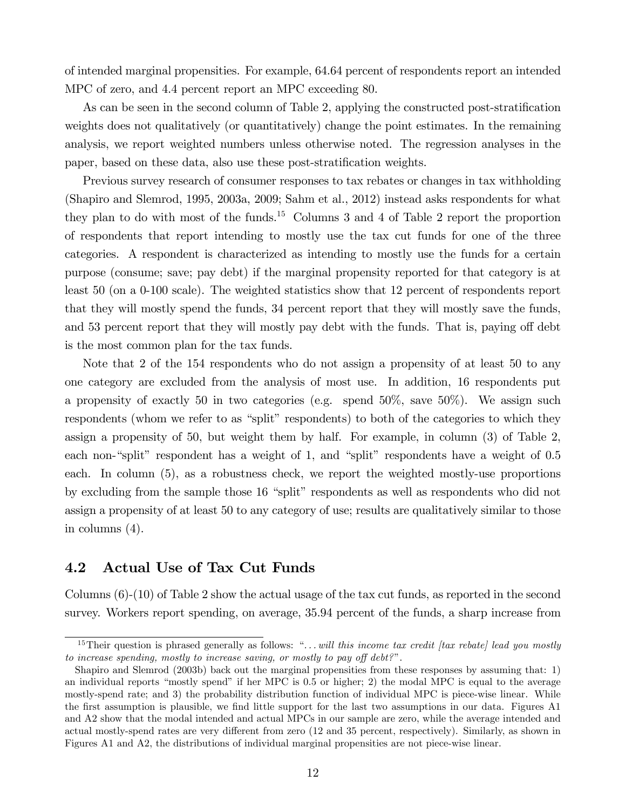of intended marginal propensities. For example, 64.64 percent of respondents report an intended MPC of zero, and 4.4 percent report an MPC exceeding 80.

As can be seen in the second column of Table 2, applying the constructed post-stratification weights does not qualitatively (or quantitatively) change the point estimates. In the remaining analysis, we report weighted numbers unless otherwise noted. The regression analyses in the paper, based on these data, also use these post-stratification weights.

Previous survey research of consumer responses to tax rebates or changes in tax withholding (Shapiro and Slemrod, 1995, 2003a, 2009; Sahm et al., 2012) instead asks respondents for what they plan to do with most of the funds.<sup>15</sup> Columns 3 and 4 of Table 2 report the proportion of respondents that report intending to mostly use the tax cut funds for one of the three categories. A respondent is characterized as intending to mostly use the funds for a certain purpose (consume; save; pay debt) if the marginal propensity reported for that category is at least 50 (on a 0-100 scale). The weighted statistics show that 12 percent of respondents report that they will mostly spend the funds, 34 percent report that they will mostly save the funds, and 53 percent report that they will mostly pay debt with the funds. That is, paying off debt is the most common plan for the tax funds.

Note that 2 of the 154 respondents who do not assign a propensity of at least 50 to any one category are excluded from the analysis of most use. In addition, 16 respondents put a propensity of exactly 50 in two categories (e.g. spend 50%, save 50%). We assign such respondents (whom we refer to as "split" respondents) to both of the categories to which they assign a propensity of 50, but weight them by half. For example, in column (3) of Table 2, each non-"split" respondent has a weight of 1, and "split" respondents have a weight of  $0.5$ each. In column (5), as a robustness check, we report the weighted mostly-use proportions by excluding from the sample those 16 "split" respondents as well as respondents who did not assign a propensity of at least 50 to any category of use; results are qualitatively similar to those in columns (4).

## 4.2 Actual Use of Tax Cut Funds

Columns (6)-(10) of Table 2 show the actual usage of the tax cut funds, as reported in the second survey. Workers report spending, on average, 35.94 percent of the funds, a sharp increase from

<sup>&</sup>lt;sup>15</sup>Their question is phrased generally as follows: " $\dots$  will this income tax credit [tax rebate] lead you mostly to increase spending, mostly to increase saving, or mostly to pay off  $debt?$ ".

Shapiro and Slemrod (2003b) back out the marginal propensities from these responses by assuming that: 1) an individual reports "mostly spend" if her MPC is  $0.5$  or higher; 2) the modal MPC is equal to the average mostly-spend rate; and 3) the probability distribution function of individual MPC is piece-wise linear. While the first assumption is plausible, we find little support for the last two assumptions in our data. Figures A1 and A2 show that the modal intended and actual MPCs in our sample are zero, while the average intended and actual mostly-spend rates are very different from zero (12 and 35 percent, respectively). Similarly, as shown in Figures A1 and A2, the distributions of individual marginal propensities are not piece-wise linear.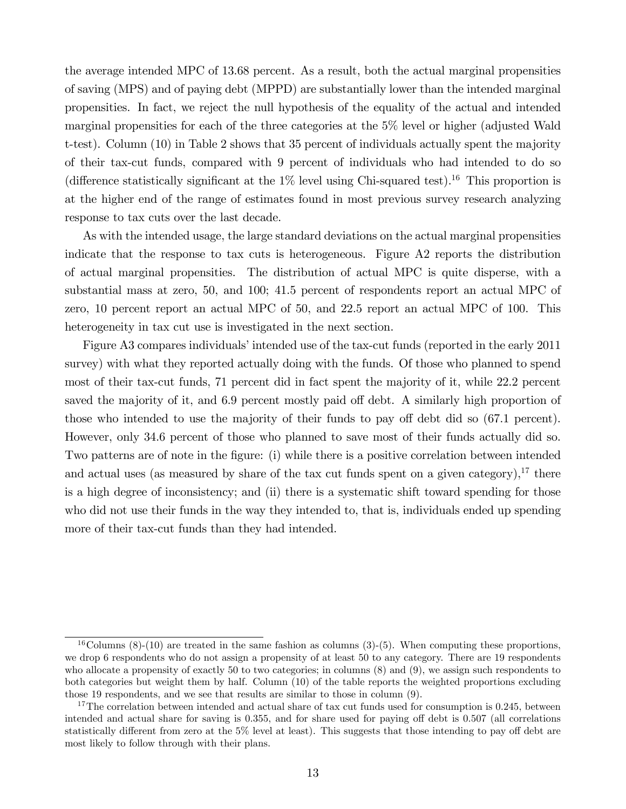the average intended MPC of 13.68 percent. As a result, both the actual marginal propensities of saving (MPS) and of paying debt (MPPD) are substantially lower than the intended marginal propensities. In fact, we reject the null hypothesis of the equality of the actual and intended marginal propensities for each of the three categories at the 5% level or higher (adjusted Wald t-test). Column (10) in Table 2 shows that 35 percent of individuals actually spent the majority of their tax-cut funds, compared with 9 percent of individuals who had intended to do so (difference statistically significant at the  $1\%$  level using Chi-squared test).<sup>16</sup> This proportion is at the higher end of the range of estimates found in most previous survey research analyzing response to tax cuts over the last decade.

As with the intended usage, the large standard deviations on the actual marginal propensities indicate that the response to tax cuts is heterogeneous. Figure A2 reports the distribution of actual marginal propensities. The distribution of actual MPC is quite disperse, with a substantial mass at zero, 50, and 100; 41.5 percent of respondents report an actual MPC of zero, 10 percent report an actual MPC of 50, and 22.5 report an actual MPC of 100. This heterogeneity in tax cut use is investigated in the next section.

Figure A3 compares individuals' intended use of the tax-cut funds (reported in the early 2011 survey) with what they reported actually doing with the funds. Of those who planned to spend most of their tax-cut funds, 71 percent did in fact spent the majority of it, while 22.2 percent saved the majority of it, and 6.9 percent mostly paid off debt. A similarly high proportion of those who intended to use the majority of their funds to pay off debt did so  $(67.1 \text{ percent})$ . However, only 34.6 percent of those who planned to save most of their funds actually did so. Two patterns are of note in the figure: (i) while there is a positive correlation between intended and actual uses (as measured by share of the tax cut funds spent on a given category),  $17$  there is a high degree of inconsistency; and (ii) there is a systematic shift toward spending for those who did not use their funds in the way they intended to, that is, individuals ended up spending more of their tax-cut funds than they had intended.

<sup>&</sup>lt;sup>16</sup>Columns (8)-(10) are treated in the same fashion as columns (3)-(5). When computing these proportions, we drop 6 respondents who do not assign a propensity of at least 50 to any category. There are 19 respondents who allocate a propensity of exactly 50 to two categories; in columns (8) and (9), we assign such respondents to both categories but weight them by half. Column (10) of the table reports the weighted proportions excluding those 19 respondents, and we see that results are similar to those in column (9).

<sup>&</sup>lt;sup>17</sup>The correlation between intended and actual share of tax cut funds used for consumption is 0.245, between intended and actual share for saving is 0.355, and for share used for paying off debt is 0.507 (all correlations statistically different from zero at the  $5\%$  level at least). This suggests that those intending to pay off debt are most likely to follow through with their plans.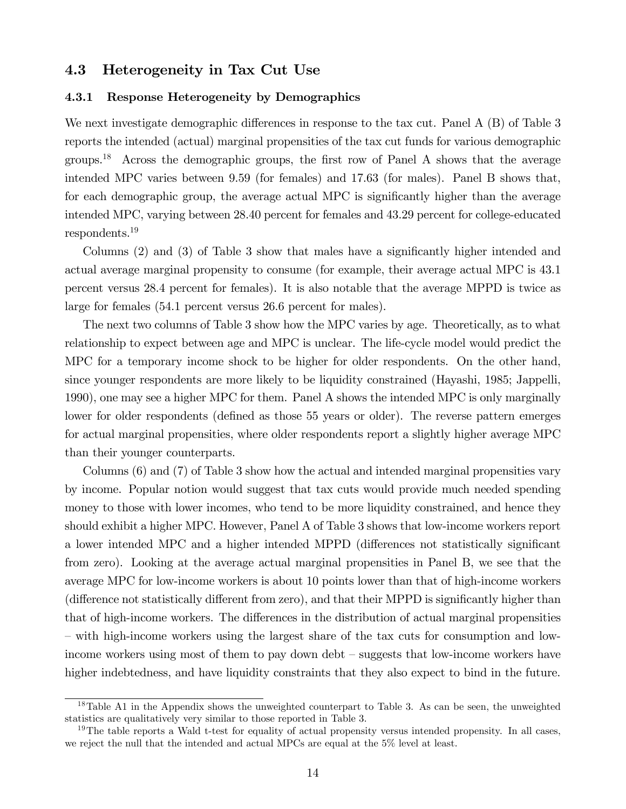### 4.3 Heterogeneity in Tax Cut Use

#### 4.3.1 Response Heterogeneity by Demographics

We next investigate demographic differences in response to the tax cut. Panel  $A(B)$  of Table 3 reports the intended (actual) marginal propensities of the tax cut funds for various demographic groups.<sup>18</sup> Across the demographic groups, the first row of Panel A shows that the average intended MPC varies between 9.59 (for females) and 17.63 (for males). Panel B shows that, for each demographic group, the average actual MPC is significantly higher than the average intended MPC, varying between 28.40 percent for females and 43.29 percent for college-educated respondents.<sup>19</sup>

Columns (2) and (3) of Table 3 show that males have a significantly higher intended and actual average marginal propensity to consume (for example, their average actual MPC is 43.1 percent versus 28.4 percent for females). It is also notable that the average MPPD is twice as large for females (54.1 percent versus 26.6 percent for males).

The next two columns of Table 3 show how the MPC varies by age. Theoretically, as to what relationship to expect between age and MPC is unclear. The life-cycle model would predict the MPC for a temporary income shock to be higher for older respondents. On the other hand, since younger respondents are more likely to be liquidity constrained (Hayashi, 1985; Jappelli, 1990), one may see a higher MPC for them. Panel A shows the intended MPC is only marginally lower for older respondents (defined as those 55 years or older). The reverse pattern emerges for actual marginal propensities, where older respondents report a slightly higher average MPC than their younger counterparts.

Columns (6) and (7) of Table 3 show how the actual and intended marginal propensities vary by income. Popular notion would suggest that tax cuts would provide much needed spending money to those with lower incomes, who tend to be more liquidity constrained, and hence they should exhibit a higher MPC. However, Panel A of Table 3 shows that low-income workers report a lower intended MPC and a higher intended MPPD (differences not statistically significant from zero). Looking at the average actual marginal propensities in Panel B, we see that the average MPC for low-income workers is about 10 points lower than that of high-income workers (difference not statistically different from zero), and that their MPPD is significantly higher than that of high-income workers. The differences in the distribution of actual marginal propensities – with high-income workers using the largest share of the tax cuts for consumption and lowincome workers using most of them to pay down debt – suggests that low-income workers have higher indebtedness, and have liquidity constraints that they also expect to bind in the future.

<sup>18</sup>Table A1 in the Appendix shows the unweighted counterpart to Table 3. As can be seen, the unweighted statistics are qualitatively very similar to those reported in Table 3.

<sup>&</sup>lt;sup>19</sup>The table reports a Wald t-test for equality of actual propensity versus intended propensity. In all cases, we reject the null that the intended and actual MPCs are equal at the 5% level at least.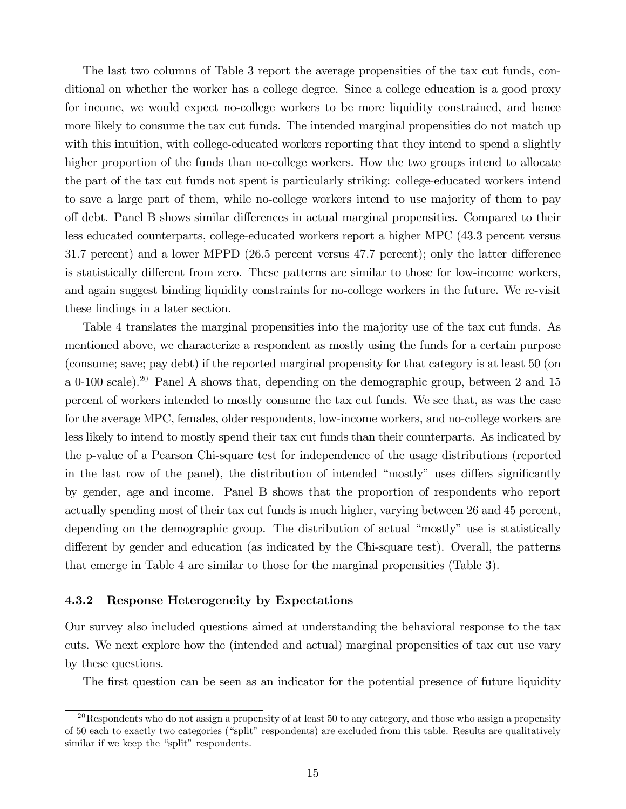The last two columns of Table 3 report the average propensities of the tax cut funds, conditional on whether the worker has a college degree. Since a college education is a good proxy for income, we would expect no-college workers to be more liquidity constrained, and hence more likely to consume the tax cut funds. The intended marginal propensities do not match up with this intuition, with college-educated workers reporting that they intend to spend a slightly higher proportion of the funds than no-college workers. How the two groups intend to allocate the part of the tax cut funds not spent is particularly striking: college-educated workers intend to save a large part of them, while no-college workers intend to use majority of them to pay off debt. Panel B shows similar differences in actual marginal propensities. Compared to their less educated counterparts, college-educated workers report a higher MPC (43.3 percent versus 31.7 percent) and a lower MPPD  $(26.5$  percent versus 47.7 percent); only the latter difference is statistically different from zero. These patterns are similar to those for low-income workers, and again suggest binding liquidity constraints for no-college workers in the future. We re-visit these findings in a later section.

Table 4 translates the marginal propensities into the majority use of the tax cut funds. As mentioned above, we characterize a respondent as mostly using the funds for a certain purpose (consume; save; pay debt) if the reported marginal propensity for that category is at least 50 (on a 0-100 scale).<sup>20</sup> Panel A shows that, depending on the demographic group, between 2 and 15 percent of workers intended to mostly consume the tax cut funds. We see that, as was the case for the average MPC, females, older respondents, low-income workers, and no-college workers are less likely to intend to mostly spend their tax cut funds than their counterparts. As indicated by the p-value of a Pearson Chi-square test for independence of the usage distributions (reported in the last row of the panel), the distribution of intended "mostly" uses differs significantly by gender, age and income. Panel B shows that the proportion of respondents who report actually spending most of their tax cut funds is much higher, varying between 26 and 45 percent, depending on the demographic group. The distribution of actual "mostly" use is statistically different by gender and education (as indicated by the Chi-square test). Overall, the patterns that emerge in Table 4 are similar to those for the marginal propensities (Table 3).

#### 4.3.2 Response Heterogeneity by Expectations

Our survey also included questions aimed at understanding the behavioral response to the tax cuts. We next explore how the (intended and actual) marginal propensities of tax cut use vary by these questions.

The first question can be seen as an indicator for the potential presence of future liquidity

 $^{20}$ Respondents who do not assign a propensity of at least 50 to any category, and those who assign a propensity of 50 each to exactly two categories ("split" respondents) are excluded from this table. Results are qualitatively similar if we keep the "split" respondents.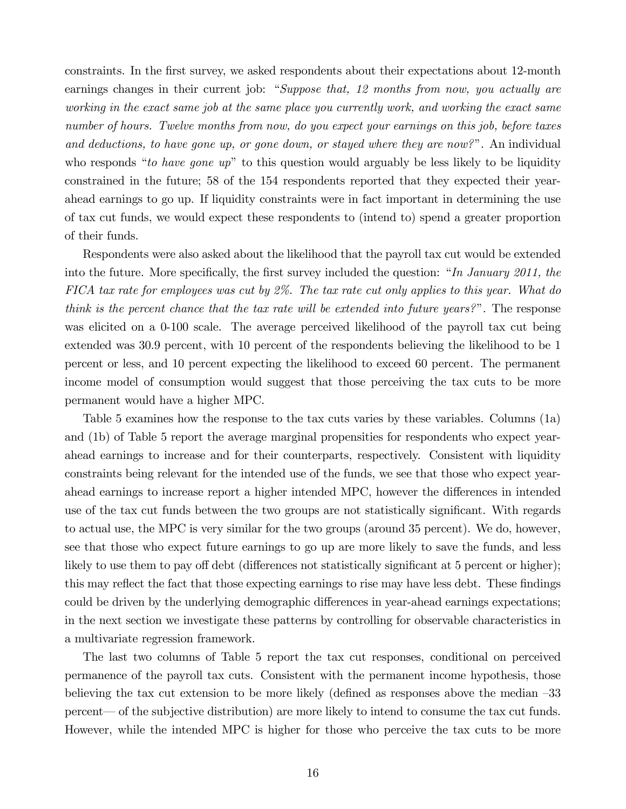constraints. In the Örst survey, we asked respondents about their expectations about 12-month earnings changes in their current job: "Suppose that, 12 months from now, you actually are working in the exact same job at the same place you currently work, and working the exact same number of hours. Twelve months from now, do you expect your earnings on this job, before taxes and deductions, to have gone up, or gone down, or stayed where they are now?". An individual who responds "to have gone  $up$ " to this question would arguably be less likely to be liquidity constrained in the future; 58 of the 154 respondents reported that they expected their yearahead earnings to go up. If liquidity constraints were in fact important in determining the use of tax cut funds, we would expect these respondents to (intend to) spend a greater proportion of their funds.

Respondents were also asked about the likelihood that the payroll tax cut would be extended into the future. More specifically, the first survey included the question: "In January 2011, the FICA tax rate for employees was cut by 2%. The tax rate cut only applies to this year. What do think is the percent chance that the tax rate will be extended into future years?". The response was elicited on a 0-100 scale. The average perceived likelihood of the payroll tax cut being extended was 30.9 percent, with 10 percent of the respondents believing the likelihood to be 1 percent or less, and 10 percent expecting the likelihood to exceed 60 percent. The permanent income model of consumption would suggest that those perceiving the tax cuts to be more permanent would have a higher MPC.

Table 5 examines how the response to the tax cuts varies by these variables. Columns (1a) and (1b) of Table 5 report the average marginal propensities for respondents who expect yearahead earnings to increase and for their counterparts, respectively. Consistent with liquidity constraints being relevant for the intended use of the funds, we see that those who expect yearahead earnings to increase report a higher intended MPC, however the differences in intended use of the tax cut funds between the two groups are not statistically significant. With regards to actual use, the MPC is very similar for the two groups (around 35 percent). We do, however, see that those who expect future earnings to go up are more likely to save the funds, and less likely to use them to pay off debt (differences not statistically significant at 5 percent or higher); this may reflect the fact that those expecting earnings to rise may have less debt. These findings could be driven by the underlying demographic differences in year-ahead earnings expectations; in the next section we investigate these patterns by controlling for observable characteristics in a multivariate regression framework.

The last two columns of Table 5 report the tax cut responses, conditional on perceived permanence of the payroll tax cuts. Consistent with the permanent income hypothesis, those believing the tax cut extension to be more likely (defined as responses above the median  $-33$ percent— of the subjective distribution) are more likely to intend to consume the tax cut funds. However, while the intended MPC is higher for those who perceive the tax cuts to be more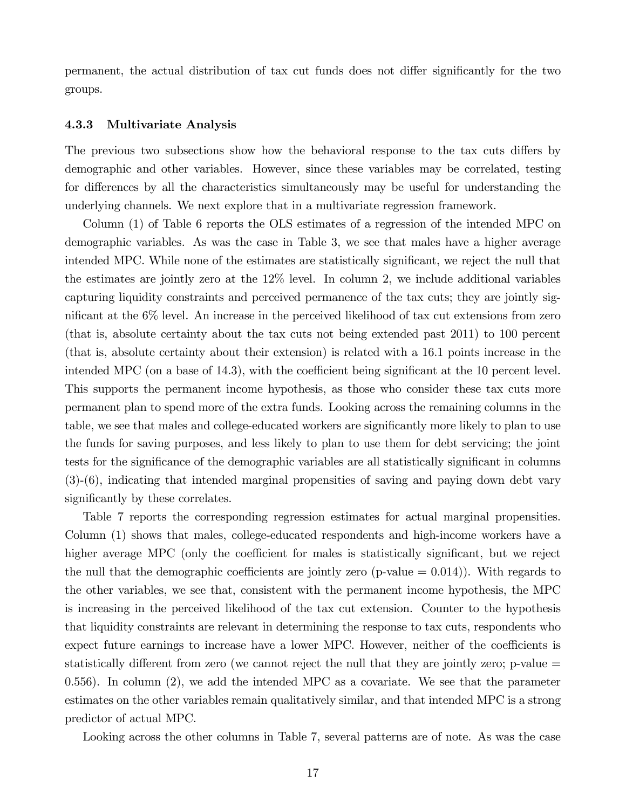permanent, the actual distribution of tax cut funds does not differ significantly for the two groups.

#### 4.3.3 Multivariate Analysis

The previous two subsections show how the behavioral response to the tax cuts differs by demographic and other variables. However, since these variables may be correlated, testing for differences by all the characteristics simultaneously may be useful for understanding the underlying channels. We next explore that in a multivariate regression framework.

Column (1) of Table 6 reports the OLS estimates of a regression of the intended MPC on demographic variables. As was the case in Table 3, we see that males have a higher average intended MPC. While none of the estimates are statistically significant, we reject the null that the estimates are jointly zero at the 12% level. In column 2, we include additional variables capturing liquidity constraints and perceived permanence of the tax cuts; they are jointly significant at the  $6\%$  level. An increase in the perceived likelihood of tax cut extensions from zero (that is, absolute certainty about the tax cuts not being extended past 2011) to 100 percent (that is, absolute certainty about their extension) is related with a 16.1 points increase in the intended MPC (on a base of  $14.3$ ), with the coefficient being significant at the 10 percent level. This supports the permanent income hypothesis, as those who consider these tax cuts more permanent plan to spend more of the extra funds. Looking across the remaining columns in the table, we see that males and college-educated workers are significantly more likely to plan to use the funds for saving purposes, and less likely to plan to use them for debt servicing; the joint tests for the significance of the demographic variables are all statistically significant in columns (3)-(6), indicating that intended marginal propensities of saving and paying down debt vary significantly by these correlates.

Table 7 reports the corresponding regression estimates for actual marginal propensities. Column (1) shows that males, college-educated respondents and high-income workers have a higher average MPC (only the coefficient for males is statistically significant, but we reject the null that the demographic coefficients are jointly zero (p-value  $= 0.014$ )). With regards to the other variables, we see that, consistent with the permanent income hypothesis, the MPC is increasing in the perceived likelihood of the tax cut extension. Counter to the hypothesis that liquidity constraints are relevant in determining the response to tax cuts, respondents who expect future earnings to increase have a lower MPC. However, neither of the coefficients is statistically different from zero (we cannot reject the null that they are jointly zero;  $p$ -value  $=$ 0.556). In column (2), we add the intended MPC as a covariate. We see that the parameter estimates on the other variables remain qualitatively similar, and that intended MPC is a strong predictor of actual MPC.

Looking across the other columns in Table 7, several patterns are of note. As was the case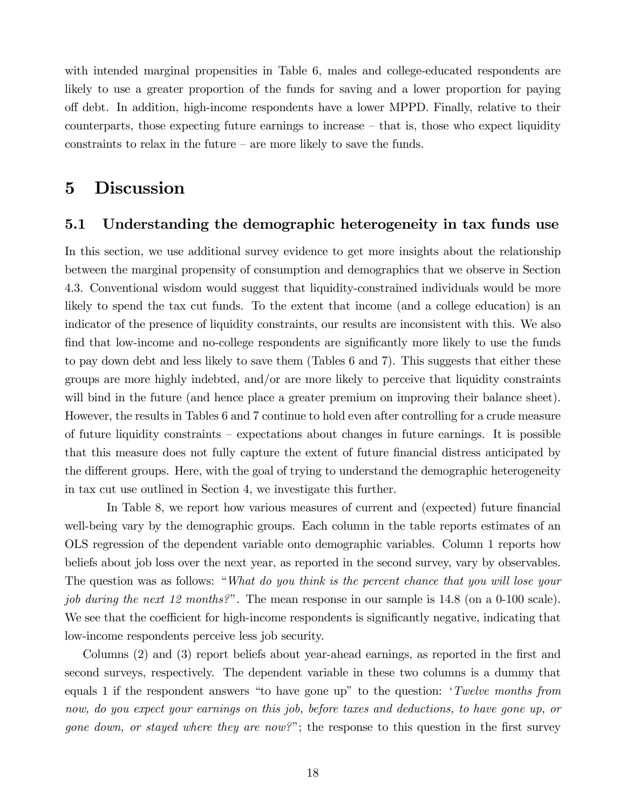with intended marginal propensities in Table 6, males and college-educated respondents are likely to use a greater proportion of the funds for saving and a lower proportion for paying o§ debt. In addition, high-income respondents have a lower MPPD. Finally, relative to their counterparts, those expecting future earnings to increase  $-$  that is, those who expect liquidity constraints to relax in the future  $-\alpha$  more likely to save the funds.

# 5 Discussion

## 5.1 Understanding the demographic heterogeneity in tax funds use

In this section, we use additional survey evidence to get more insights about the relationship between the marginal propensity of consumption and demographics that we observe in Section 4.3. Conventional wisdom would suggest that liquidity-constrained individuals would be more likely to spend the tax cut funds. To the extent that income (and a college education) is an indicator of the presence of liquidity constraints, our results are inconsistent with this. We also find that low-income and no-college respondents are significantly more likely to use the funds to pay down debt and less likely to save them (Tables 6 and 7). This suggests that either these groups are more highly indebted, and/or are more likely to perceive that liquidity constraints will bind in the future (and hence place a greater premium on improving their balance sheet). However, the results in Tables 6 and 7 continue to hold even after controlling for a crude measure of future liquidity constraints  $-\epsilon$  expectations about changes in future earnings. It is possible that this measure does not fully capture the extent of future financial distress anticipated by the different groups. Here, with the goal of trying to understand the demographic heterogeneity in tax cut use outlined in Section 4, we investigate this further.

In Table 8, we report how various measures of current and (expected) future financial well-being vary by the demographic groups. Each column in the table reports estimates of an OLS regression of the dependent variable onto demographic variables. Column 1 reports how beliefs about job loss over the next year, as reported in the second survey, vary by observables. The question was as follows: "What do you think is the percent chance that you will lose your job during the next 12 months?". The mean response in our sample is  $14.8$  (on a 0-100 scale). We see that the coefficient for high-income respondents is significantly negative, indicating that low-income respondents perceive less job security.

Columns (2) and (3) report beliefs about year-ahead earnings, as reported in the first and second surveys, respectively. The dependent variable in these two columns is a dummy that equals 1 if the respondent answers "to have gone up" to the question:  $Twelve$  months from now, do you expect your earnings on this job, before taxes and deductions, to have gone up, or gone down, or stayed where they are now?"; the response to this question in the first survey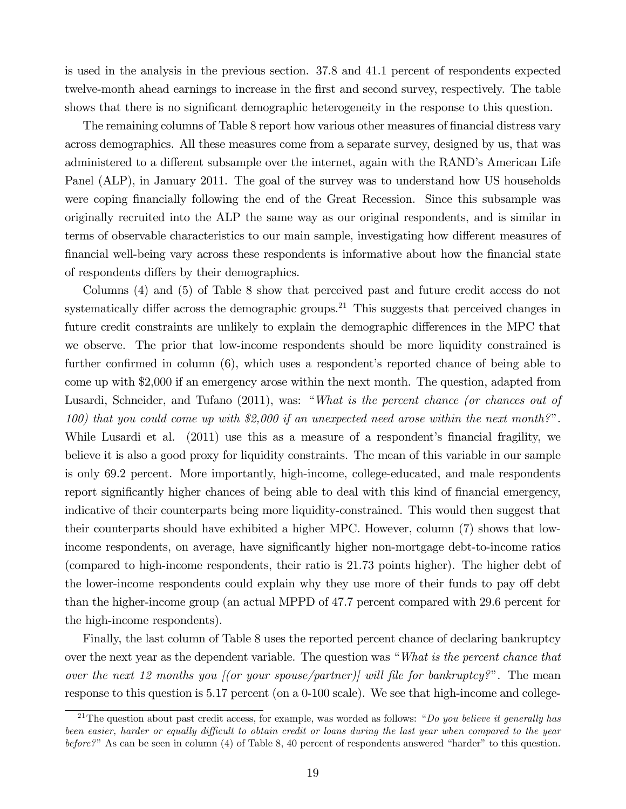is used in the analysis in the previous section. 37.8 and 41.1 percent of respondents expected twelve-month ahead earnings to increase in the Örst and second survey, respectively. The table shows that there is no significant demographic heterogeneity in the response to this question.

The remaining columns of Table 8 report how various other measures of financial distress vary across demographics. All these measures come from a separate survey, designed by us, that was administered to a different subsample over the internet, again with the RAND's American Life Panel (ALP), in January 2011. The goal of the survey was to understand how US households were coping financially following the end of the Great Recession. Since this subsample was originally recruited into the ALP the same way as our original respondents, and is similar in terms of observable characteristics to our main sample, investigating how different measures of financial well-being vary across these respondents is informative about how the financial state of respondents differs by their demographics.

Columns (4) and (5) of Table 8 show that perceived past and future credit access do not systematically differ across the demographic groups.<sup>21</sup> This suggests that perceived changes in future credit constraints are unlikely to explain the demographic differences in the MPC that we observe. The prior that low-income respondents should be more liquidity constrained is further confirmed in column  $(6)$ , which uses a respondent's reported chance of being able to come up with \$2,000 if an emergency arose within the next month. The question, adapted from Lusardi, Schneider, and Tufano (2011), was: "What is the percent chance (or chances out of 100) that you could come up with  $$2,000$  if an unexpected need arose within the next month?". While Lusardi et al. (2011) use this as a measure of a respondent's financial fragility, we believe it is also a good proxy for liquidity constraints. The mean of this variable in our sample is only 69.2 percent. More importantly, high-income, college-educated, and male respondents report significantly higher chances of being able to deal with this kind of financial emergency, indicative of their counterparts being more liquidity-constrained. This would then suggest that their counterparts should have exhibited a higher MPC. However, column (7) shows that lowincome respondents, on average, have significantly higher non-mortgage debt-to-income ratios (compared to high-income respondents, their ratio is 21.73 points higher). The higher debt of the lower-income respondents could explain why they use more of their funds to pay off debt than the higher-income group (an actual MPPD of 47.7 percent compared with 29.6 percent for the high-income respondents).

Finally, the last column of Table 8 uses the reported percent chance of declaring bankruptcy over the next year as the dependent variable. The question was "What is the percent chance that over the next 12 months you [(or your spouse/partner)] will file for bankruptcy?". The mean response to this question is 5.17 percent (on a 0-100 scale). We see that high-income and college-

<sup>&</sup>lt;sup>21</sup>The question about past credit access, for example, was worded as follows: "Do you believe it generally has been easier, harder or equally difficult to obtain credit or loans during the last year when compared to the year  $before?$ <sup>n</sup> As can be seen in column (4) of Table 8, 40 percent of respondents answered "harder" to this question.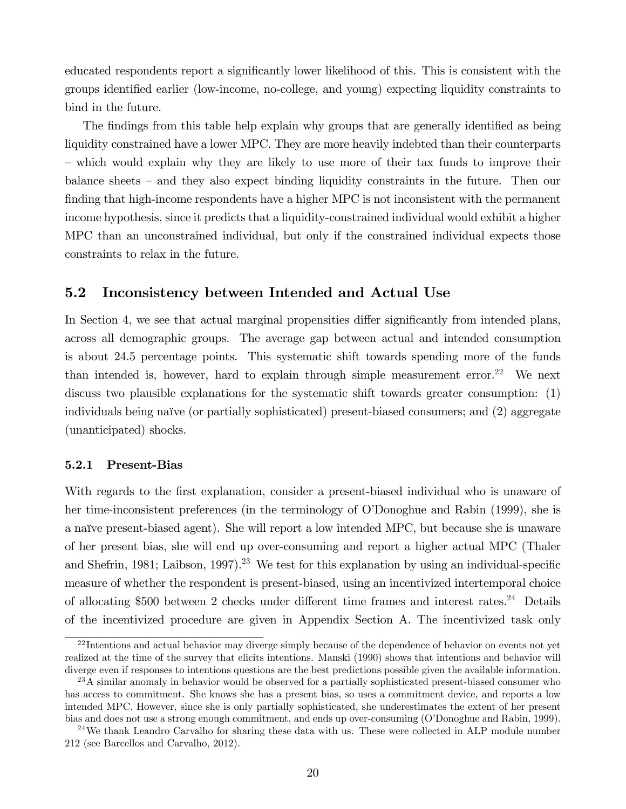educated respondents report a significantly lower likelihood of this. This is consistent with the groups identified earlier (low-income, no-college, and young) expecting liquidity constraints to bind in the future.

The findings from this table help explain why groups that are generally identified as being liquidity constrained have a lower MPC. They are more heavily indebted than their counterparts – which would explain why they are likely to use more of their tax funds to improve their balance sheets – and they also expect binding liquidity constraints in the future. Then our finding that high-income respondents have a higher MPC is not inconsistent with the permanent income hypothesis, since it predicts that a liquidity-constrained individual would exhibit a higher MPC than an unconstrained individual, but only if the constrained individual expects those constraints to relax in the future.

## 5.2 Inconsistency between Intended and Actual Use

In Section 4, we see that actual marginal propensities differ significantly from intended plans, across all demographic groups. The average gap between actual and intended consumption is about 24.5 percentage points. This systematic shift towards spending more of the funds than intended is, however, hard to explain through simple measurement error.<sup>22</sup> We next discuss two plausible explanations for the systematic shift towards greater consumption: (1) individuals being naïve (or partially sophisticated) present-biased consumers; and  $(2)$  aggregate (unanticipated) shocks.

#### 5.2.1 Present-Bias

With regards to the first explanation, consider a present-biased individual who is unaware of her time-inconsistent preferences (in the terminology of O'Donoghue and Rabin (1999), she is a naïve present-biased agent). She will report a low intended MPC, but because she is unaware of her present bias, she will end up over-consuming and report a higher actual MPC (Thaler and Shefrin, 1981; Laibson, 1997).<sup>23</sup> We test for this explanation by using an individual-specific measure of whether the respondent is present-biased, using an incentivized intertemporal choice of allocating \$500 between 2 checks under different time frames and interest rates.<sup>24</sup> Details of the incentivized procedure are given in Appendix Section A. The incentivized task only

<sup>&</sup>lt;sup>22</sup> Intentions and actual behavior may diverge simply because of the dependence of behavior on events not yet realized at the time of the survey that elicits intentions. Manski (1990) shows that intentions and behavior will diverge even if responses to intentions questions are the best predictions possible given the available information.

<sup>&</sup>lt;sup>23</sup>A similar anomaly in behavior would be observed for a partially sophisticated present-biased consumer who has access to commitment. She knows she has a present bias, so uses a commitment device, and reports a low intended MPC. However, since she is only partially sophisticated, she underestimates the extent of her present bias and does not use a strong enough commitment, and ends up over-consuming (O'Donoghue and Rabin, 1999).

<sup>&</sup>lt;sup>24</sup>We thank Leandro Carvalho for sharing these data with us. These were collected in ALP module number 212 (see Barcellos and Carvalho, 2012).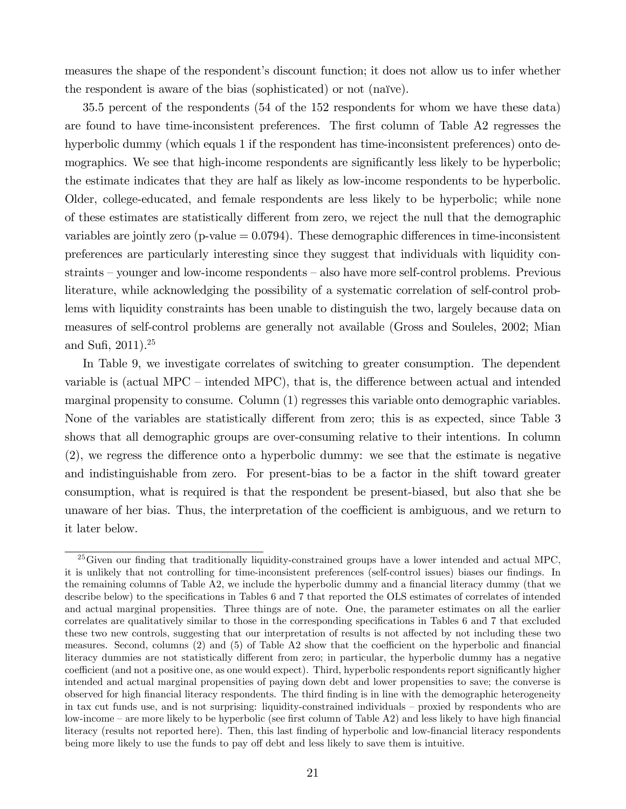measures the shape of the respondent's discount function; it does not allow us to infer whether the respondent is aware of the bias (sophisticated) or not (naïve).

35.5 percent of the respondents (54 of the 152 respondents for whom we have these data) are found to have time-inconsistent preferences. The first column of Table A2 regresses the hyperbolic dummy (which equals 1 if the respondent has time-inconsistent preferences) onto demographics. We see that high-income respondents are significantly less likely to be hyperbolic; the estimate indicates that they are half as likely as low-income respondents to be hyperbolic. Older, college-educated, and female respondents are less likely to be hyperbolic; while none of these estimates are statistically different from zero, we reject the null that the demographic variables are jointly zero ( $p$ -value  $= 0.0794$ ). These demographic differences in time-inconsistent preferences are particularly interesting since they suggest that individuals with liquidity con $strains - younger$  and low-income respondents  $-$  also have more self-control problems. Previous literature, while acknowledging the possibility of a systematic correlation of self-control problems with liquidity constraints has been unable to distinguish the two, largely because data on measures of self-control problems are generally not available (Gross and Souleles, 2002; Mian and Sufi,  $2011$ ).<sup>25</sup>

In Table 9, we investigate correlates of switching to greater consumption. The dependent variable is (actual MPC  $-$  intended MPC), that is, the difference between actual and intended marginal propensity to consume. Column (1) regresses this variable onto demographic variables. None of the variables are statistically different from zero; this is as expected, since Table 3 shows that all demographic groups are over-consuming relative to their intentions. In column  $(2)$ , we regress the difference onto a hyperbolic dummy: we see that the estimate is negative and indistinguishable from zero. For present-bias to be a factor in the shift toward greater consumption, what is required is that the respondent be present-biased, but also that she be unaware of her bias. Thus, the interpretation of the coefficient is ambiguous, and we return to it later below.

 $^{25}$ Given our finding that traditionally liquidity-constrained groups have a lower intended and actual MPC, it is unlikely that not controlling for time-inconsistent preferences (self-control issues) biases our findings. In the remaining columns of Table A2, we include the hyperbolic dummy and a financial literacy dummy (that we describe below) to the specifications in Tables 6 and 7 that reported the OLS estimates of correlates of intended and actual marginal propensities. Three things are of note. One, the parameter estimates on all the earlier correlates are qualitatively similar to those in the corresponding specifications in Tables 6 and 7 that excluded these two new controls, suggesting that our interpretation of results is not affected by not including these two measures. Second, columns  $(2)$  and  $(5)$  of Table A2 show that the coefficient on the hyperbolic and financial literacy dummies are not statistically different from zero; in particular, the hyperbolic dummy has a negative coefficient (and not a positive one, as one would expect). Third, hyperbolic respondents report significantly higher intended and actual marginal propensities of paying down debt and lower propensities to save; the converse is observed for high Önancial literacy respondents. The third Önding is in line with the demographic heterogeneity in tax cut funds use, and is not surprising: liquidity-constrained individuals – proxied by respondents who are low-income – are more likely to be hyperbolic (see first column of Table A2) and less likely to have high financial literacy (results not reported here). Then, this last finding of hyperbolic and low-financial literacy respondents being more likely to use the funds to pay off debt and less likely to save them is intuitive.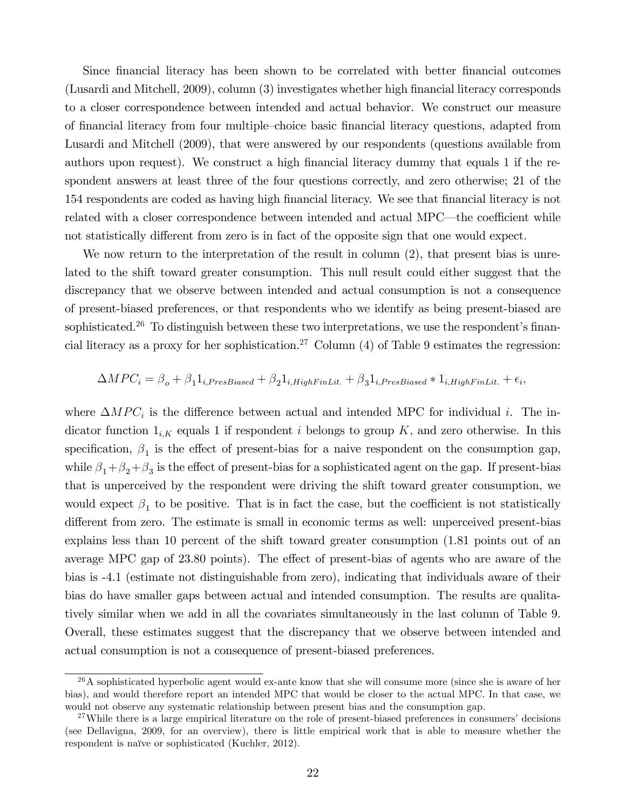Since financial literacy has been shown to be correlated with better financial outcomes (Lusardi and Mitchell, 2009), column (3) investigates whether high financial literacy corresponds to a closer correspondence between intended and actual behavior. We construct our measure of financial literacy from four multiple–choice basic financial literacy questions, adapted from Lusardi and Mitchell (2009), that were answered by our respondents (questions available from authors upon request). We construct a high financial literacy dummy that equals 1 if the respondent answers at least three of the four questions correctly, and zero otherwise; 21 of the 154 respondents are coded as having high Önancial literacy. We see that Önancial literacy is not related with a closer correspondence between intended and actual MPC—the coefficient while not statistically different from zero is in fact of the opposite sign that one would expect.

We now return to the interpretation of the result in column  $(2)$ , that present bias is unrelated to the shift toward greater consumption. This null result could either suggest that the discrepancy that we observe between intended and actual consumption is not a consequence of present-biased preferences, or that respondents who we identify as being present-biased are sophisticated.<sup>26</sup> To distinguish between these two interpretations, we use the respondent's financial literacy as a proxy for her sophistication.<sup>27</sup> Column  $(4)$  of Table 9 estimates the regression:

$$
\Delta MPC_i = \beta_o + \beta_1 1_{i,PresBiased} + \beta_2 1_{i, High FinLit.} + \beta_3 1_{i, PresBiased} * 1_{i, High FinLit.} + \epsilon_i,
$$

where  $\Delta MPC_i$  is the difference between actual and intended MPC for individual *i*. The indicator function  $1_{i,K}$  equals 1 if respondent i belongs to group K, and zero otherwise. In this specification,  $\beta_1$  is the effect of present-bias for a naive respondent on the consumption gap, while  $\beta_1 + \beta_2 + \beta_3$  is the effect of present-bias for a sophisticated agent on the gap. If present-bias that is unperceived by the respondent were driving the shift toward greater consumption, we would expect  $\beta_1$  to be positive. That is in fact the case, but the coefficient is not statistically different from zero. The estimate is small in economic terms as well: unperceived present-bias explains less than 10 percent of the shift toward greater consumption (1.81 points out of an average MPC gap of 23.80 points). The effect of present-bias of agents who are aware of the bias is -4.1 (estimate not distinguishable from zero), indicating that individuals aware of their bias do have smaller gaps between actual and intended consumption. The results are qualitatively similar when we add in all the covariates simultaneously in the last column of Table 9. Overall, these estimates suggest that the discrepancy that we observe between intended and actual consumption is not a consequence of present-biased preferences.

 $26A$  sophisticated hyperbolic agent would ex-ante know that she will consume more (since she is aware of her bias), and would therefore report an intended MPC that would be closer to the actual MPC. In that case, we would not observe any systematic relationship between present bias and the consumption gap.

 $27$ While there is a large empirical literature on the role of present-biased preferences in consumers' decisions (see Dellavigna, 2009, for an overview), there is little empirical work that is able to measure whether the respondent is naïve or sophisticated (Kuchler, 2012).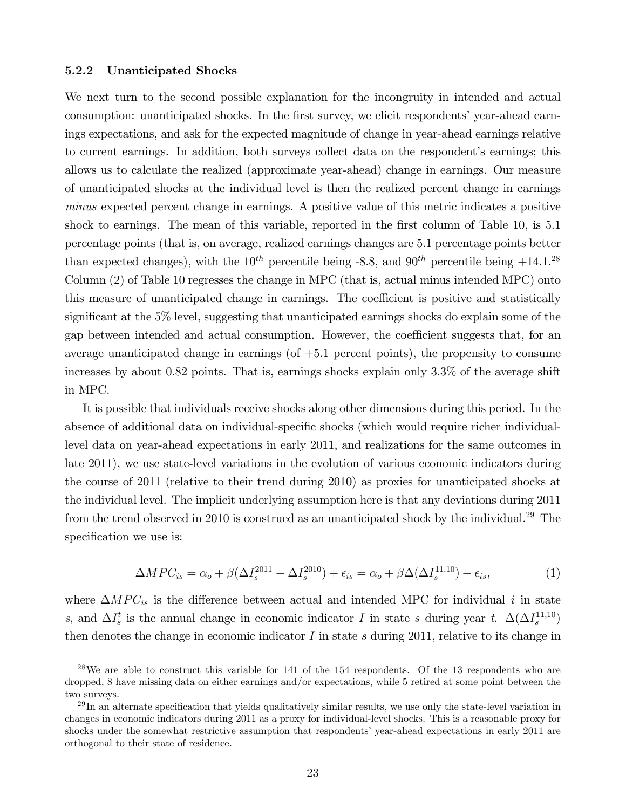#### 5.2.2 Unanticipated Shocks

We next turn to the second possible explanation for the incongruity in intended and actual consumption: unanticipated shocks. In the first survey, we elicit respondents' year-ahead earnings expectations, and ask for the expected magnitude of change in year-ahead earnings relative to current earnings. In addition, both surveys collect data on the respondent's earnings; this allows us to calculate the realized (approximate year-ahead) change in earnings. Our measure of unanticipated shocks at the individual level is then the realized percent change in earnings minus expected percent change in earnings. A positive value of this metric indicates a positive shock to earnings. The mean of this variable, reported in the first column of Table 10, is 5.1 percentage points (that is, on average, realized earnings changes are 5.1 percentage points better than expected changes), with the  $10^{th}$  percentile being -8.8, and  $90^{th}$  percentile being  $+14.1^{28}$ Column (2) of Table 10 regresses the change in MPC (that is, actual minus intended MPC) onto this measure of unanticipated change in earnings. The coefficient is positive and statistically significant at the 5% level, suggesting that unanticipated earnings shocks do explain some of the gap between intended and actual consumption. However, the coefficient suggests that, for an average unanticipated change in earnings (of +5.1 percent points), the propensity to consume increases by about 0.82 points. That is, earnings shocks explain only 3.3% of the average shift in MPC.

It is possible that individuals receive shocks along other dimensions during this period. In the absence of additional data on individual-specific shocks (which would require richer individuallevel data on year-ahead expectations in early 2011, and realizations for the same outcomes in late 2011), we use state-level variations in the evolution of various economic indicators during the course of 2011 (relative to their trend during 2010) as proxies for unanticipated shocks at the individual level. The implicit underlying assumption here is that any deviations during 2011 from the trend observed in 2010 is construed as an unanticipated shock by the individual.<sup>29</sup> The specification we use is:

$$
\Delta MPC_{is} = \alpha_o + \beta (\Delta I_s^{2011} - \Delta I_s^{2010}) + \epsilon_{is} = \alpha_o + \beta \Delta (\Delta I_s^{11,10}) + \epsilon_{is},\tag{1}
$$

where  $\Delta MPC_{is}$  is the difference between actual and intended MPC for individual i in state s, and  $\Delta I_s^t$  is the annual change in economic indicator I in state s during year t.  $\Delta(\Delta I_s^{11,10})$ then denotes the change in economic indicator  $I$  in state  $s$  during 2011, relative to its change in

 $^{28}$ We are able to construct this variable for 141 of the 154 respondents. Of the 13 respondents who are dropped, 8 have missing data on either earnings and/or expectations, while 5 retired at some point between the two surveys.

 $^{29}$ In an alternate specification that yields qualitatively similar results, we use only the state-level variation in changes in economic indicators during 2011 as a proxy for individual-level shocks. This is a reasonable proxy for shocks under the somewhat restrictive assumption that respondents' year-ahead expectations in early 2011 are orthogonal to their state of residence.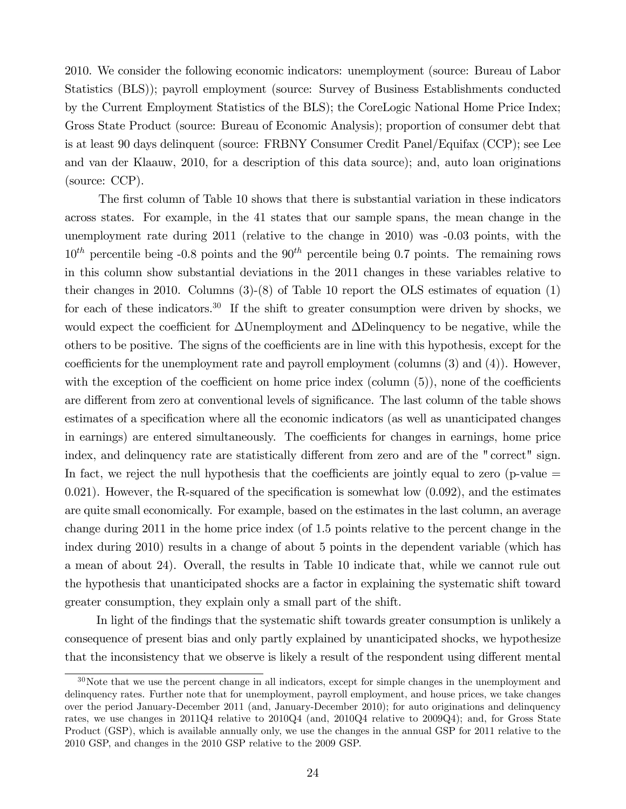2010. We consider the following economic indicators: unemployment (source: Bureau of Labor Statistics (BLS)); payroll employment (source: Survey of Business Establishments conducted by the Current Employment Statistics of the BLS); the CoreLogic National Home Price Index; Gross State Product (source: Bureau of Economic Analysis); proportion of consumer debt that is at least 90 days delinquent (source: FRBNY Consumer Credit Panel/Equifax (CCP); see Lee and van der Klaauw, 2010, for a description of this data source); and, auto loan originations (source: CCP).

The first column of Table 10 shows that there is substantial variation in these indicators across states. For example, in the 41 states that our sample spans, the mean change in the unemployment rate during 2011 (relative to the change in 2010) was -0.03 points, with the  $10^{th}$  percentile being -0.8 points and the  $90^{th}$  percentile being 0.7 points. The remaining rows in this column show substantial deviations in the 2011 changes in these variables relative to their changes in 2010. Columns (3)-(8) of Table 10 report the OLS estimates of equation (1) for each of these indicators.<sup>30</sup> If the shift to greater consumption were driven by shocks, we would expect the coefficient for  $\Delta$ Unemployment and  $\Delta$ Delinquency to be negative, while the others to be positive. The signs of the coefficients are in line with this hypothesis, except for the coefficients for the unemployment rate and payroll employment (columns  $(3)$  and  $(4)$ ). However, with the exception of the coefficient on home price index (column  $(5)$ ), none of the coefficients are different from zero at conventional levels of significance. The last column of the table shows estimates of a specification where all the economic indicators (as well as unanticipated changes in earnings) are entered simultaneously. The coefficients for changes in earnings, home price index, and delinquency rate are statistically different from zero and are of the "correct" sign. In fact, we reject the null hypothesis that the coefficients are jointly equal to zero (p-value  $=$ 0.021). However, the R-squared of the specification is somewhat low  $(0.092)$ , and the estimates are quite small economically. For example, based on the estimates in the last column, an average change during 2011 in the home price index (of 1.5 points relative to the percent change in the index during 2010) results in a change of about 5 points in the dependent variable (which has a mean of about 24). Overall, the results in Table 10 indicate that, while we cannot rule out the hypothesis that unanticipated shocks are a factor in explaining the systematic shift toward greater consumption, they explain only a small part of the shift.

In light of the findings that the systematic shift towards greater consumption is unlikely a consequence of present bias and only partly explained by unanticipated shocks, we hypothesize that the inconsistency that we observe is likely a result of the respondent using different mental

<sup>&</sup>lt;sup>30</sup>Note that we use the percent change in all indicators, except for simple changes in the unemployment and delinquency rates. Further note that for unemployment, payroll employment, and house prices, we take changes over the period January-December 2011 (and, January-December 2010); for auto originations and delinquency rates, we use changes in 2011Q4 relative to 2010Q4 (and, 2010Q4 relative to 2009Q4); and, for Gross State Product (GSP), which is available annually only, we use the changes in the annual GSP for 2011 relative to the 2010 GSP, and changes in the 2010 GSP relative to the 2009 GSP.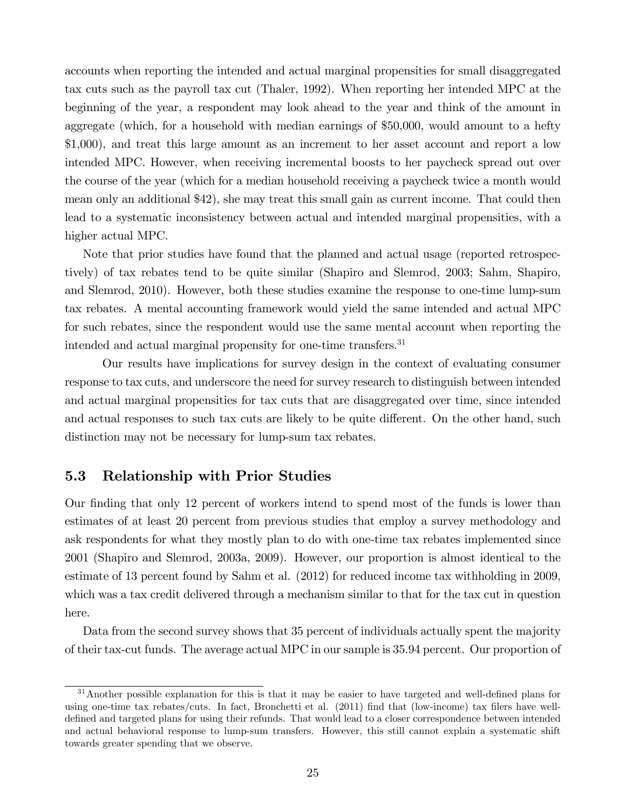accounts when reporting the intended and actual marginal propensities for small disaggregated tax cuts such as the payroll tax cut (Thaler, 1992). When reporting her intended MPC at the beginning of the year, a respondent may look ahead to the year and think of the amount in aggregate (which, for a household with median earnings of \$50,000, would amount to a hefty \$1,000), and treat this large amount as an increment to her asset account and report a low intended MPC. However, when receiving incremental boosts to her paycheck spread out over the course of the year (which for a median household receiving a paycheck twice a month would mean only an additional \$42), she may treat this small gain as current income. That could then lead to a systematic inconsistency between actual and intended marginal propensities, with a higher actual MPC.

Note that prior studies have found that the planned and actual usage (reported retrospectively) of tax rebates tend to be quite similar (Shapiro and Slemrod, 2003; Sahm, Shapiro, and Slemrod, 2010). However, both these studies examine the response to one-time lump-sum tax rebates. A mental accounting framework would yield the same intended and actual MPC for such rebates, since the respondent would use the same mental account when reporting the intended and actual marginal propensity for one-time transfers.<sup>31</sup>

Our results have implications for survey design in the context of evaluating consumer response to tax cuts, and underscore the need for survey research to distinguish between intended and actual marginal propensities for tax cuts that are disaggregated over time, since intended and actual responses to such tax cuts are likely to be quite different. On the other hand, such distinction may not be necessary for lump-sum tax rebates.

## 5.3 Relationship with Prior Studies

Our finding that only 12 percent of workers intend to spend most of the funds is lower than estimates of at least 20 percent from previous studies that employ a survey methodology and ask respondents for what they mostly plan to do with one-time tax rebates implemented since 2001 (Shapiro and Slemrod, 2003a, 2009). However, our proportion is almost identical to the estimate of 13 percent found by Sahm et al. (2012) for reduced income tax withholding in 2009, which was a tax credit delivered through a mechanism similar to that for the tax cut in question here.

Data from the second survey shows that 35 percent of individuals actually spent the majority of their tax-cut funds. The average actual MPC in our sample is 35.94 percent. Our proportion of

<sup>&</sup>lt;sup>31</sup>Another possible explanation for this is that it may be easier to have targeted and well-defined plans for using one-time tax rebates/cuts. In fact, Bronchetti et al. (2011) find that (low-income) tax filers have welldefined and targeted plans for using their refunds. That would lead to a closer correspondence between intended and actual behavioral response to lump-sum transfers. However, this still cannot explain a systematic shift towards greater spending that we observe.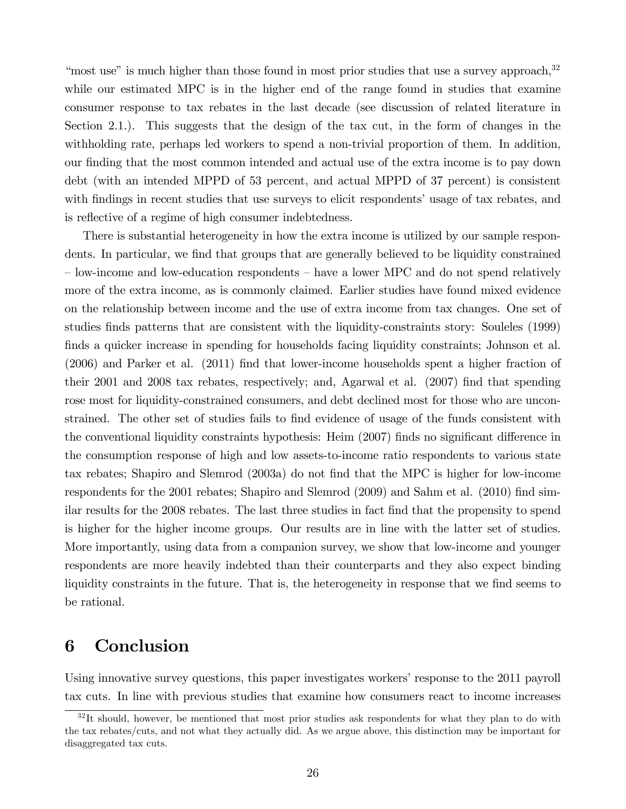"most use" is much higher than those found in most prior studies that use a survey approach,  $32$ while our estimated MPC is in the higher end of the range found in studies that examine consumer response to tax rebates in the last decade (see discussion of related literature in Section 2.1.). This suggests that the design of the tax cut, in the form of changes in the withholding rate, perhaps led workers to spend a non-trivial proportion of them. In addition, our finding that the most common intended and actual use of the extra income is to pay down debt (with an intended MPPD of 53 percent, and actual MPPD of 37 percent) is consistent with findings in recent studies that use surveys to elicit respondents' usage of tax rebates, and is reflective of a regime of high consumer indebtedness.

There is substantial heterogeneity in how the extra income is utilized by our sample respondents. In particular, we find that groups that are generally believed to be liquidity constrained  $\sim$  low-income and low-education respondents  $\sim$  have a lower MPC and do not spend relatively more of the extra income, as is commonly claimed. Earlier studies have found mixed evidence on the relationship between income and the use of extra income from tax changes. One set of studies finds patterns that are consistent with the liquidity-constraints story: Souleles (1999) finds a quicker increase in spending for households facing liquidity constraints; Johnson et al. (2006) and Parker et al. (2011) Önd that lower-income households spent a higher fraction of their 2001 and 2008 tax rebates, respectively; and, Agarwal et al.  $(2007)$  find that spending rose most for liquidity-constrained consumers, and debt declined most for those who are unconstrained. The other set of studies fails to find evidence of usage of the funds consistent with the conventional liquidity constraints hypothesis: Heim (2007) finds no significant difference in the consumption response of high and low assets-to-income ratio respondents to various state tax rebates; Shapiro and Slemrod (2003a) do not find that the MPC is higher for low-income respondents for the 2001 rebates; Shapiro and Slemrod (2009) and Sahm et al. (2010) find similar results for the 2008 rebates. The last three studies in fact Önd that the propensity to spend is higher for the higher income groups. Our results are in line with the latter set of studies. More importantly, using data from a companion survey, we show that low-income and younger respondents are more heavily indebted than their counterparts and they also expect binding liquidity constraints in the future. That is, the heterogeneity in response that we find seems to be rational.

# 6 Conclusion

Using innovative survey questions, this paper investigates workers' response to the 2011 payroll tax cuts. In line with previous studies that examine how consumers react to income increases

 $32$ It should, however, be mentioned that most prior studies ask respondents for what they plan to do with the tax rebates/cuts, and not what they actually did. As we argue above, this distinction may be important for disaggregated tax cuts.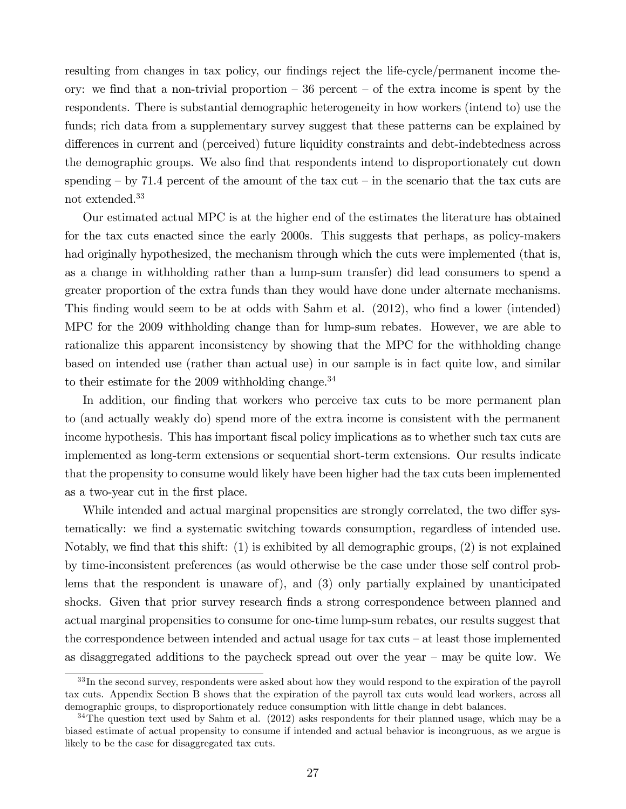resulting from changes in tax policy, our findings reject the life-cycle/permanent income theory: we find that a non-trivial proportion  $-36$  percent  $-$  of the extra income is spent by the respondents. There is substantial demographic heterogeneity in how workers (intend to) use the funds; rich data from a supplementary survey suggest that these patterns can be explained by differences in current and (perceived) future liquidity constraints and debt-indebtedness across the demographic groups. We also find that respondents intend to disproportionately cut down spending  $-$  by 71.4 percent of the amount of the tax cut  $-$  in the scenario that the tax cuts are not extended.<sup>33</sup>

Our estimated actual MPC is at the higher end of the estimates the literature has obtained for the tax cuts enacted since the early 2000s. This suggests that perhaps, as policy-makers had originally hypothesized, the mechanism through which the cuts were implemented (that is, as a change in withholding rather than a lump-sum transfer) did lead consumers to spend a greater proportion of the extra funds than they would have done under alternate mechanisms. This finding would seem to be at odds with Sahm et al. (2012), who find a lower (intended) MPC for the 2009 withholding change than for lump-sum rebates. However, we are able to rationalize this apparent inconsistency by showing that the MPC for the withholding change based on intended use (rather than actual use) in our sample is in fact quite low, and similar to their estimate for the 2009 withholding change. $34$ 

In addition, our finding that workers who perceive tax cuts to be more permanent plan to (and actually weakly do) spend more of the extra income is consistent with the permanent income hypothesis. This has important fiscal policy implications as to whether such tax cuts are implemented as long-term extensions or sequential short-term extensions. Our results indicate that the propensity to consume would likely have been higher had the tax cuts been implemented as a two-year cut in the Örst place.

While intended and actual marginal propensities are strongly correlated, the two differ systematically: we find a systematic switching towards consumption, regardless of intended use. Notably, we find that this shift:  $(1)$  is exhibited by all demographic groups,  $(2)$  is not explained by time-inconsistent preferences (as would otherwise be the case under those self control problems that the respondent is unaware of), and (3) only partially explained by unanticipated shocks. Given that prior survey research finds a strong correspondence between planned and actual marginal propensities to consume for one-time lump-sum rebates, our results suggest that the correspondence between intended and actual usage for tax cuts  $-$  at least those implemented as disaggregated additions to the paycheck spread out over the year  $-$  may be quite low. We

<sup>&</sup>lt;sup>33</sup>In the second survey, respondents were asked about how they would respond to the expiration of the payroll tax cuts. Appendix Section B shows that the expiration of the payroll tax cuts would lead workers, across all demographic groups, to disproportionately reduce consumption with little change in debt balances.

<sup>&</sup>lt;sup>34</sup>The question text used by Sahm et al. (2012) asks respondents for their planned usage, which may be a biased estimate of actual propensity to consume if intended and actual behavior is incongruous, as we argue is likely to be the case for disaggregated tax cuts.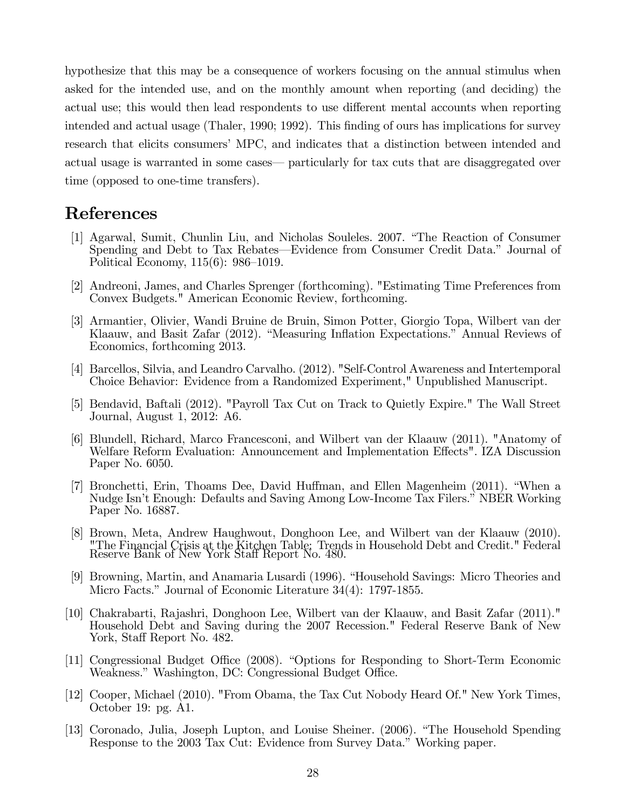hypothesize that this may be a consequence of workers focusing on the annual stimulus when asked for the intended use, and on the monthly amount when reporting (and deciding) the actual use; this would then lead respondents to use different mental accounts when reporting intended and actual usage (Thaler, 1990; 1992). This finding of ours has implications for survey research that elicits consumers' MPC, and indicates that a distinction between intended and actual usage is warranted in some cases— particularly for tax cuts that are disaggregated over time (opposed to one-time transfers).

# References

- [1] Agarwal, Sumit, Chunlin Liu, and Nicholas Souleles. 2007. "The Reaction of Consumer Spending and Debt to Tax Rebates—Evidence from Consumer Credit Data." Journal of Political Economy,  $115(6)$ : 986–1019.
- [2] Andreoni, James, and Charles Sprenger (forthcoming). "Estimating Time Preferences from Convex Budgets." American Economic Review, forthcoming.
- [3] Armantier, Olivier, Wandi Bruine de Bruin, Simon Potter, Giorgio Topa, Wilbert van der Klaauw, and Basit Zafar (2012). "Measuring Inflation Expectations." Annual Reviews of Economics, forthcoming 2013.
- [4] Barcellos, Silvia, and Leandro Carvalho. (2012). "Self-Control Awareness and Intertemporal Choice Behavior: Evidence from a Randomized Experiment," Unpublished Manuscript.
- [5] Bendavid, Baftali (2012). "Payroll Tax Cut on Track to Quietly Expire." The Wall Street Journal, August 1, 2012: A6.
- [6] Blundell, Richard, Marco Francesconi, and Wilbert van der Klaauw (2011). "Anatomy of Welfare Reform Evaluation: Announcement and Implementation Effects". IZA Discussion Paper No. 6050.
- [7] Bronchetti, Erin, Thoams Dee, David Huffman, and Ellen Magenheim (2011). "When a Nudge Isn't Enough: Defaults and Saving Among Low-Income Tax Filers." NBER Working Paper No. 16887.
- [8] Brown, Meta, Andrew Haughwout, Donghoon Lee, and Wilbert van der Klaauw (2010). "The Financial Crisis at the Kitchen Table: Trends in Household Debt and Credit." Federal Reserve Bank of New York Staff Report No. 480.
- [9] Browning, Martin, and Anamaria Lusardi (1996). "Household Savings: Micro Theories and Micro Facts." Journal of Economic Literature 34(4): 1797-1855.
- [10] Chakrabarti, Rajashri, Donghoon Lee, Wilbert van der Klaauw, and Basit Zafar (2011)." Household Debt and Saving during the 2007 Recession." Federal Reserve Bank of New York, Staff Report No. 482.
- [11] Congressional Budget Office (2008). "Options for Responding to Short-Term Economic Weakness." Washington, DC: Congressional Budget Office.
- [12] Cooper, Michael (2010). "From Obama, the Tax Cut Nobody Heard Of." New York Times, October 19: pg. A1.
- [13] Coronado, Julia, Joseph Lupton, and Louise Sheiner. (2006). "The Household Spending Response to the 2003 Tax Cut: Evidence from Survey Data.<sup>3</sup> Working paper.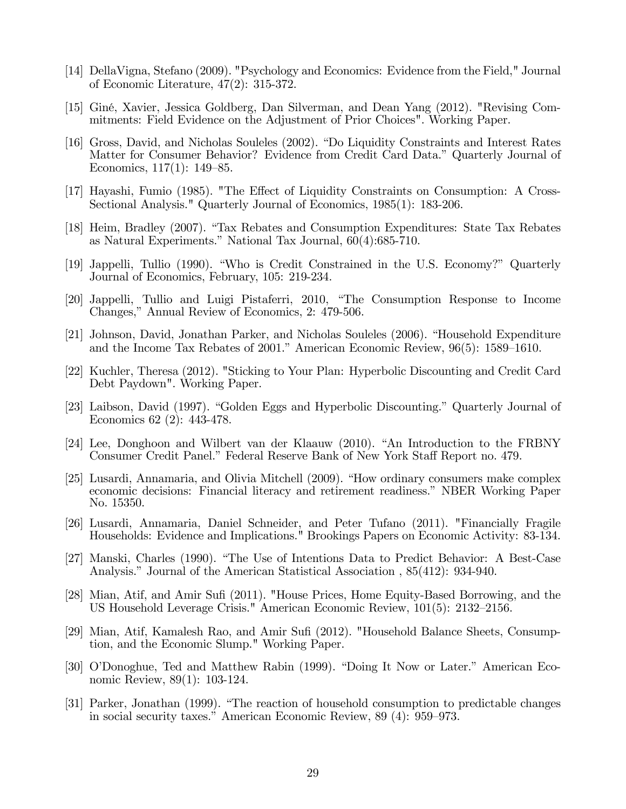- [14] DellaVigna, Stefano (2009). "Psychology and Economics: Evidence from the Field," Journal of Economic Literature, 47(2): 315-372.
- [15] GinÈ, Xavier, Jessica Goldberg, Dan Silverman, and Dean Yang (2012). "Revising Commitments: Field Evidence on the Adjustment of Prior Choices". Working Paper.
- [16] Gross, David, and Nicholas Souleles (2002). "Do Liquidity Constraints and Interest Rates Matter for Consumer Behavior? Evidence from Credit Card Data.î Quarterly Journal of Economics,  $117(1)$ :  $149-85$ .
- [17] Hayashi, Fumio (1985). "The Effect of Liquidity Constraints on Consumption: A Cross-Sectional Analysis." Quarterly Journal of Economics, 1985(1): 183-206.
- [18] Heim, Bradley (2007). "Tax Rebates and Consumption Expenditures: State Tax Rebates as Natural Experiments." National Tax Journal,  $60(4):685-710$ .
- [19] Jappelli, Tullio (1990). "Who is Credit Constrained in the U.S. Economy?" Quarterly Journal of Economics, February, 105: 219-234.
- [20] Jappelli, Tullio and Luigi Pistaferri, 2010, "The Consumption Response to Income Changes," Annual Review of Economics, 2: 479-506.
- [21] Johnson, David, Jonathan Parker, and Nicholas Souleles (2006). "Household Expenditure and the Income Tax Rebates of 2001." American Economic Review,  $96(5)$ : 1589–1610.
- [22] Kuchler, Theresa (2012). "Sticking to Your Plan: Hyperbolic Discounting and Credit Card Debt Paydown". Working Paper.
- [23] Laibson, David (1997). "Golden Eggs and Hyperbolic Discounting." Quarterly Journal of Economics 62 (2): 443-478.
- [24] Lee, Donghoon and Wilbert van der Klaauw (2010). "An Introduction to the FRBNY Consumer Credit Panel." Federal Reserve Bank of New York Staff Report no. 479.
- [25] Lusardi, Annamaria, and Olivia Mitchell (2009). "How ordinary consumers make complex economic decisions: Financial literacy and retirement readiness.î NBER Working Paper No. 15350.
- [26] Lusardi, Annamaria, Daniel Schneider, and Peter Tufano (2011). "Financially Fragile Households: Evidence and Implications." Brookings Papers on Economic Activity: 83-134.
- [27] Manski, Charles (1990). "The Use of Intentions Data to Predict Behavior: A Best-Case Analysis." Journal of the American Statistical Association , 85(412): 934-940.
- [28] Mian, Atif, and Amir Sufi (2011). "House Prices, Home Equity-Based Borrowing, and the US Household Leverage Crisis." American Economic Review,  $101(5)$ : 2132–2156.
- [29] Mian, Atif, Kamalesh Rao, and Amir Sufi (2012). "Household Balance Sheets, Consumption, and the Economic Slump." Working Paper.
- [30] O'Donoghue, Ted and Matthew Rabin (1999). "Doing It Now or Later." American Economic Review, 89(1): 103-124.
- [31] Parker, Jonathan (1999). "The reaction of household consumption to predictable changes in social security taxes." American Economic Review, 89 (4): 959–973.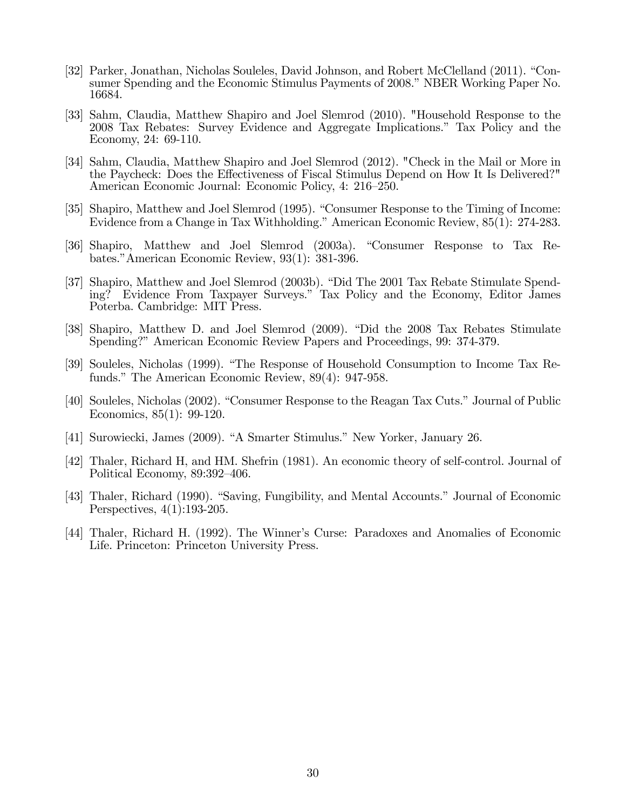- [32] Parker, Jonathan, Nicholas Souleles, David Johnson, and Robert McClelland (2011). "Consumer Spending and the Economic Stimulus Payments of 2008." NBER Working Paper No. 16684.
- [33] Sahm, Claudia, Matthew Shapiro and Joel Slemrod (2010). "Household Response to the 2008 Tax Rebates: Survey Evidence and Aggregate Implications.î Tax Policy and the Economy, 24: 69-110.
- [34] Sahm, Claudia, Matthew Shapiro and Joel Slemrod (2012). "Check in the Mail or More in the Paycheck: Does the Effectiveness of Fiscal Stimulus Depend on How It Is Delivered?" American Economic Journal: Economic Policy, 4: 216–250.
- [35] Shapiro, Matthew and Joel Slemrod (1995). "Consumer Response to the Timing of Income: Evidence from a Change in Tax Withholding." American Economic Review, 85(1): 274-283.
- [36] Shapiro, Matthew and Joel Slemrod (2003a). "Consumer Response to Tax Rebates." American Economic Review, 93(1): 381-396.
- [37] Shapiro, Matthew and Joel Slemrod (2003b). "Did The 2001 Tax Rebate Stimulate Spending? Evidence From Taxpayer Surveys.î Tax Policy and the Economy, Editor James Poterba. Cambridge: MIT Press.
- [38] Shapiro, Matthew D. and Joel Slemrod (2009). "Did the 2008 Tax Rebates Stimulate Spending?" American Economic Review Papers and Proceedings, 99: 374-379.
- [39] Souleles, Nicholas (1999). "The Response of Household Consumption to Income Tax Refunds." The American Economic Review,  $89(4)$ : 947-958.
- [40] Souleles, Nicholas (2002). "Consumer Response to the Reagan Tax Cuts." Journal of Public Economics, 85(1): 99-120.
- [41] Surowiecki, James (2009). "A Smarter Stimulus." New Yorker, January 26.
- [42] Thaler, Richard H, and HM. Shefrin (1981). An economic theory of self-control. Journal of Political Economy, 89:392-406.
- [43] Thaler, Richard (1990). "Saving, Fungibility, and Mental Accounts." Journal of Economic Perspectives, 4(1):193-205.
- [44] Thaler, Richard H. (1992). The Winnerís Curse: Paradoxes and Anomalies of Economic Life. Princeton: Princeton University Press.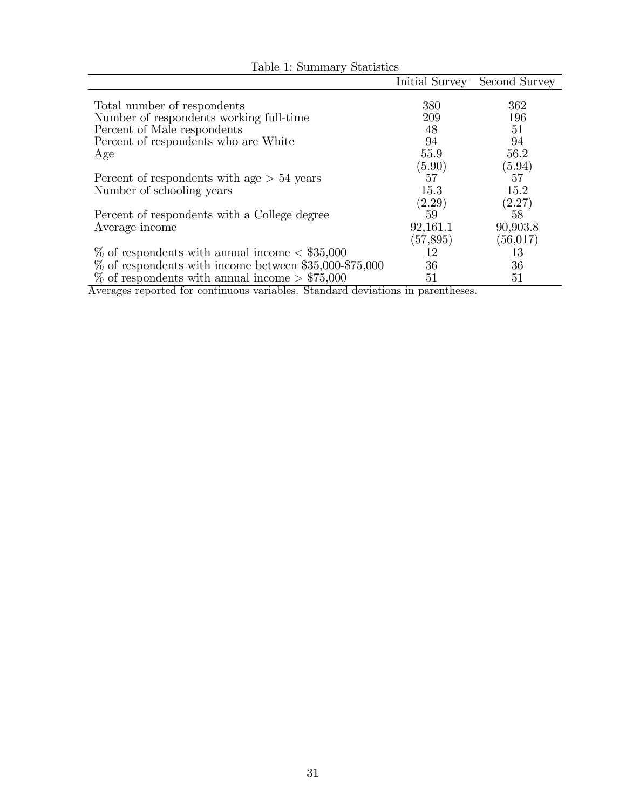|                                                           | Initial Survey | Second Survey |
|-----------------------------------------------------------|----------------|---------------|
|                                                           |                |               |
| Total number of respondents                               | 380            | 362           |
| Number of respondents working full-time                   | 209            | 196           |
| Percent of Male respondents                               | 48             | 51            |
| Percent of respondents who are White                      | 94             | 94            |
| Age                                                       | 55.9           | 56.2          |
|                                                           | (5.90)         | (5.94)        |
| Percent of respondents with age $> 54$ years              | 57             | 57            |
| Number of schooling years                                 | 15.3           | 15.2          |
|                                                           | (2.29)         | (2.27)        |
| Percent of respondents with a College degree              | 59             | 58            |
| Average income                                            | 92,161.1       | 90,903.8      |
|                                                           | (57, 895)      | (56, 017)     |
| $\%$ of respondents with annual income $\lt$ \$35,000     | 12             | 13            |
| $\%$ of respondents with income between \$35,000-\$75,000 | 36             | 36            |
| $\%$ of respondents with annual income $> $75,000$        | 51             | 51            |

Table 1: Summary Statistics

Averages reported for continuous variables. Standard deviations in parentheses.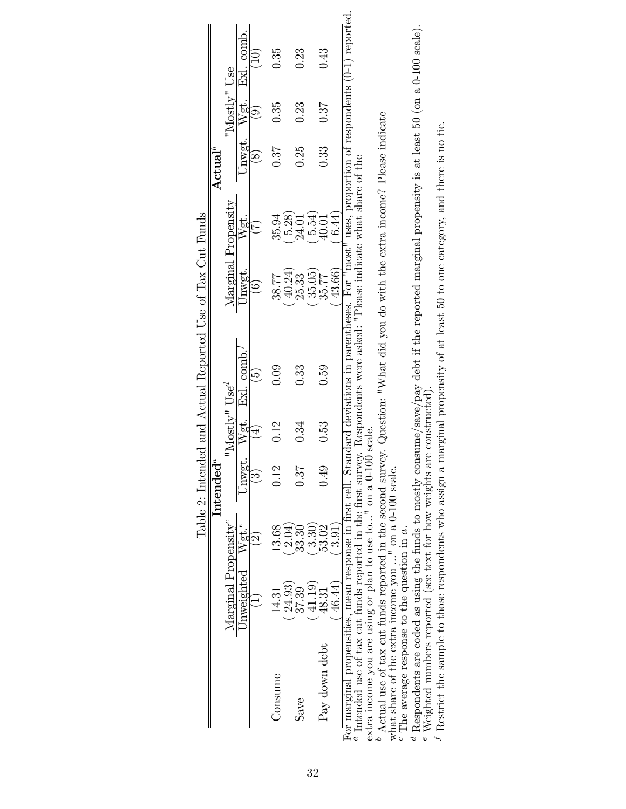|                                                                                                                                                        |                                  |                                                    |                          |                                      | lable 2: Intended and Actual Reported Use of 1ax Cut Funds |                      |                     |                  |              |                                                    |
|--------------------------------------------------------------------------------------------------------------------------------------------------------|----------------------------------|----------------------------------------------------|--------------------------|--------------------------------------|------------------------------------------------------------|----------------------|---------------------|------------------|--------------|----------------------------------------------------|
|                                                                                                                                                        |                                  |                                                    | ${\bf Intended}^a$       |                                      |                                                            |                      |                     | ${\bf Actual}^b$ |              |                                                    |
|                                                                                                                                                        | Marginal Propensity <sup>c</sup> |                                                    |                          | " $\text{Mostlv}$ " Use <sup>d</sup> |                                                            |                      | Marginal Propensity |                  | "Mostly" Use |                                                    |
|                                                                                                                                                        | Unweighted                       | Wgt. <sup>e</sup>                                  |                          |                                      | Jnwgt. $Wgt$ . Exl. comb.                                  | Unwgt.               | Wgt.                |                  |              | Unwgt. Wgt. Exl. comb.                             |
|                                                                                                                                                        |                                  | $\widehat{\mathfrak{O}}$                           | $\widetilde{\mathbb{C}}$ | $\widehat{+}$                        | $\widetilde{\Theta}$                                       |                      | $\widetilde{V}$     | $\frac{1}{8}$    | ම            | $\left( \begin{matrix} 1 \ 0 \end{matrix} \right)$ |
| Consume                                                                                                                                                | 14.31                            | 13.68                                              | 0.12                     | 0.12                                 | 0.09                                                       | 38.77                | 35.94               | 0.37             | 0.35         | 0.35                                               |
|                                                                                                                                                        | 24.93)                           | 2.04)                                              |                          |                                      |                                                            | 40.24)               | 5.28                |                  |              |                                                    |
| Save                                                                                                                                                   | 37.39                            | $33.30\,$                                          | 0.37                     | 0.34                                 | 0.33                                                       | 25.33                | 24.01               | 0.25             | 0.23         | 0.23                                               |
|                                                                                                                                                        | 41.19                            | 3.30                                               |                          |                                      |                                                            | $35.05$ )<br>$35.77$ | 5.54                |                  |              |                                                    |
| Pay down debt                                                                                                                                          | $\hphantom{0}48.31$              | 53.02                                              | 0.49                     | 0.53                                 | 0.59                                                       |                      | 40.01               | 0.33             | 0.37         | 0.43                                               |
|                                                                                                                                                        | 46.44)                           | $\left( \begin{array}{c} 3.91 \end{array} \right)$ |                          |                                      |                                                            | 43.66)               | 6.44)               |                  |              |                                                    |
| For marginal propensities, mean response in first cell. Standard deviations in parentheses. For "most" uses, proportion of respondents (0-1) reported. |                                  |                                                    |                          |                                      |                                                            |                      |                     |                  |              |                                                    |
| " Intended use of tax cut funds reported in the first survey. Respondents were asked: "Please indicate what share of the                               |                                  |                                                    |                          |                                      |                                                            |                      |                     |                  |              |                                                    |
| extra income you are using or plan to use to" on a 0-100 scale.                                                                                        |                                  |                                                    |                          |                                      |                                                            |                      |                     |                  |              |                                                    |
| Actual use of tax cut funds reported in the second survey. Question: "What did you do with the extra income? Please indicate                           |                                  |                                                    |                          |                                      |                                                            |                      |                     |                  |              |                                                    |
|                                                                                                                                                        |                                  |                                                    |                          |                                      |                                                            |                      |                     |                  |              |                                                    |

Table 2: Intended and Actual Reported Use of Tax Cut Funds f  $\frac{1}{4}$  $\vec{\zeta}$  $\mathsf{L}$ J TL  $\ddot{i}$  $\frac{p}{2}$ ŀ,  $\frac{1}{7}$ ł, É  $T_{rad}$  $\dot{\varsigma}$  $T_{\alpha}$ lala

what share of the extra income you  $\ldots$ " on a 0-100 scale. what share of the extra income you ..." on a 0-100 scale.<br>"The average response to the question in  $a$ . <sup>c</sup> The average response to the question in  $a$ .

defRespondents are coded as using the funds to mostly consume/save/pay debt if the reported marginal propensity is at least 50 (on a 0-100 scale).

Weighted numbers reported (see text for how weights are constructed).

Restrict the sample to those respondents who assign a marginal propensity of at least 50 to one category, and there is no tie.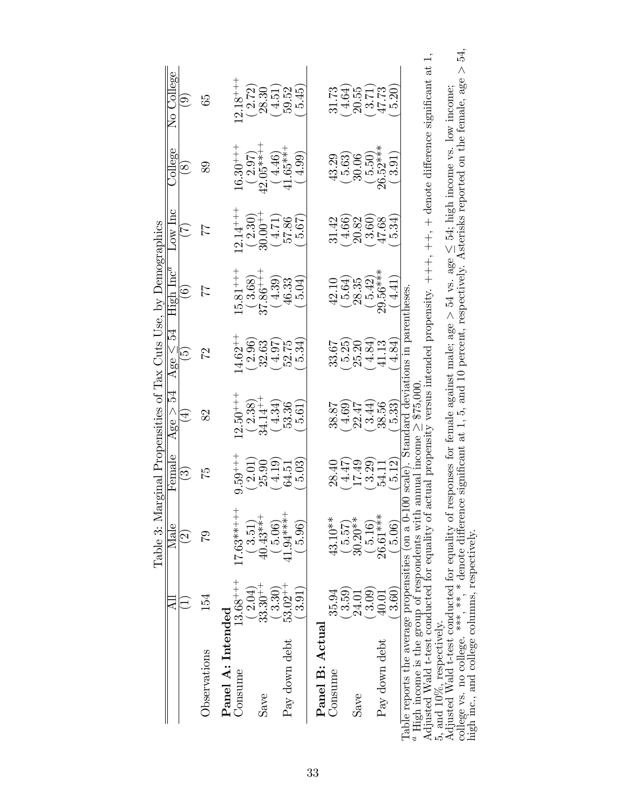|                                               | $\overline{\phantom{a}}$                                 | Table 3: Mar<br>Male<br>$\widehat{\mathfrak{D}}$                                                                                                                       | $\rm Female$<br>$\widetilde{\mathbb{C}}$ | 54<br>Age ><br>Ā                              | rS<br>Age $\leq$<br>$\widetilde{\mathbf{5}}$ | ginal Propensities of Tax Cuts Use, by Demographics<br>${\rm High~Inc}^a$<br>$\ddot{\circ}$ | $Low$ $lnc$            | College<br>$\infty$  | No College<br>$\mathcal{D}_{\mathcal{C}}$                                                                                                               |
|-----------------------------------------------|----------------------------------------------------------|------------------------------------------------------------------------------------------------------------------------------------------------------------------------|------------------------------------------|-----------------------------------------------|----------------------------------------------|---------------------------------------------------------------------------------------------|------------------------|----------------------|---------------------------------------------------------------------------------------------------------------------------------------------------------|
| Observations                                  | 154                                                      | 27                                                                                                                                                                     | 52                                       | $\infty$                                      | 22                                           |                                                                                             |                        | 89                   | 65                                                                                                                                                      |
| Panel A: Intended<br>Consume                  | $13.68^{+++}$                                            | $17.63***++$                                                                                                                                                           | $9.59^{+++}$                             | $12.50^{++}$                                  | $14.62^{++}$                                 | $15.81***$                                                                                  | $12.14^{+++}$          | $16.30^{++}$         | $12.18^{+++}$                                                                                                                                           |
|                                               | $33.30^{++}$<br>2.04)                                    | $40.43***$<br>3.51)                                                                                                                                                    | (2.01)<br>25.90                          | $34.14^{++}$<br>(2.38)                        | (2.96)<br>32.63                              | $-1 + 98.$<br>(3.68)                                                                        | $30.00^{++}$<br>(2.30) | $42.05***$<br>(2.97) | (2.72)<br>28.30                                                                                                                                         |
| Pay down debt<br>Save                         | $53.02^{++}$<br>3.30)                                    | $41.94***$ ***<br>5.06                                                                                                                                                 | (61.14)<br>64.51                         | 4.34<br>53.36                                 | $(4.97)$<br>52.75                            | 4.39<br>46.33                                                                               | (17.4)<br>57.86        | $41.65***$<br>4.46   | 4.51<br>59.52                                                                                                                                           |
|                                               | 3.91)                                                    | 5.96                                                                                                                                                                   | 5.03                                     | $\frac{61}{3}$                                | 5.34                                         | 5.04                                                                                        | 5.67                   | $4.99^\circ$         | 5.45                                                                                                                                                    |
| Panel B: Actual                               |                                                          |                                                                                                                                                                        |                                          |                                               |                                              |                                                                                             |                        |                      |                                                                                                                                                         |
| Consume                                       | 35.94                                                    | 43.10**                                                                                                                                                                | 28.40                                    | 38.87                                         | 33.67                                        | 42.10                                                                                       | 31.42                  | 43.29                | 31.73                                                                                                                                                   |
|                                               | $\left(62.59\right)$                                     | 5.57)                                                                                                                                                                  | (14.47)                                  | 4.69                                          | $(5.25)$<br>$25.20$                          | (5.64)                                                                                      | $(4.66)$<br>20.82      | 5.63                 | $(4.64)$<br>20.55                                                                                                                                       |
|                                               | 24.01                                                    | $30.20**$                                                                                                                                                              | 17.49                                    | 22.47                                         |                                              | 28.35                                                                                       |                        | 30.06                |                                                                                                                                                         |
|                                               | $\left( \begin{matrix} 3.09 \ 3.09 \end{matrix} \right)$ | $\frac{516}{ }$                                                                                                                                                        | 3.29                                     | 3.44                                          | 4.84                                         | (5.42)                                                                                      | 3.60)                  | $\frac{50}{50}$      | $\frac{3.71}{47.73}$                                                                                                                                    |
| Pay down debt                                 | 40.01                                                    | 26.61***                                                                                                                                                               | 54.11                                    | 38.56                                         | 41.13                                        | 29.56***                                                                                    | 47.68                  | 26.52***             |                                                                                                                                                         |
|                                               | 3.60)                                                    | (90.9)                                                                                                                                                                 | 5.12                                     | 5.33                                          | 4.84                                         | 4.41                                                                                        | 5.34                   | $\widetilde{3.91}$   | ນວ່                                                                                                                                                     |
|                                               |                                                          | Table reports the average propensities (on a 0-10                                                                                                                      |                                          | 0 scale). Standard deviations in parentheses. |                                              |                                                                                             |                        |                      |                                                                                                                                                         |
|                                               |                                                          | $^a$ High income is the group of respondents with annual income $\geq$ \$75,000                                                                                        |                                          |                                               |                                              |                                                                                             |                        |                      | Adjusted Wald t-test conducted for equality of actual propensity versus intended propensity. $++,++$ , + denote difference significant at               |
|                                               |                                                          | 5, and 10%, respectively.<br>Adjusted Wald t-test conducted for equality of responses for female against male; age > 54 vs. age $\leq$ 54; high income vs. low income; |                                          |                                               |                                              |                                                                                             |                        |                      |                                                                                                                                                         |
|                                               |                                                          |                                                                                                                                                                        |                                          |                                               |                                              |                                                                                             |                        |                      | 54,<br>college vs. no college. ***, **, *denote difference significant at 1, 5, and 10 percent, respectively. Asterisks reported on the female, age $>$ |
| high inc., and college columns, respectively. |                                                          |                                                                                                                                                                        |                                          |                                               |                                              |                                                                                             |                        |                      |                                                                                                                                                         |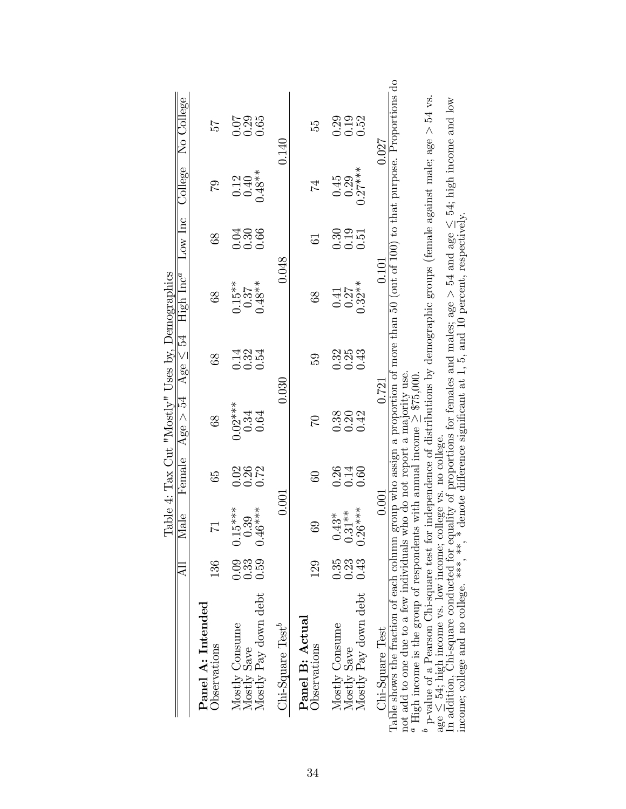|                                                                                                                                                                                                                                                                            |                      |                                  |                      |                                   | Table 4: Tax Cut "Mostly" Uses by, Demographics |                               |                      |                           |                                                                                            |
|----------------------------------------------------------------------------------------------------------------------------------------------------------------------------------------------------------------------------------------------------------------------------|----------------------|----------------------------------|----------------------|-----------------------------------|-------------------------------------------------|-------------------------------|----------------------|---------------------------|--------------------------------------------------------------------------------------------|
|                                                                                                                                                                                                                                                                            |                      | Male                             | Female               | Age $>$ 54 Age $\leq$ 54          |                                                 | ${\rm High~Inc}^a$            | Low Inc              | College                   | No College                                                                                 |
| Panel A: Intended<br>Observations                                                                                                                                                                                                                                          | 136                  | 71                               | 65                   | 89                                | 88                                              | 88                            | 89                   | $\mathcal{C}$             | 25                                                                                         |
| Mostly Pay down debt<br>Mostly Consume<br>Mostly Save                                                                                                                                                                                                                      | 0.59<br>0.33<br>0.09 | $0.15***$<br>$0.46***$<br>0.39   | 0.26<br>0.72<br>0.02 | $0.02***$<br>0.34<br>0.64         | $\begin{array}{c} 13.3 \\ 0.33 \end{array}$     | $0.15**$<br>$0.48***$<br>0.37 | 0.66<br>0.30<br>0.04 | $0.48***$<br>0.40<br>0.12 | $\begin{array}{c} 0.07 \\ 0.29 \end{array}$<br>0.65                                        |
| $Chi-Square Testb$                                                                                                                                                                                                                                                         |                      | 0.001                            |                      |                                   | 0.030                                           | 0.048                         |                      |                           | $0.140\,$                                                                                  |
| Panel B: Actual<br>Observations                                                                                                                                                                                                                                            | 129                  | $\overline{6}$                   | $\overline{60}$      | $\mathfrak{D}$                    | 59                                              | 89                            | 5                    | 74                        | 55                                                                                         |
| Mostly Pay down debt<br>Mostly Consume<br>Mostly Save                                                                                                                                                                                                                      | 0.35<br>0.23<br>0.43 | $0.26***$<br>$0.31**$<br>$0.43*$ | 0.26<br>0.14<br>0.60 | 0.42<br>0.38<br>0.20              | 0.32<br>0.25<br>0.43                            | $0.32***$<br>0.27<br>0.41     | 0.30<br>0.19<br>0.51 | $0.27***$<br>0.45<br>0.29 | 0.52<br>0.19<br>0.29                                                                       |
| Chi-Square Test                                                                                                                                                                                                                                                            |                      | 0.001                            |                      |                                   | 0.721                                           | 0.101                         |                      |                           | 0.027                                                                                      |
| <sup>a</sup> High income is the group of respondents with annual income $\geq$ \$75,000.<br>Table shows the fraction of each column<br>not add to one due to a few individuals                                                                                             |                      |                                  |                      | who do not report a majority use. |                                                 |                               |                      |                           | group who assign a proportion of more than 50 (out of 100) to that purpose. Proportions do |
| p-value of a Pearson Chi-square test for independence of distributions by demographic groups (female against male; age $> 54$ vs.<br>age $\leq$ 54; high income vs. low income; college vs. no college.                                                                    |                      |                                  |                      |                                   |                                                 |                               |                      |                           |                                                                                            |
| In addition, Chi-square conducted for equality of proportions for females and males; age $> 54$ and age $\leq 54$ ; high income and low income; college and no college. ***, * denote difference significant at 1, 5, and 10 pe<br>income; college and no college. ***, ** |                      |                                  |                      |                                   |                                                 |                               |                      |                           |                                                                                            |

34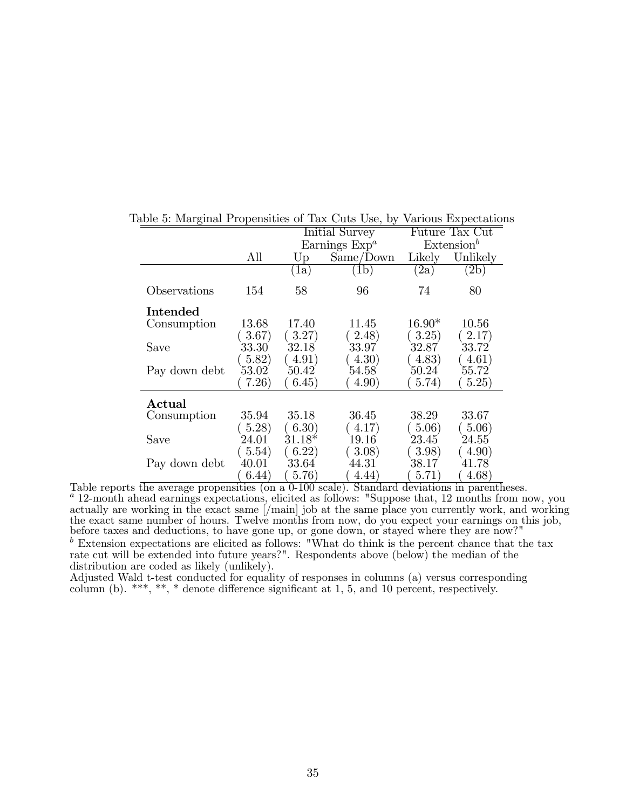|                 |           |                      | Initial Survey      |          | Future Tax Cut         |
|-----------------|-----------|----------------------|---------------------|----------|------------------------|
|                 |           |                      | Earnings $Expa$     |          | Extension <sup>b</sup> |
|                 | All       | $U_{\rm p}$          | Same/Down           | Likely   | Unlikely               |
|                 |           | $\langle 1a \rangle$ | (1b)                | (2a)     | $\rm (2b)$             |
| Observations    | 154       | 58                   | 96                  | 74       | 80                     |
| Intended        |           |                      |                     |          |                        |
| Consumption     | 13.68     | 17.40                | 11.45               | $16.90*$ | 10.56                  |
|                 | 3.67)     | (3.27)               | (2.48)              | 3.25)    | 2.17)                  |
| Save            | $33.30\,$ | 32.18                | 33.97               | 32.87    | $33.72^{\degree}$      |
|                 | 5.82)     | 4.91)                | (4.30)              | 4.83)    | 4.61)                  |
| Pay down debt   | 53.02     | 50.42                | 54.58               | 50.24    | 55.72                  |
|                 | 7.26)     | 6.45)                | 4.90)               | 5.74)    | 5.25)                  |
| $\bold{Actual}$ |           |                      |                     |          |                        |
| Consumption     | 35.94     | 35.18                | 36.45               | 38.29    | 33.67                  |
|                 | 5.28      | (6.30)               | (4.17)              | (5.06)   | 5.06)                  |
| Save            | 24.01     | $31.18*$             | 19.16               | 23.45    | 24.55                  |
|                 | (5.54)    | (6.22)               | $\left(3.08\right)$ | 3.98)    | (4.90)                 |
| Pay down debt   | 40.01     | $33.64^{\circ}$      | 44.31               | 38.17    | 41.78                  |
|                 | 6.44)     | 5.76)                | 4.44)               | 5.71)    | 4.68)                  |

Table 5: Marginal Propensities of Tax Cuts Use, by Various Expectations

Table reports the average propensities (on a 0-100 scale). Standard deviations in parentheses.  $a_{12}$ -month ahead earnings expectations, elicited as follows: "Suppose that, 12 months from now, you actually are working in the exact same [/main] job at the same place you currently work, and working the exact same number of hours. Twelve months from now, do you expect your earnings on this job, before taxes and deductions, to have gone up, or gone down, or stayed where they are now?"  $\bar{b}$  Extension expectations are elicited as follows: "What do think is the percent chance that the tax rate cut will be extended into future years?". Respondents above (below) the median of the distribution are coded as likely (unlikely).

Adjusted Wald t-test conducted for equality of responses in columns (a) versus corresponding column (b). \*\*\*, \*\*, \* denote difference significant at 1, 5, and 10 percent, respectively.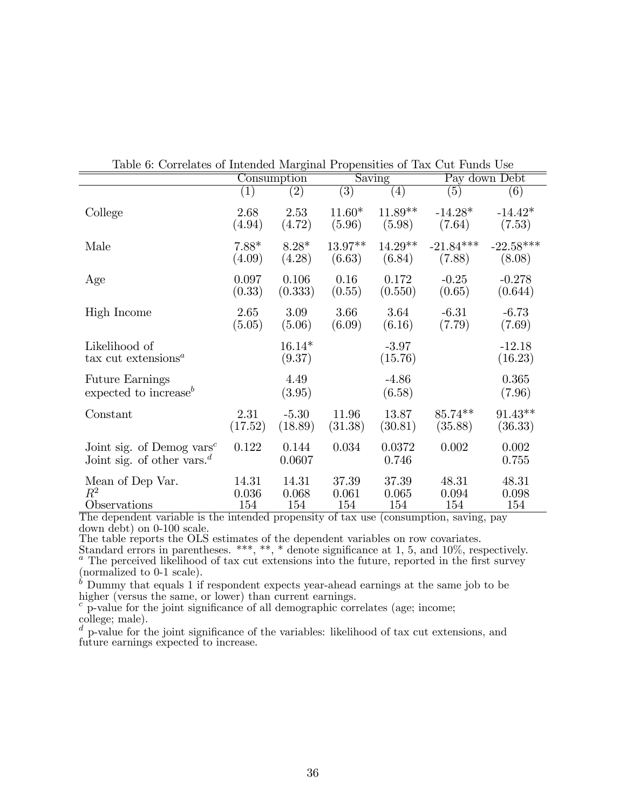| Table 0. Correlated or mitchaea marginar 1 rependition of Tax Cat I and Coc                  |                   | Consumption        |                   | Saving             |                  | Pay down Debt       |
|----------------------------------------------------------------------------------------------|-------------------|--------------------|-------------------|--------------------|------------------|---------------------|
|                                                                                              | $\left( 1\right)$ | $\overline{(2)}$   | $\left( 3\right)$ | $\left( 4\right)$  | $\overline{(5)}$ | $\left( 6\right)$   |
| College                                                                                      | 2.68              | 2.53               | $11.60*$          | $11.89**$          | $-14.28*$        | $-14.42*$           |
|                                                                                              | (4.94)            | (4.72)             | (5.96)            | (5.98)             | (7.64)           | (7.53)              |
| Male                                                                                         | $7.88*$           | $8.28*$            | $13.97**$         | $14.29**$          | $-21.84***$      | $-22.58***$         |
|                                                                                              | (4.09)            | (4.28)             | (6.63)            | (6.84)             | (7.88)           | (8.08)              |
| Age                                                                                          | 0.097             | 0.106              | 0.16              | 0.172              | $-0.25$          | $-0.278$            |
|                                                                                              | (0.33)            | (0.333)            | (0.55)            | (0.550)            | (0.65)           | (0.644)             |
| High Income                                                                                  | 2.65              | 3.09               | 3.66              | 3.64               | $-6.31$          | $-6.73$             |
|                                                                                              | (5.05)            | (5.06)             | (6.09)            | (6.16)             | (7.79)           | (7.69)              |
| Likelihood of<br>tax cut extensions <sup><math>a</math></sup>                                |                   | $16.14*$<br>(9.37) |                   | $-3.97$<br>(15.76) |                  | $-12.18$<br>(16.23) |
| <b>Future Earnings</b><br>expected to increase <sup>b</sup>                                  |                   | 4.49<br>(3.95)     |                   | $-4.86$<br>(6.58)  |                  | 0.365<br>(7.96)     |
| Constant                                                                                     | 2.31              | $-5.30$            | 11.96             | 13.87              | $85.74**$        | $91.43**$           |
|                                                                                              | (17.52)           | (18.89)            | (31.38)           | (30.81)            | (35.88)          | (36.33)             |
| Joint sig. of Demog vars <sup>c</sup><br>Joint sig. of other vars. <sup><math>d</math></sup> | 0.122             | 0.144<br>0.0607    | 0.034             | 0.0372<br>0.746    | 0.002            | 0.002<br>0.755      |
| Mean of Dep Var.                                                                             | 14.31             | 14.31              | 37.39             | 37.39              | 48.31            | 48.31               |
| $\,R^2$                                                                                      | 0.036             | 0.068              | 0.061             | 0.065              | 0.094            | 0.098               |
| Observations                                                                                 | 154               | 154                | 154               | 154                | 154              | 154                 |

| Table 6: Correlates of Intended Marginal Propensities of Tax Cut Funds Use |  |  |
|----------------------------------------------------------------------------|--|--|
|----------------------------------------------------------------------------|--|--|

The dependent variable is the intended propensity of tax use (consumption, saving, pay down debt) on 0-100 scale.

The table reports the OLS estimates of the dependent variables on row covariates.

Standard errors in parentheses. \*\*\*, \*\*, \* denote significance at 1, 5, and  $10\%$ , respectively. <sup>a</sup> The perceived likelihood of tax cut extensions into the future, reported in the first survey (normalized to 0-1 scale).

 $\bar{b}$  Dummy that equals 1 if respondent expects year-ahead earnings at the same job to be higher (versus the same, or lower) than current earnings.

 $\degree$  p-value for the joint significance of all demographic correlates (age; income; college; male).

 $\frac{d}{dx}$  p-value for the joint significance of the variables: likelihood of tax cut extensions, and future earnings expected to increase.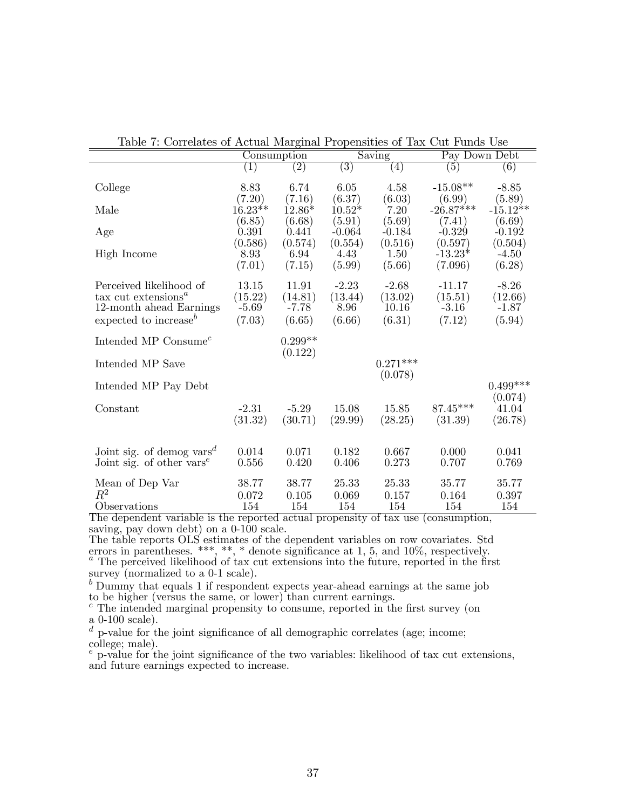|                                                                                                                          |                                       | Consumption                           |                                      | Saving                                | Pay Down Debt                            |                                         |
|--------------------------------------------------------------------------------------------------------------------------|---------------------------------------|---------------------------------------|--------------------------------------|---------------------------------------|------------------------------------------|-----------------------------------------|
|                                                                                                                          | (1)                                   | $\left( 2\right)$                     | $\left( 3\right)$                    | (4)                                   | (5)                                      | (6)                                     |
| College                                                                                                                  | 8.83<br>(7.20)                        | 6.74<br>(7.16)                        | 6.05<br>(6.37)                       | 4.58<br>(6.03)                        | $-15.08**$<br>(6.99)                     | $-8.85$<br>(5.89)                       |
| Male                                                                                                                     | $16.23**$                             | $12.86*$                              | $10.52*$                             | 7.20                                  | $-26.87***$                              | $-15.12**$                              |
| Age                                                                                                                      | (6.85)<br>0.391                       | (6.68)<br>0.441                       | (5.91)<br>$-0.064$                   | (5.69)<br>$-0.184$                    | (7.41)<br>$-0.329$                       | (6.69)<br>$-0.192$                      |
| High Income                                                                                                              | (0.586)<br>8.93<br>(7.01)             | (0.574)<br>6.94<br>(7.15)             | (0.554)<br>4.43<br>(5.99)            | (0.516)<br>1.50<br>(5.66)             | (0.597)<br>$-13.23*$<br>(7.096)          | (0.504)<br>$-4.50$<br>(6.28)            |
| Perceived likelihood of<br>$\text{tax cut extensions}^a$<br>12-month ahead Earnings<br>expected to increase <sup>b</sup> | 13.15<br>(15.22)<br>$-5.69$<br>(7.03) | 11.91<br>(14.81)<br>$-7.78$<br>(6.65) | $-2.23$<br>(13.44)<br>8.96<br>(6.66) | $-2.68$<br>(13.02)<br>10.16<br>(6.31) | $-11.17$<br>(15.51)<br>$-3.16$<br>(7.12) | $-8.26$<br>(12.66)<br>$-1.87$<br>(5.94) |
| Intended MP Consume <sup><math>c</math></sup>                                                                            |                                       | $0.299**$                             |                                      |                                       |                                          |                                         |
| Intended MP Save                                                                                                         |                                       | (0.122)                               |                                      | $0.271***$<br>(0.078)                 |                                          |                                         |
| Intended MP Pay Debt                                                                                                     |                                       |                                       |                                      |                                       |                                          | $0.499***$                              |
| Constant                                                                                                                 | $-2.31$<br>(31.32)                    | $-5.29$<br>(30.71)                    | 15.08<br>(29.99)                     | 15.85<br>(28.25)                      | 87.45***<br>(31.39)                      | (0.074)<br>41.04<br>(26.78)             |
| Joint sig. of demog vars <sup><math>d</math></sup><br>Joint sig. of other vars <sup><math>e</math></sup>                 | 0.014<br>0.556                        | 0.071<br>0.420                        | 0.182<br>0.406                       | 0.667<br>0.273                        | 0.000<br>0.707                           | 0.041<br>0.769                          |
| Mean of Dep Var<br>$\mathbb{R}^2$<br>Observations                                                                        | 38.77<br>0.072<br>154                 | 38.77<br>0.105<br>154                 | 25.33<br>0.069<br>154                | 25.33<br>0.157<br>154                 | 35.77<br>0.164<br>154                    | 35.77<br>0.397<br>154                   |

Table 7: Correlates of Actual Marginal Propensities of Tax Cut Funds Use

The dependent variable is the reported actual propensity of tax use (consumption, saving, pay down debt) on a 0-100 scale.

The table reports OLS estimates of the dependent variables on row covariates. Std errors in parentheses. \*\*\*, \*\*, \* denote significance at 1, 5, and  $10\%$ , respectively.  $a$  The perceived likelihood of tax cut extensions into the future, reported in the first survey (normalized to a 0-1 scale).

 $<sup>b</sup>$  Dummy that equals 1 if respondent expects year-ahead earnings at the same job</sup> to be higher (versus the same, or lower) than current earnings.

 $c$  The intended marginal propensity to consume, reported in the first survey (on a 0-100 scale).

 $d$  p-value for the joint significance of all demographic correlates (age; income; college; male).

p-value for the joint significance of the two variables: likelihood of tax cut extensions, and future earnings expected to increase.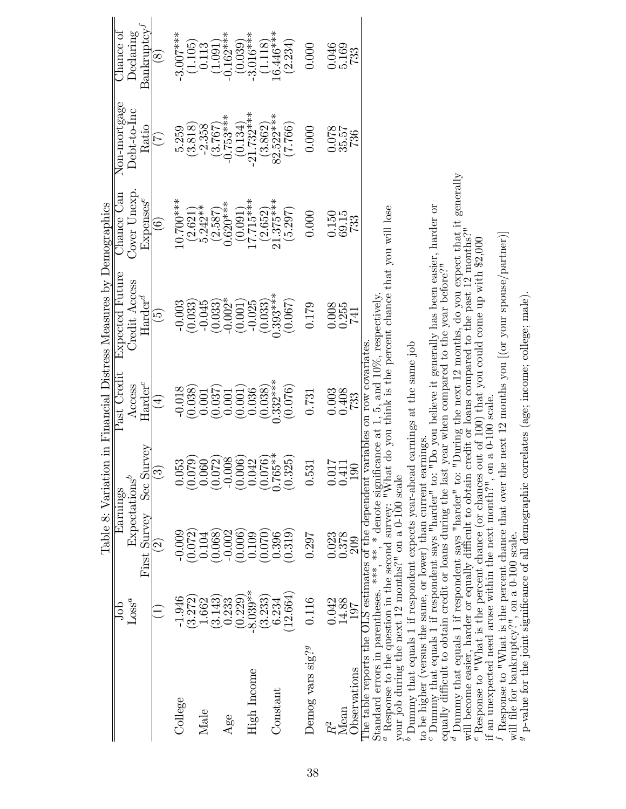|                                                      | do                | Earnings                 |                                         | Past Credit                 | Table 8: Variation in Financial Distress Measures by Demographics<br>Expected Future | Chance Can              | Non-mortgage           | Chance of                   |
|------------------------------------------------------|-------------------|--------------------------|-----------------------------------------|-----------------------------|--------------------------------------------------------------------------------------|-------------------------|------------------------|-----------------------------|
|                                                      | Loss <sup>a</sup> | $\text{Expectations}^b$  |                                         | Access                      | Credit Access                                                                        | Cover Unexp.            | Debt-to-Inc            | $\operatorname{Declaring}$  |
|                                                      |                   | First Survey             | Sec Survey                              | $Harder^c$                  | $\mathrm{Harder}^d$                                                                  | $\rm{Expenses}^e$       | Ratio                  | $\rm{Bankruptcy}^{\it J}$   |
|                                                      |                   | $\widehat{\mathfrak{D}}$ |                                         | $(\pm)$                     | $\widetilde{\Theta}$                                                                 | $\widehat{\mathbf{e}}$  | $(\overline{z})$       | $\widehat{\mathrm{g}})$     |
| College                                              | $-1.946$          | 0.009                    |                                         | $\frac{-0.018}{(0.038)}$    | $-0.003$<br>$(0.033)$                                                                | $0.700***$              | 5.259                  | $-3.007***$                 |
|                                                      | (3.272)           | 0.072)                   | 38<br>280<br>280<br>$\sum_{i=1}^{n}$    |                             |                                                                                      | $(2.621)$<br>5.242 **   | (3.818)                | $\left( 1.105\right) 0.113$ |
| Male                                                 | 1.662             | 0.104                    | $\sum$                                  | 0.001                       | $-0.045$                                                                             |                         | $-2.358$               |                             |
|                                                      | 3.143             | 0.068                    | $(0.072)$<br>-0.008                     | $(0.037)$<br>0.001          | 0.033)                                                                               | $(2.587)$<br>$0.620***$ | $(3.767)$<br>-0.753*** | $(1.091)$<br>$(1.62***$     |
| Age                                                  | 0.233             | $-0.002$                 | $-0.0$                                  |                             | $-0.002*$                                                                            |                         |                        |                             |
|                                                      | 0.229             | (9.006)                  |                                         | (0.001)                     | (0.001)                                                                              | $(0.091)$<br>17.715***  | (0.134)                | (0.039)                     |
| High Income                                          | $-8.039**$        | 0.109                    |                                         | 0.036                       | $-0.025$                                                                             |                         | $-21.732***$           | $-3.016***$                 |
|                                                      | (3.233)           | (0.070)                  |                                         | $(0.038)$<br>$0.332***$     | $(0.033)$<br>$0.393***$                                                              |                         | $(3.862)$<br>82.522*** | $(1.118)$<br>$16.446***$    |
| $Constant$                                           | 6.234             | 0.396                    | $(0.006)$<br>0.042<br>0.076)<br>0.765** |                             |                                                                                      | $(2.652)$<br>21.375***  |                        |                             |
|                                                      | 12.664            | (0.319)                  | 325)<br>(0.3)                           | (0.076)                     | (0.067)                                                                              | (5.297)                 | (7.766)                | (2.234)                     |
| Demog vars sig? <sup>9</sup>                         | 0.116             | 0.297                    | 0.531                                   | 0.731                       | 0.179                                                                                | 0.000                   | 0.000                  | 0.000                       |
| $\ensuremath{R^2}$                                   | 0.042             | 0.023                    | $0.017$<br>0.411                        | 0.003                       | 0.008                                                                                | 150                     | $\frac{0.078}{35.57}$  | 046                         |
| Mean                                                 | 14.88             | 0.378                    |                                         | 0.408                       | 0.255                                                                                | 69.15                   |                        | 5.169                       |
| <b>D</b> servations                                  | 197               | 209                      | 190                                     | 733                         | 741                                                                                  | 733                     |                        | 733                         |
| The table reports the OLS estimates of the dependent |                   |                          |                                         | variables on row covariates |                                                                                      |                         |                        |                             |

Standard errors in parentheses. \*\*\*, \* denote significance at 1, 5, and  $10\%$ , respectively.

Standard errors in parentheses. \*\*\*, \* denote significance at 1, 5, and  $10\%$ , respectively.<br><sup>a</sup> Response to the question in the second survey: "What do you think is the percent chance that you will lose Response to the question in the second survey: "What do you think is the percent chance that you will lose

your job during the next  $12$  months?" on a 0-100 scale your job during the next 12 months?" on a 0-100 scale

 $\bar{b}$  Dummy that equals 1 if respondent expects year-ahead earnings at the same job Dummy that equals 1 if respondent expects year-ahead earnings at the same job

to be higher (versus the same, or lower) than current earnings.

to be higher (versus the same, or lower) than current earnings.<br>
"Dummy that equals 1 if respondent says "harder" to: "Do you believe it generally has been easier, harder or<br>
equally difficult to obtain credit or loans du Dummy that equals 1 if respondent says "harder" to: "Do you believe it generally has been easier, harder or

equally difficult to obtain credit or loans during the last year when compared to the year before?"

 $^d$  Dummy that equals 1 if respondent says "harder" to: "During the next 12 months, do you expect that it generally will become easier, harder or equally difficult to obtain credit or loans compared to the past 12 months Dummy that equals 1 if respondent says "harder" to: "During the next 12 months, do you expect that it generally will become easier, harder or equally difficult to obtain credit or loans compared to the past 12 months?"

<sup>e</sup> Response to "What is the percent chance (or chances out of 100) that you could come up with \$2,000 if an unexpected need arose within the next month?", on a 0-100 scale. <sup>e</sup> Response to "What is the percent chance (or chances out of 100) that you could come up with \$2,000 if an unexpected need arose within the next month?", on a 0-100 scale.

If Response to "What is the percent chance that over the next 12 months you  $[(\text{or your space/partner})]$ I Response to "What is the percent chance that over the next 12 months you  $[(\text{or your space/partner})]$  will file for bankruptcy?", on a 0-100 scale. will file for bankruptcy?", on a 0-100 scale.

 $g$  p-value for the joint significance of all demographic correlates (age; income; college; male). <sup>9</sup> p-value for the joint significance of all demographic correlates (age; income; college; male).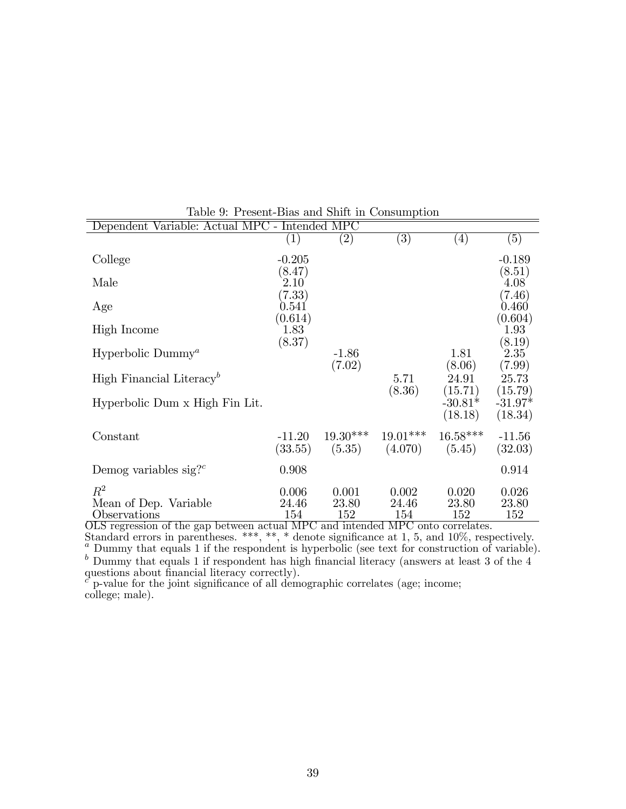| Dependent Variable: Actual MPC - Intended MPC  |                        |                       |                       |                       |                          |
|------------------------------------------------|------------------------|-----------------------|-----------------------|-----------------------|--------------------------|
|                                                | $\left( 1\right)$      | $\left( 2\right)$     | $\left( 3\right)$     | $\left( 4\right)$     | $\left( 5\right)$        |
| College                                        | $-0.205$<br>(8.47)     |                       |                       |                       | $-0.189$<br>(8.51)       |
| Male                                           | 2.10<br>(7.33)         |                       |                       |                       | 4.08<br>(7.46)           |
| Age                                            | $\;\:0.541$<br>(0.614) |                       |                       |                       | $0.460\,$                |
| High Income                                    | 1.83                   |                       |                       |                       | (0.604)<br>1.93          |
| Hyperbolic Dummy <sup><math>a</math></sup>     | (8.37)                 | $-1.86$<br>(7.02)     |                       | 1.81<br>(8.06)        | (8.19)<br>2.35<br>(7.99) |
| High Financial Literacy <sup>b</sup>           |                        |                       | 5.71<br>(8.36)        | 24.91<br>(15.71)      | 25.73<br>(15.79)         |
| Hyperbolic Dum x High Fin Lit.                 |                        |                       |                       | $-30.81*$<br>(18.18)  | $-31.97*$<br>(18.34)     |
| Constant                                       | $-11.20$<br>(33.55)    | $19.30***$<br>(5.35)  | $19.01***$<br>(4.070) | $16.58***$<br>(5.45)  | $-11.56$<br>(32.03)      |
| Demog variables sig? <sup><math>c</math></sup> | 0.908                  |                       |                       |                       | 0.914                    |
| $R^2$<br>Mean of Dep. Variable<br>Observations | 0.006<br>24.46<br>154  | 0.001<br>23.80<br>152 | 0.002<br>24.46<br>154 | 0.020<br>23.80<br>152 | 0.026<br>23.80<br>152    |

Table 9: Present-Bias and Shift in Consumption

OLS regression of the gap between actual MPC and intended MPC onto correlates.

Standard errors in parentheses. \*\*\*, \*\*, \* denote significance at 1, 5, and 10\%, respectively.  $^a$  Dummy that equals 1 if the respondent is hyperbolic (see text for construction of variable).  $b$  Dummy that equals 1 if respondent has high financial literacy (answers at least 3 of the 4 questions about financial literacy correctly).

 $c^{\dagger}$  p-value for the joint significance of all demographic correlates (age; income; college; male).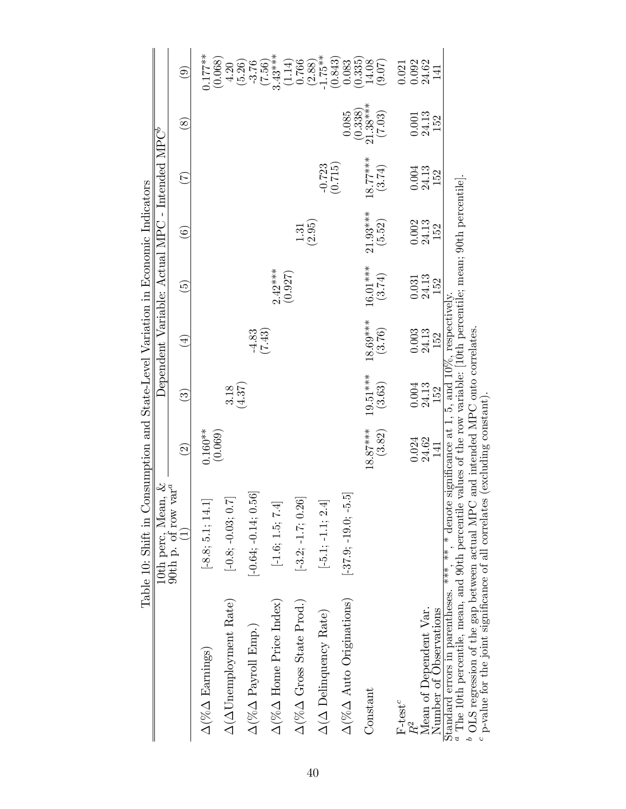|                                                                                                                                                                                                                                                                                                                                   | Table 10: Shift in Consumption and State-Level Variation in Economic Indicators |                         |                           |                              |                              |                                                            |                           |                                                              |                                                 |
|-----------------------------------------------------------------------------------------------------------------------------------------------------------------------------------------------------------------------------------------------------------------------------------------------------------------------------------|---------------------------------------------------------------------------------|-------------------------|---------------------------|------------------------------|------------------------------|------------------------------------------------------------|---------------------------|--------------------------------------------------------------|-------------------------------------------------|
|                                                                                                                                                                                                                                                                                                                                   |                                                                                 |                         |                           |                              |                              | Dependent Variable: Actual MPC - Intended MPC <sup>6</sup> |                           |                                                              |                                                 |
|                                                                                                                                                                                                                                                                                                                                   | 10th perc, Mean, & 90th p. of row var <sup><i>a</i></sup> (1)                   | $\widehat{\Omega}$      | $\widehat{\mathfrak{S}}$  | $(\pm)$                      | $\widehat{\mathbb{G}}$       | $\widehat{\mathbf{e}}$                                     | $(\zeta)$                 | $\circledast$                                                | $\widehat{e}$                                   |
| $\Delta(\% \Delta$ Earnings)                                                                                                                                                                                                                                                                                                      | $[-8.8; 5.1; 14.$                                                               | $0.160**$               |                           |                              |                              |                                                            |                           |                                                              | $0.177***$                                      |
| $\Delta(\Delta\textsc{Unemployment}\textsc{Rate})$                                                                                                                                                                                                                                                                                | $\overline{\mathcal{L}}$<br>$[-0.8; -0.03; 0.$                                  | (0.069)                 | $3.18$<br>(4.37)          |                              |                              |                                                            |                           |                                                              | (0.068)<br>4.20                                 |
| $\Delta(\% \Delta$ Payroll Emp.)                                                                                                                                                                                                                                                                                                  | 56<br>$[-0.64; -0.14; 0.$                                                       |                         |                           | $-4.83$                      |                              |                                                            |                           |                                                              | (5.26)<br>$-3.76$                               |
| $\Delta (\%\Delta$ Home Price Index)                                                                                                                                                                                                                                                                                              | $[-1.6;\,1.5;\,7.4]$                                                            |                         |                           | (7.43)                       | $2.42***$                    |                                                            |                           |                                                              | $(7.56)$<br>3.43***                             |
| $\Delta(\% \Delta$ Gross State Prod.)                                                                                                                                                                                                                                                                                             | $[-3.2; -1.7; 0.26]$                                                            |                         |                           |                              | (0.927)                      | 1.31                                                       |                           |                                                              | (1.14)<br>0.766                                 |
| $\Delta(\Delta$ Delinquency Rate)                                                                                                                                                                                                                                                                                                 | $[-5.1; -1.1; \, 2.4]$                                                          |                         |                           |                              |                              | (2.95)                                                     | $-0.723$                  |                                                              | $1.75**$<br>(2.88)                              |
| $\Delta(\% \Delta$ Auto Originations)                                                                                                                                                                                                                                                                                             | $[-37.9, -19.0, -5.5]$                                                          |                         |                           |                              |                              |                                                            | (0.715)                   | 0.085                                                        | $\begin{array}{c} (0.843) \\ 0.083 \end{array}$ |
| Constant                                                                                                                                                                                                                                                                                                                          |                                                                                 | $18.87***$<br>(3.82)    | $19.51***$<br>(3.63)      | $18.69***$<br>(3.76)         | $16.01***$<br>(3.74)         | $21.93***$<br>(5.52)                                       | $18.77***$<br>(3.74)      | $\begin{array}{c} (0.338) \\ 21.38*** \end{array}$<br>(7.03) | $(0.335)$<br>14.08<br>(9.07)                    |
| $F$ -test <sup><math>c</math></sup>                                                                                                                                                                                                                                                                                               |                                                                                 |                         |                           |                              |                              |                                                            |                           |                                                              | 0.021                                           |
| Mean of Dependent Var.<br>Number of Observations                                                                                                                                                                                                                                                                                  |                                                                                 | $0.024$<br>24.62<br>141 | $0.004$<br>$24.13$<br>152 | $\frac{0.003}{24.13}$<br>152 | $\frac{0.031}{24.13}$<br>152 | 0.002<br>24.13<br>152                                      | $0.004$<br>$24.13$<br>152 | $\frac{0.001}{24.13}$<br>152                                 | 0.092<br>24.62<br>141                           |
| <sup>a</sup> The 10th percentile, mean, and 90th percentile values of the row variable: [10th percentile; mean; 90th percentile].<br>Standard errors in parentheses. ***, * denote significance at 1, 5, and $10\%$ , respectively<br><sup>b</sup> OLS regression of the gap between actual MPC and intended MPC onto correlates. |                                                                                 |                         |                           |                              |                              |                                                            |                           |                                                              |                                                 |

 $\epsilon$  p-value for the joint significance of all correlates (excluding constant).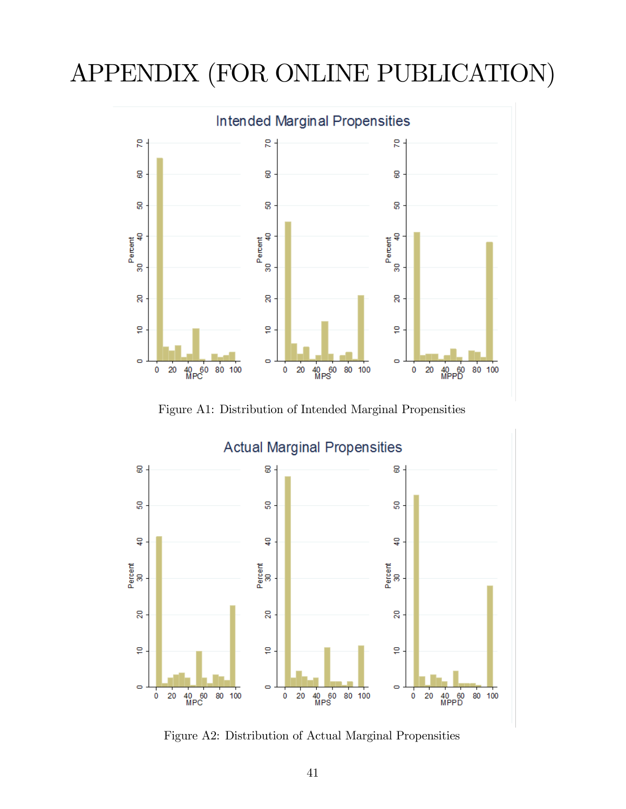# APPENDIX (FOR ONLINE PUBLICATION)



Figure A1: Distribution of Intended Marginal Propensities



Figure A2: Distribution of Actual Marginal Propensities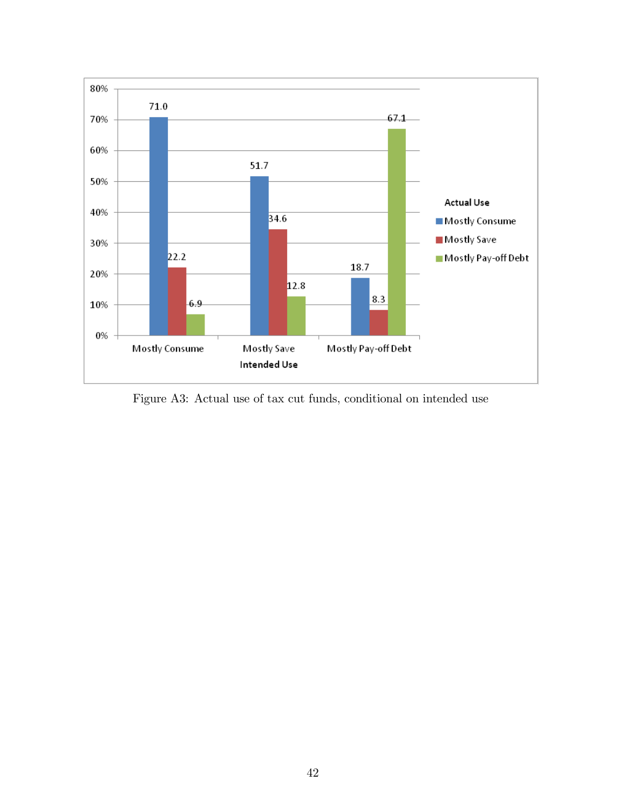

Figure A3: Actual use of tax cut funds, conditional on intended use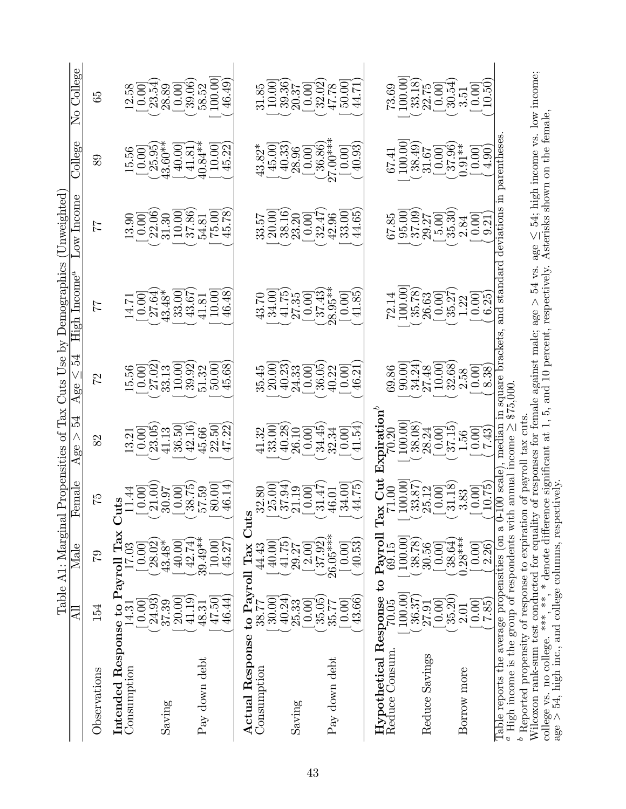|                                                                                                                                                       |                                      | Table A1: Marginal Propensities of                                          |                                                                                                                               |                                                                                                       |                                                                                                                                                                                                                                                                                                               | Tax Cuts Use by Demographics                                                                               | Unweighted                                                                                               |                                                                                                         |                                                                                                |
|-------------------------------------------------------------------------------------------------------------------------------------------------------|--------------------------------------|-----------------------------------------------------------------------------|-------------------------------------------------------------------------------------------------------------------------------|-------------------------------------------------------------------------------------------------------|---------------------------------------------------------------------------------------------------------------------------------------------------------------------------------------------------------------------------------------------------------------------------------------------------------------|------------------------------------------------------------------------------------------------------------|----------------------------------------------------------------------------------------------------------|---------------------------------------------------------------------------------------------------------|------------------------------------------------------------------------------------------------|
|                                                                                                                                                       | <b>All</b>                           | Male                                                                        | ${\tt female}$                                                                                                                | 54<br>Age $>$                                                                                         | r3<br>Age $\leq$                                                                                                                                                                                                                                                                                              | High Incom                                                                                                 | ow Incom                                                                                                 | College                                                                                                 | College<br>$\overline{\rm No}$                                                                 |
| Observations                                                                                                                                          | 154                                  | 52                                                                          | 52                                                                                                                            | 82                                                                                                    | 22                                                                                                                                                                                                                                                                                                            | 77                                                                                                         | 77                                                                                                       | 89                                                                                                      | 59                                                                                             |
| Consumption<br>Intended                                                                                                                               | Response to Payroll<br>0.00<br>L4.31 | $\operatorname{Tax}$<br>[ 0.00]<br>17.03                                    | uts                                                                                                                           | 13.21                                                                                                 |                                                                                                                                                                                                                                                                                                               | 14.71                                                                                                      | 13.90                                                                                                    | 15.56                                                                                                   | $\frac{8}{3}$<br>$\dot{\Omega}$                                                                |
| Saving                                                                                                                                                | 20.00<br>24.93<br>37.39              | 28.02<br>40.00<br>$43.48*$                                                  | $\begin{bmatrix} 11.44 \\[-4pt] 0.00 \\[-4pt] 21.00 \\[-4pt] 30.97 \\[-4pt] 0.00 \\[-4pt] 38.75 \\[-4pt] 57.59 \end{bmatrix}$ | $\begin{bmatrix} 0.00 \\ 23.05 \\ 41.13 \end{bmatrix}$                                                |                                                                                                                                                                                                                                                                                                               | $\begin{bmatrix} 0.00 \\ 27.64 \\ 43.48 \end{bmatrix}$                                                     | $\begin{bmatrix} 0.00 \\ 22.06 \\ 31.30 \end{bmatrix}$                                                   | $\begin{bmatrix} 1 & 0.00 \\ 25.95 \\ 43.60^{*} \end{bmatrix}$                                          | $\begin{bmatrix} 0.00 \\ 23.54 \\ 28.89 \\ 28.90 \\ 10.06 \\ 39.06 \\ 100.00 \\ \end{bmatrix}$ |
| Pay down debt                                                                                                                                         | 46.44)<br>47.50]<br>41.19<br>48.31   | $39.49**$<br>42.74)<br>10.00<br>45.27                                       | 46.14<br>80.00                                                                                                                | $\widetilde{\mathcal{S}}$<br>$\begin{array}{c} 36.50 \\ 42.16 \\ 45.66 \end{array}$<br>B.<br>22<br>47 | $\begin{array}{l} 15.56 \\[-4pt] 0.00 \\[-4pt] 27.02 \\[-4pt] 33.13 \\[-4pt] 10.00 \\[-4pt] 50.00 \\[-4pt] 50.00 \\[-4pt] 50.00 \\[-4pt] \end{array}$<br>45.68                                                                                                                                                | $\begin{array}{c} 33.00 \\ 43.67 \\ 41.81 \end{array}$<br>46.48<br>10.00                                   | $\begin{array}{c} 10.00 \\ 37.86 \\ 54.81 \end{array}$<br>$75.00$<br>45.78                               | 10.00<br>45.22<br>$40.84**$<br>$\begin{array}{c} 40.00 \\ 41.81 \end{array}$                            | 46.49)                                                                                         |
| Actual Response to Payroll Tax<br>Consumption                                                                                                         | 30.00<br>38.77                       | 40.00<br>44.43                                                              | 32.80<br>ا<br>ت                                                                                                               |                                                                                                       |                                                                                                                                                                                                                                                                                                               |                                                                                                            | 33.57                                                                                                    | [00.95]<br>$43.82*$                                                                                     |                                                                                                |
| Saving                                                                                                                                                | 40.24<br>25.33<br>[0.00]             | $41.75$<br>$29.27$                                                          | $\begin{array}{c} 25.00 \\ 37.94 \\ 21.19 \end{array}$<br>[0.00]                                                              | $\begin{array}{c} 41.32 \\ 33.00 \\ 40.38 \\ 26.10 \\ 0.00 \\ 34.45 \end{array}$                      | 35.00<br>20.0333<br>36.03<br>36.03                                                                                                                                                                                                                                                                            | $\begin{array}{l} 43.70 \\ 34.00 \\ 41.75 \\ 27.35 \\ 0.00 \\ \hline \end{array}$                          | $\begin{bmatrix} 20.00 \\ 38.16 \\ 23.20 \\ 0.00 \end{bmatrix}$                                          | $\begin{bmatrix} 40.33 \ 28.96 \end{bmatrix}$                                                           | $\begin{array}{l} 31.85 \\ 10.00 \\ 19.36 \\ 20.37 \\ 0.00 \\ 10.02 \\ 47.78 \end{array}$      |
| Pay down debt                                                                                                                                         | 43.66<br>35.05<br>[0.00]<br>35.77    | $26.05***$<br>40.53<br>$\begin{bmatrix} 2.00 \ 37.92 \end{bmatrix}$<br>0.00 | $\mathbb{Z}$<br>31.47<br>34.00<br>46.01                                                                                       | $\dot{z}$ .<br>[0.00]<br>32.34<br>$\exists$                                                           | $\frac{0.00}{46.21}$<br>40.22                                                                                                                                                                                                                                                                                 | 37.43<br>$28.95**$<br>$\mathscr{S}$<br>$\left[ \!\! \begin{array}{c} 0.00 \\ 0.00 \end{array} \!\!\right]$ | 33.00<br>32.47<br>65<br>42.96<br>$\vec{4}$                                                               | $27.00***$<br>36.86<br>40.93<br>[0.00]                                                                  | 50.00                                                                                          |
| $Hypothetical Response to PayrollReduce Consum. 70.05 69.15$                                                                                          | 100.00                               | 100.00                                                                      | $ax$ Cut<br>100.00<br>$71.00\,$<br>Ξ                                                                                          | Expiration<br>100.00<br>70.20                                                                         |                                                                                                                                                                                                                                                                                                               |                                                                                                            | 67.85                                                                                                    |                                                                                                         |                                                                                                |
| Reduce Savings                                                                                                                                        | $\frac{36.37}{27.91}$<br>[0.00]      | 38.78)<br>30.56<br>0.00                                                     | $\begin{bmatrix} 33.87 \\ 25.12 \\ 0.00 \end{bmatrix}$                                                                        | $\begin{array}{c} 38.08) \\ 28.24 \\ -37.15 \\ 1.56 \end{array}$                                      |                                                                                                                                                                                                                                                                                                               | $\begin{array}{l} 72.14 \\ 100.00 \\ 35.78 \\ 26.63 \\ 10.00 \\ 1.32 \\ \end{array}$                       | $\begin{bmatrix} 95.00 \\ 37.09 \\ 29.27 \end{bmatrix}$<br>$\begin{bmatrix} 5.00 \\ 35.30 \end{bmatrix}$ | $\begin{array}{c} 67.41 \\ 100.00 \\ 38.49) \\ 31.67 \end{array}$                                       | $73.69$<br>100.00]<br>33.18)<br>(0.00]<br>50.54)<br>30.51                                      |
| Borrow more                                                                                                                                           | 35.20<br>$\frac{0.00}{7.85}$<br>2.01 | $.28***$<br>38.64<br>$\begin{bmatrix} 0.00 \\ 2.26 \end{bmatrix}$           | $\begin{array}{c} \hspace{-2.0mm}1.18\hspace{-2.0mm} \\\hspace{-3.0mm}3.83 \end{array}$<br>$\frac{0.001}{10.75}$              | $\frac{0.00}{7.43}$                                                                                   | $\begin{array}{l} 69.86 \\ 69.00 \\ 9.34 \\ 8.74 \\ 9.00 \\ 9.34 \\ 9.00 \\ 9.00 \\ 9.00 \\ 9.00 \\ 9.00 \\ 9.00 \\ 9.00 \\ 9.00 \\ 9.00 \\ 9.00 \\ 9.00 \\ 9.00 \\ 9.00 \\ 9.00 \\ 9.00 \\ 9.00 \\ 9.00 \\ 9.00 \\ 9.00 \\ 9.00 \\ 9.00 \\ 9.00 \\ 9.00 \\ 9.00 \\ 9.00 \\ 9.00 \\ 9.00 \\ 9.00 \\ 9.00 \\ $ | $\begin{array}{c} 0.00 \\ 6.25 \end{array}$                                                                | $\begin{bmatrix} 0.00 \\ 9.21 \end{bmatrix}$<br>2.84                                                     | $\begin{bmatrix} 0.00 \\ 37.96 \\ 0.91** \end{bmatrix}$<br>$\begin{bmatrix} 0.00 \\ 4.90 \end{bmatrix}$ | $\frac{0.00}{10.50}$                                                                           |
| $^a$ High income is the group of respondents with annual<br>$b$ Renorted propensity of response to expirati<br>Table reports the average propensities |                                      | on a                                                                        | m of payroll<br>$_{\rm scal}$                                                                                                 | $\overline{\mathbf{u}}$<br>Ē<br>income<br>median                                                      | square bracket<br>\$75,000                                                                                                                                                                                                                                                                                    | and stand                                                                                                  | deviations                                                                                               | parentheses                                                                                             |                                                                                                |

Reported propensity of response to expiration of payroll tax cuts.

Wilcoxon rank-sum test conducted for equality of responses for female against male; age  $>$  54 vs. age<br>extinally  $\Delta_{\text{st}}$ VI  $\leq 54$ ; high income vs. low income; college vs. no college. \*\*\*, \* \* denote difference significant at 1, 5, and 10 percent, respectively. Asterisks shown on the female, o<br>ದೆ Λ  $>$  54, high inc., and college columns, respectively.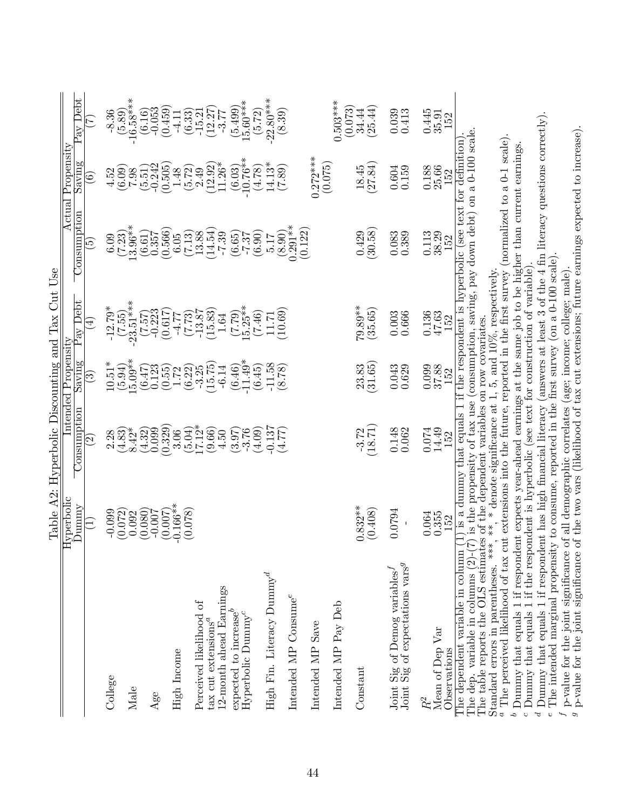|                                                                                                                                                                                                                                  |                       | Table A2: Hyperbolic Discounting and Tax Unt Use        |                                |                       |                                                                                                                                                                                 |                                  |                                    |
|----------------------------------------------------------------------------------------------------------------------------------------------------------------------------------------------------------------------------------|-----------------------|---------------------------------------------------------|--------------------------------|-----------------------|---------------------------------------------------------------------------------------------------------------------------------------------------------------------------------|----------------------------------|------------------------------------|
|                                                                                                                                                                                                                                  | <b>Hyperbolic</b>     |                                                         | Intended Propensity            |                       | $\rm Actual$                                                                                                                                                                    | $\overline{\mathrm{Propensity}}$ |                                    |
|                                                                                                                                                                                                                                  | Vunnmy                | Consumption                                             | Saving                         | Pay Debt              | Consumption                                                                                                                                                                     | Saving                           | $\frac{1}{2}$ av Debt              |
|                                                                                                                                                                                                                                  | $\Xi$                 | $\left[ \mathcal{O}\right]$                             | $\left( 3\right)$              | $\widehat{\pm}$       | $\widetilde{\mathbf{5}}$                                                                                                                                                        | $\left( 6\right)$                | E                                  |
| College                                                                                                                                                                                                                          | $-0.099$              | 2.28                                                    | $10.51*$                       |                       |                                                                                                                                                                                 | 4.52                             |                                    |
|                                                                                                                                                                                                                                  | (0.072)               | (4.83)                                                  | (5.94)                         | $-12.79*$<br>$(7.55)$ | (7.23)                                                                                                                                                                          | (6.09)                           | $-8.36$<br>$(5.89)$<br>$-16.58***$ |
| Male                                                                                                                                                                                                                             | 0.092                 | $8.42*$                                                 | $5.09**$                       | $-23.51***$           | $13.96**$                                                                                                                                                                       | 7.98                             |                                    |
|                                                                                                                                                                                                                                  | (0.080)               | (4.32)                                                  | (6.47)                         | $\binom{7.57}{7.523}$ | (6.61)                                                                                                                                                                          | $(5.51)$<br>$-0.242$             | $(6.16)$ <sup>-0.053</sup>         |
| $\rm{Age}$                                                                                                                                                                                                                       | (0.007)<br>$-0.007$   | (0.329)<br>0.099                                        | 0.123<br>(0.55)                | (0.617)               | (0.566)<br>0.357                                                                                                                                                                | (0.505)                          | (0.459)                            |
| High Income                                                                                                                                                                                                                      | $0.166***$            | 3.06                                                    | $1.72^{0}$                     | $-4.77$               | $6.05\,$                                                                                                                                                                        | 1.48                             | $-4.11$                            |
|                                                                                                                                                                                                                                  | (0.078)               | (5.04)                                                  | (6.22)                         | $(7.73)$<br>-13.87    | (7.13)                                                                                                                                                                          | (5.72)                           | $\left( 6.33\right)$ -15.21        |
| Perceived likelihood of<br>$\tan$ cut extensions <sup><math>a</math></sup>                                                                                                                                                       |                       | $17.12*$<br>(9.66)                                      | (15.75)<br>$-3.25$             | (15.83)               | (14.54)<br>13.88                                                                                                                                                                | (12.92)<br>2.49                  | (12.27)                            |
| 12-month ahead Earnings<br>expected to increase <sup>b</sup>                                                                                                                                                                     |                       | (3.97)<br>4.50                                          | $(6.46)$<br>-11.49*<br>$-6.14$ | (7.79)<br>1.64        | $-7.39$<br>(6.65)                                                                                                                                                               | $11.26*$<br>(6.03)               | $(5.499)$<br>15.60***<br>$-3.77$   |
| Hyperbolic Dummy <sup>c</sup>                                                                                                                                                                                                    |                       | (4.09)<br>$-3.76$                                       | (6.45)                         | $5.25**$<br>(7.46)    | (6.90)<br>$-7.37$                                                                                                                                                               | $-10.76**$<br>(4.78)             | (5.72)                             |
| High Fin. Literacy $\text{Dummy}^d$                                                                                                                                                                                              |                       | $-0.137$                                                | $-11.58$                       | 11.71                 | 5.17                                                                                                                                                                            | $14.13*$                         | $-22.80***$                        |
|                                                                                                                                                                                                                                  |                       | (1.47)                                                  | (8.78)                         | (10.69)               | $\begin{array}{c} (8.90) \\ 0.291** \end{array}$                                                                                                                                | (7.89)                           | (8.39)                             |
| Intended MP Consume <sup>e</sup>                                                                                                                                                                                                 |                       |                                                         |                                |                       | (0.122)                                                                                                                                                                         |                                  |                                    |
| Intended MP Save                                                                                                                                                                                                                 |                       |                                                         |                                |                       |                                                                                                                                                                                 | $0.272***$                       |                                    |
| Intended MP Pay Deb                                                                                                                                                                                                              |                       |                                                         |                                |                       |                                                                                                                                                                                 | (0.075)                          | $0.503***$                         |
| Constant                                                                                                                                                                                                                         | $0.832***$<br>(0.408) | (18.71)<br>$-3.72$                                      | 31.65<br>23.83                 | 79.89**<br>(35.65)    | (30.58)<br>0.429                                                                                                                                                                | $\frac{18.45}{(27.84)}$          | (0.073)<br>(25.44)<br>34.44        |
| Joint Sig of Demog variables <sup><math>J</math></sup><br>Joint Sig of expectations vars <sup>9</sup>                                                                                                                            | 0.0794                | 0.148                                                   | 0.043                          | 0.003                 | $0.083$<br>$0.389$                                                                                                                                                              | $\,0.604\,$                      | 0.039                              |
|                                                                                                                                                                                                                                  |                       | 0.062                                                   | 0.629                          | 0.666                 |                                                                                                                                                                                 | 0.159                            | 0.413                              |
| Mean of Dep Var                                                                                                                                                                                                                  | 0.064<br>0.355        | 0.074<br>14.49                                          | $\frac{0.099}{37.88}$          | $\frac{0.136}{47.63}$ | $\begin{array}{c} 0.113 \\ 38.29 \\ 152 \end{array}$                                                                                                                            | $\frac{0.188}{25.66}$            | $\frac{0.445}{35.91}$              |
| Observations                                                                                                                                                                                                                     | 152                   | 152                                                     |                                | 152                   |                                                                                                                                                                                 | 152                              |                                    |
| The table reports the OLS estimates of the dependent variables on row covariates.<br>Standard errors in parentheses. ****,<br>The dependent variable in column<br>The dep. variable in columns (2)-                              | $*$ .                 | $*$ denote significance at 1, 5, and 10%, respectively. |                                |                       | (7) is the propensity of tax use (consumption, saving, pay down debt) on a 0-100 scale.<br>is a dummy that equals $1$ if the respondent is hyperbolic (see text for definition) |                                  |                                    |
| <sup>a</sup> The perceived likelihood of tax cut extensions into the future, reported in the first survey (normalized to a 0-1 scale)                                                                                            |                       |                                                         |                                |                       |                                                                                                                                                                                 |                                  |                                    |
| $^b$ Dummy that equals 1 if respondent expects year-ahead earnings at the same job to be higher than current earnings.<br>$\epsilon$ Dummy that equals 1 if the respondent is hyperbolic (see text for construction of variable) |                       |                                                         |                                |                       |                                                                                                                                                                                 |                                  |                                    |
| d Dummy that equals 1 if respondent has high financial literacy (answers at least 3 of the 4 fin literacy questions correctly).                                                                                                  |                       |                                                         |                                |                       |                                                                                                                                                                                 |                                  |                                    |

The intended marginal propensity to consume, reported in the Örst survey (on a 0-100 scale).

I p-value for the joint significance of all demographic correlates (age; inconne; college; male).

 $^g$  p-value for the joint significance of the two vars (likelihood of tax cut extensions; future earnings expected to increase).

 $\begin{smallmatrix} \downarrow \ \downarrow \end{smallmatrix}$ 

Table A2: Hyperbolic Discounting and Tax Cut Use  $C_{n+1}$  II  $\frac{1}{1}$ Ń Ë Ė  $\frac{1}{2}$  $T<sub>ab</sub>1<sub>a</sub>$   $\wedge$   $\Omega$ .  $H$ .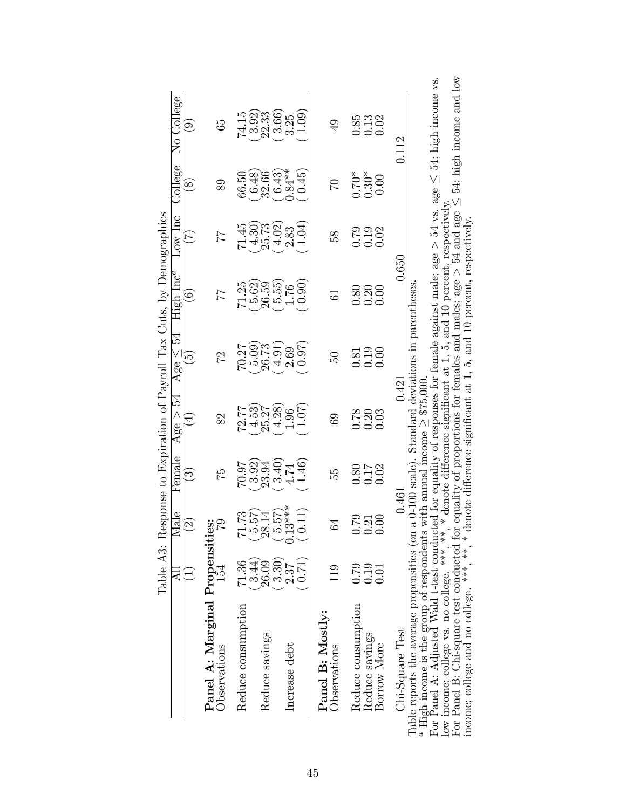|                                                                                                                                                                                                                                                                                                                                          | Table A3:<br>급           | $\rm _{Male}$             | Female                 | Age $>$ 54               | Age $\leq 54$                                       | Response to Expiration of Payroll Tax Cuts, by Demographics<br>${\rm High~Inc}^a$ | Low lnc                                              | College                        | No College                                          |
|------------------------------------------------------------------------------------------------------------------------------------------------------------------------------------------------------------------------------------------------------------------------------------------------------------------------------------------|--------------------------|---------------------------|------------------------|--------------------------|-----------------------------------------------------|-----------------------------------------------------------------------------------|------------------------------------------------------|--------------------------------|-----------------------------------------------------|
|                                                                                                                                                                                                                                                                                                                                          | $\widehat{\Xi}$          | $\widehat{S}$             | $\widehat{\mathbf{c}}$ | $\overline{4}$           | $\widetilde{\Omega}$                                | $\Xi$                                                                             | $\widetilde{\Gamma}$                                 | $\infty$                       | $\Theta$                                            |
| Panel A: Marginal Propensities:<br>Observations                                                                                                                                                                                                                                                                                          | 154                      | $\mathcal{C}$             | $\mathbb{Z}$           | 82                       | 22                                                  | 77                                                                                | 24                                                   | 89                             | 65                                                  |
| Reduce consumption                                                                                                                                                                                                                                                                                                                       | 71.36<br>(3.44)          | 71.73<br>5.57             | 70.07                  | 72.77                    | (60.5)<br>70.27                                     | (5.62)<br>71.25                                                                   | 71.45                                                | 66.50                          | 3.92)<br>74.15                                      |
| Reduce savings                                                                                                                                                                                                                                                                                                                           | 26.09                    | 28.14                     | $(3.92)$<br>$23.94$    | $(4.53)$<br>25.27        | 26.73                                               | 26.59                                                                             | $(4.30)$<br>25.73                                    | $(6.48)$<br>32.66              | 22.33                                               |
| Increase debt                                                                                                                                                                                                                                                                                                                            | (3.30)<br>(17.0)<br>2.37 | $0.13***$<br>(11)<br>5.57 | 1.46<br>(3.40)<br>4.74 | $(4.28)$<br>1.96<br>1.07 | $(4.91)$<br>$2.69$<br>(19.0)                        | (0.90)<br>$(5.55)$<br>1.76                                                        | 1.04)<br>(4.02)                                      | $(6.43)$<br>$0.84**$<br>(1.45) | 3.66)<br>1.09<br>3.25                               |
| Panel B: Mostly:<br>Observations                                                                                                                                                                                                                                                                                                         | 119                      | S,                        | 55                     | $^{69}$                  | 50                                                  | 5                                                                                 | 38                                                   | $\mathfrak{S}$                 | $\overline{6}$                                      |
| Reduce consumption<br>Reduce savings<br>Borrow More                                                                                                                                                                                                                                                                                      | 0.79<br>0.19<br>0.01     | $\frac{21}{0.00}$<br>0.79 | 8218<br>0.02<br>0.0    | 888<br>0.03<br>0.00      | $\begin{array}{c} 2.30 \\ 0.19 \\ 0.00 \end{array}$ | 0.00<br>0.80<br>0.20                                                              | 0.02<br>$\begin{array}{c} 0.19 \\ -0.19 \end{array}$ | $0.30*$<br>$0.30*$<br>0.00     | 0.85<br>$\begin{array}{c} 0.13 \\ 0.02 \end{array}$ |
| Chi-Square Test                                                                                                                                                                                                                                                                                                                          |                          | 0.461                     |                        | 0.421                    |                                                     | 0.650                                                                             |                                                      |                                | 0.112                                               |
| <sup>a</sup> High income is the group of respondents with annual income $\geq$ \$75,000.<br>For Panel A: Adjusted Wald t-test conducted for equality of responses for female against male; age $>$ 54 vs. age $\leq$ 54; high income vs<br>Table reports the average propensities (on a 0-100 scale). Standard deviations in parentheses |                          |                           |                        |                          |                                                     |                                                                                   |                                                      |                                |                                                     |
| low income: college vs. no college. ***.                                                                                                                                                                                                                                                                                                 |                          |                           |                        |                          |                                                     | **, * denote difference significant at 1, 5, and 10 percent, respectively.        |                                                      |                                |                                                     |

For Panel A: Adjusted Wald t-test conducted for equality of responses for female against male; age  $\leq$  54; high income vs. low income; college vs. no college. \*\*\*, \*  $\frac{4}{3}$ , \* denote difference significant at 1, 5, and 10 percent, respectively.

For Panel B: Chi-square test conducted for equality of proportions for females and males; age  $> 54$  and age<br>respectively: VI  $\leq$  54; high income and low income; college and no college. \*\*\*, \*\*, \*denote difference significant at 1, 5, and 10 percent, respectively.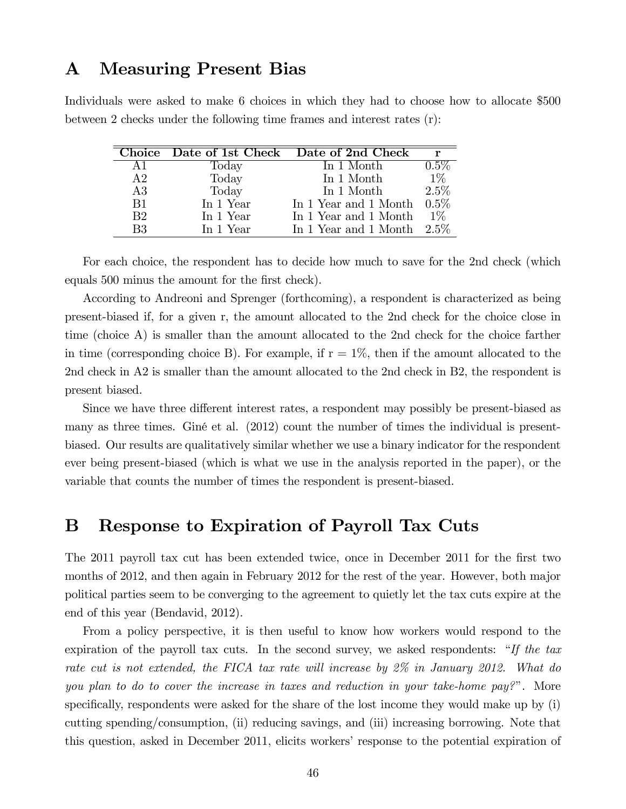# A Measuring Present Bias

Individuals were asked to make 6 choices in which they had to choose how to allocate \$500 between 2 checks under the following time frames and interest rates (r):

|                |           | Choice Date of 1st Check Date of 2nd Check | r       |
|----------------|-----------|--------------------------------------------|---------|
| A1             | Today     | In 1 Month                                 | $0.5\%$ |
| A2             | Today     | In 1 Month                                 | $1\%$   |
| A3             | Today     | In 1 Month                                 | 2.5%    |
| B1             | In 1 Year | In 1 Year and 1 Month                      | $0.5\%$ |
| B <sub>2</sub> | In 1 Year | In 1 Year and 1 Month                      | $1\%$   |
| B3             | In 1 Year | In 1 Year and 1 Month $2.5\%$              |         |

For each choice, the respondent has to decide how much to save for the 2nd check (which equals 500 minus the amount for the first check).

According to Andreoni and Sprenger (forthcoming), a respondent is characterized as being present-biased if, for a given r, the amount allocated to the 2nd check for the choice close in time (choice A) is smaller than the amount allocated to the 2nd check for the choice farther in time (corresponding choice B). For example, if  $r = 1\%$ , then if the amount allocated to the 2nd check in A2 is smaller than the amount allocated to the 2nd check in B2, the respondent is present biased.

Since we have three different interest rates, a respondent may possibly be present-biased as many as three times. Giné et al. (2012) count the number of times the individual is presentbiased. Our results are qualitatively similar whether we use a binary indicator for the respondent ever being present-biased (which is what we use in the analysis reported in the paper), or the variable that counts the number of times the respondent is present-biased.

# B Response to Expiration of Payroll Tax Cuts

The 2011 payroll tax cut has been extended twice, once in December 2011 for the first two months of 2012, and then again in February 2012 for the rest of the year. However, both major political parties seem to be converging to the agreement to quietly let the tax cuts expire at the end of this year (Bendavid, 2012).

From a policy perspective, it is then useful to know how workers would respond to the expiration of the payroll tax cuts. In the second survey, we asked respondents:  $\dddot{H}$  the tax rate cut is not extended, the FICA tax rate will increase by 2% in January 2012. What do you plan to do to cover the increase in taxes and reduction in your take-home pay?". More specifically, respondents were asked for the share of the lost income they would make up by (i) cutting spending/consumption, (ii) reducing savings, and (iii) increasing borrowing. Note that this question, asked in December 2011, elicits workers' response to the potential expiration of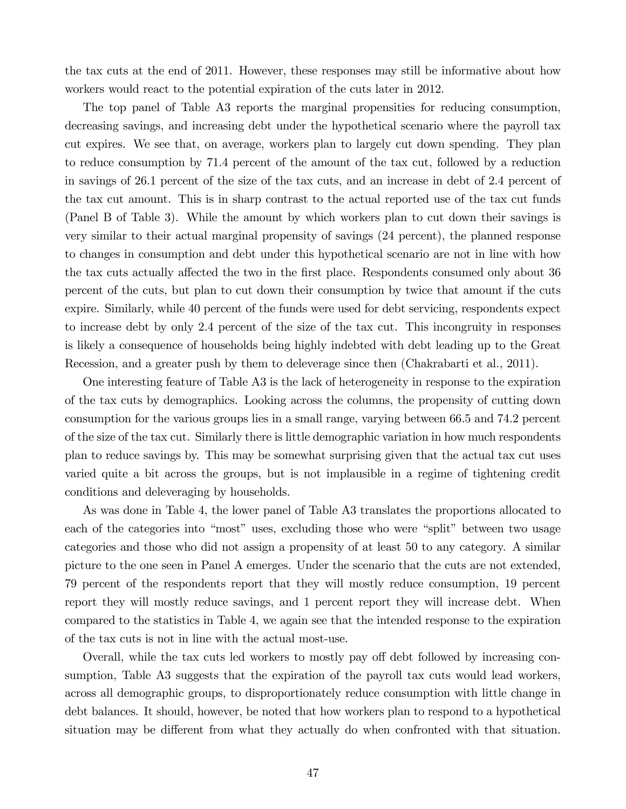the tax cuts at the end of 2011. However, these responses may still be informative about how workers would react to the potential expiration of the cuts later in 2012.

The top panel of Table A3 reports the marginal propensities for reducing consumption, decreasing savings, and increasing debt under the hypothetical scenario where the payroll tax cut expires. We see that, on average, workers plan to largely cut down spending. They plan to reduce consumption by 71.4 percent of the amount of the tax cut, followed by a reduction in savings of 26.1 percent of the size of the tax cuts, and an increase in debt of 2.4 percent of the tax cut amount. This is in sharp contrast to the actual reported use of the tax cut funds (Panel B of Table 3). While the amount by which workers plan to cut down their savings is very similar to their actual marginal propensity of savings (24 percent), the planned response to changes in consumption and debt under this hypothetical scenario are not in line with how the tax cuts actually affected the two in the first place. Respondents consumed only about 36 percent of the cuts, but plan to cut down their consumption by twice that amount if the cuts expire. Similarly, while 40 percent of the funds were used for debt servicing, respondents expect to increase debt by only 2.4 percent of the size of the tax cut. This incongruity in responses is likely a consequence of households being highly indebted with debt leading up to the Great Recession, and a greater push by them to deleverage since then (Chakrabarti et al., 2011).

One interesting feature of Table A3 is the lack of heterogeneity in response to the expiration of the tax cuts by demographics. Looking across the columns, the propensity of cutting down consumption for the various groups lies in a small range, varying between 66.5 and 74.2 percent of the size of the tax cut. Similarly there is little demographic variation in how much respondents plan to reduce savings by. This may be somewhat surprising given that the actual tax cut uses varied quite a bit across the groups, but is not implausible in a regime of tightening credit conditions and deleveraging by households.

As was done in Table 4, the lower panel of Table A3 translates the proportions allocated to each of the categories into "most" uses, excluding those who were "split" between two usage categories and those who did not assign a propensity of at least 50 to any category. A similar picture to the one seen in Panel A emerges. Under the scenario that the cuts are not extended, 79 percent of the respondents report that they will mostly reduce consumption, 19 percent report they will mostly reduce savings, and 1 percent report they will increase debt. When compared to the statistics in Table 4, we again see that the intended response to the expiration of the tax cuts is not in line with the actual most-use.

Overall, while the tax cuts led workers to mostly pay off debt followed by increasing consumption, Table A3 suggests that the expiration of the payroll tax cuts would lead workers, across all demographic groups, to disproportionately reduce consumption with little change in debt balances. It should, however, be noted that how workers plan to respond to a hypothetical situation may be different from what they actually do when confronted with that situation.